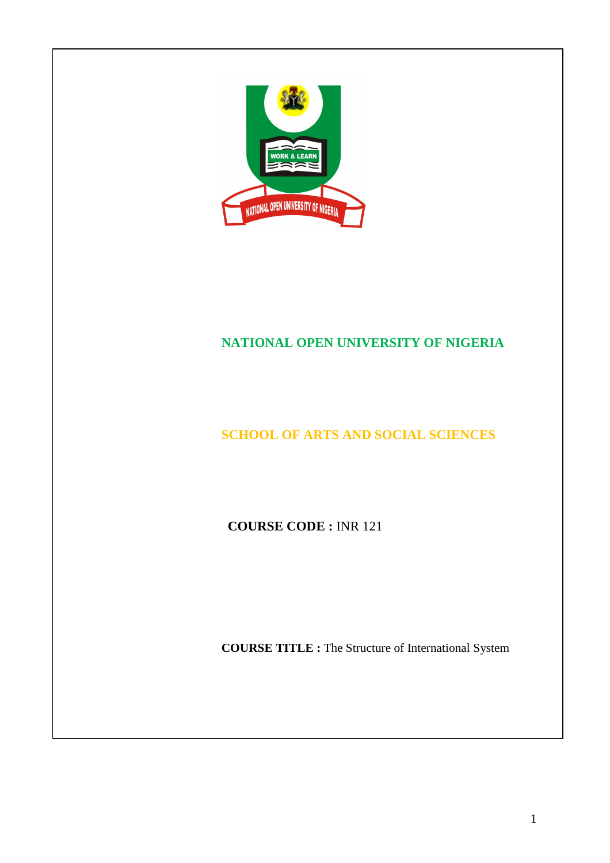

# **NATIONAL OPEN UNIVERSITY OF NIGERIA**

# **SCHOOL OF ARTS AND SOCIAL SCIENCES**

**COURSE CODE :** INR 121

**COURSE TITLE :** The Structure of International System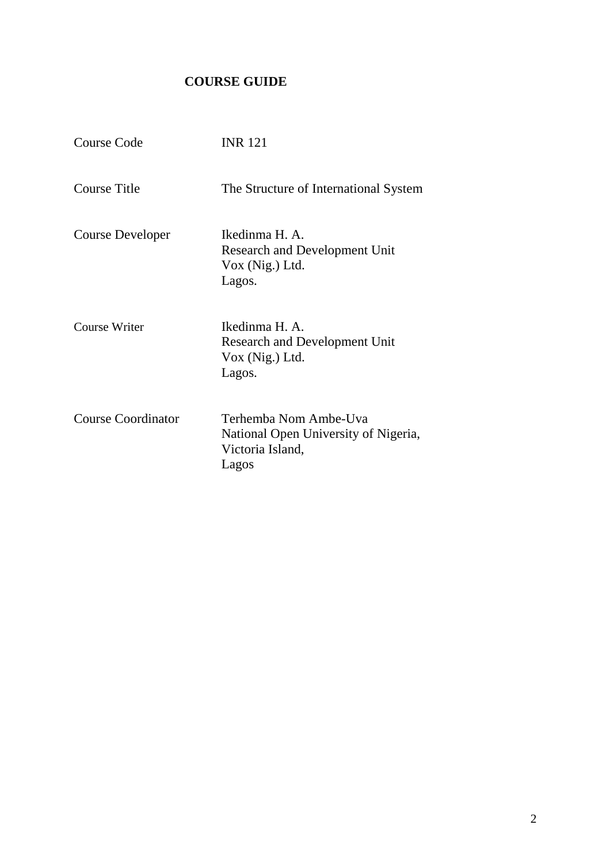# **COURSE GUIDE**

| Course Code               | <b>INR 121</b>                                                                             |
|---------------------------|--------------------------------------------------------------------------------------------|
| <b>Course Title</b>       | The Structure of International System                                                      |
| <b>Course Developer</b>   | Ikedinma H. A.<br><b>Research and Development Unit</b><br>Vox (Nig.) Ltd.<br>Lagos.        |
| <b>Course Writer</b>      | Ikedinma H. A.<br><b>Research and Development Unit</b><br>$Vox$ (Nig.) Ltd.<br>Lagos.      |
| <b>Course Coordinator</b> | Terhemba Nom Ambe-Uva<br>National Open University of Nigeria,<br>Victoria Island,<br>Lagos |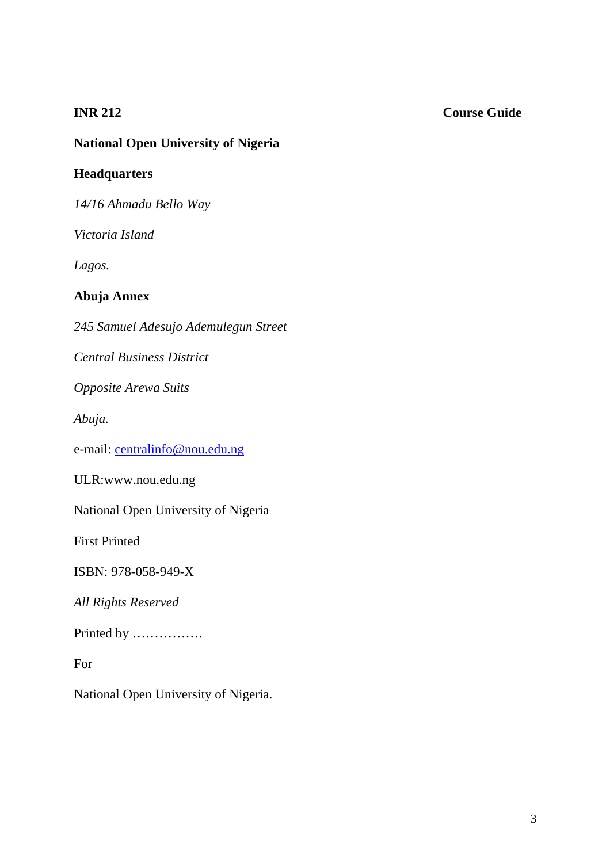### **INR 212** Course Guide

# **National Open University of Nigeria**

# **Headquarters**

*14/16 Ahmadu Bello Way* 

*Victoria Island* 

*Lagos.* 

# **Abuja Annex**

*245 Samuel Adesujo Ademulegun Street* 

*Central Business District* 

*Opposite Arewa Suits* 

*Abuja.* 

e-mail: centralinfo@nou.edu.ng

ULR:www.nou.edu.ng

National Open University of Nigeria

First Printed

ISBN: 978-058-949-X

*All Rights Reserved* 

Printed by …………….

For

National Open University of Nigeria.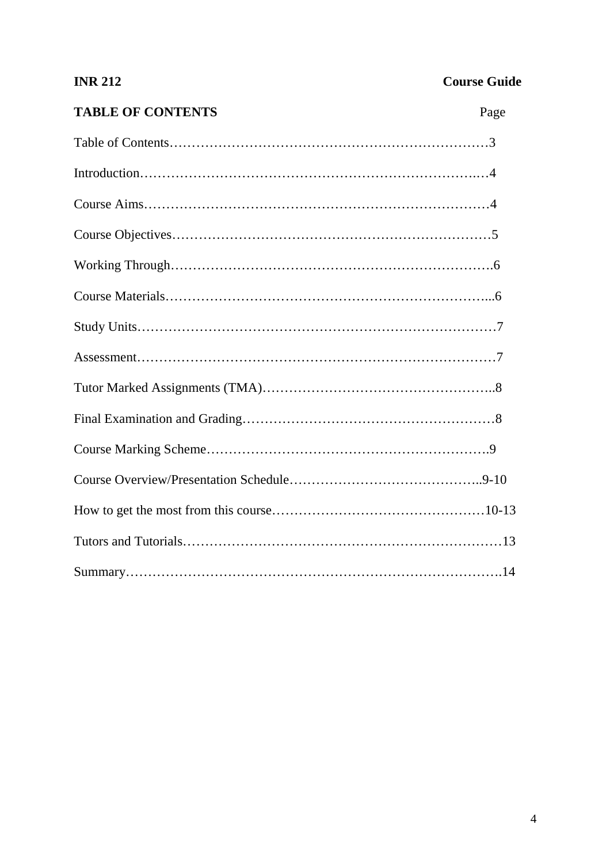| <b>INR 212</b>           | <b>Course Guide</b> |
|--------------------------|---------------------|
| <b>TABLE OF CONTENTS</b> | Page                |
|                          |                     |
|                          |                     |
|                          |                     |
|                          |                     |
|                          |                     |
|                          |                     |
|                          |                     |
|                          |                     |
|                          |                     |
|                          |                     |
|                          |                     |
|                          |                     |
|                          |                     |
|                          |                     |
|                          |                     |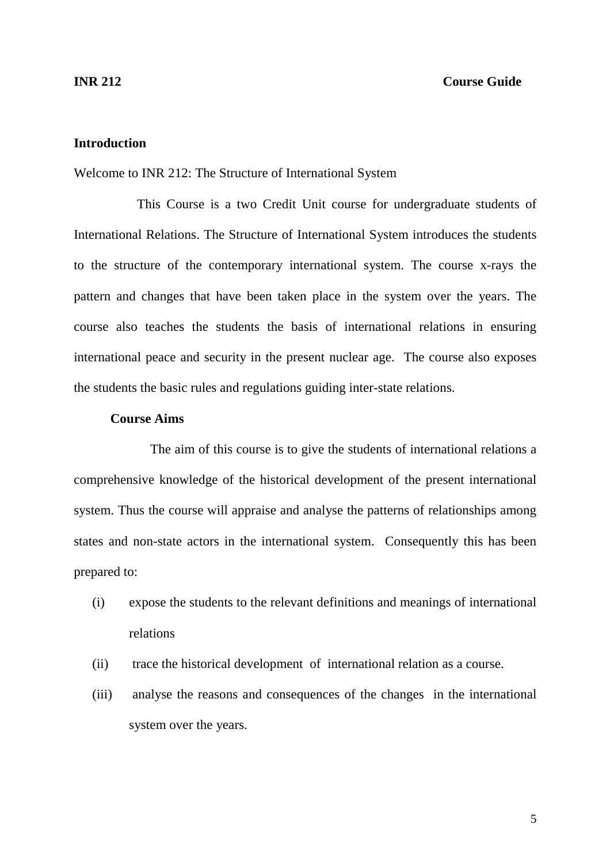#### **Introduction**

Welcome to INR 212: The Structure of International System

 This Course is a two Credit Unit course for undergraduate students of International Relations. The Structure of International System introduces the students to the structure of the contemporary international system. The course x-rays the pattern and changes that have been taken place in the system over the years. The course also teaches the students the basis of international relations in ensuring international peace and security in the present nuclear age. The course also exposes the students the basic rules and regulations guiding inter-state relations.

#### **Course Aims**

The aim of this course is to give the students of international relations a comprehensive knowledge of the historical development of the present international system. Thus the course will appraise and analyse the patterns of relationships among states and non-state actors in the international system. Consequently this has been prepared to:

- (i) expose the students to the relevant definitions and meanings of international relations
- (ii) trace the historical development of international relation as a course.
- (iii) analyse the reasons and consequences of the changes in the international system over the years.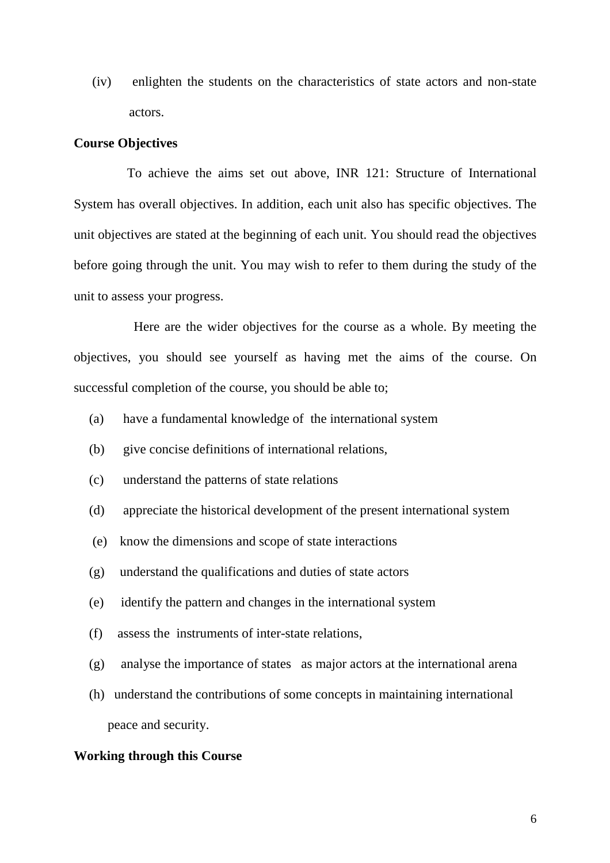(iv) enlighten the students on the characteristics of state actors and non-state actors.

#### **Course Objectives**

 To achieve the aims set out above, INR 121: Structure of International System has overall objectives. In addition, each unit also has specific objectives. The unit objectives are stated at the beginning of each unit. You should read the objectives before going through the unit. You may wish to refer to them during the study of the unit to assess your progress.

 Here are the wider objectives for the course as a whole. By meeting the objectives, you should see yourself as having met the aims of the course. On successful completion of the course, you should be able to;

- (a) have a fundamental knowledge of the international system
- (b) give concise definitions of international relations,
- (c) understand the patterns of state relations
- (d) appreciate the historical development of the present international system
- (e) know the dimensions and scope of state interactions
- (g) understand the qualifications and duties of state actors
- (e) identify the pattern and changes in the international system
- (f) assess the instruments of inter-state relations,
- (g) analyse the importance of states as major actors at the international arena
- (h) understand the contributions of some concepts in maintaining international peace and security.

#### **Working through this Course**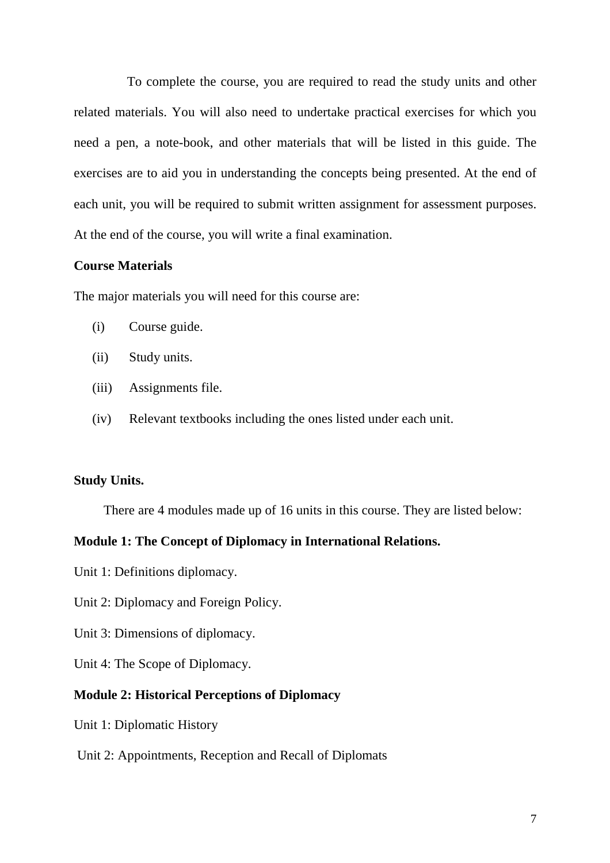To complete the course, you are required to read the study units and other related materials. You will also need to undertake practical exercises for which you need a pen, a note-book, and other materials that will be listed in this guide. The exercises are to aid you in understanding the concepts being presented. At the end of each unit, you will be required to submit written assignment for assessment purposes. At the end of the course, you will write a final examination.

#### **Course Materials**

The major materials you will need for this course are:

- (i) Course guide.
- (ii) Study units.
- (iii) Assignments file.
- (iv) Relevant textbooks including the ones listed under each unit.

#### **Study Units.**

There are 4 modules made up of 16 units in this course. They are listed below:

#### **Module 1: The Concept of Diplomacy in International Relations.**

- Unit 1: Definitions diplomacy.
- Unit 2: Diplomacy and Foreign Policy.
- Unit 3: Dimensions of diplomacy.
- Unit 4: The Scope of Diplomacy.

#### **Module 2: Historical Perceptions of Diplomacy**

- Unit 1: Diplomatic History
- Unit 2: Appointments, Reception and Recall of Diplomats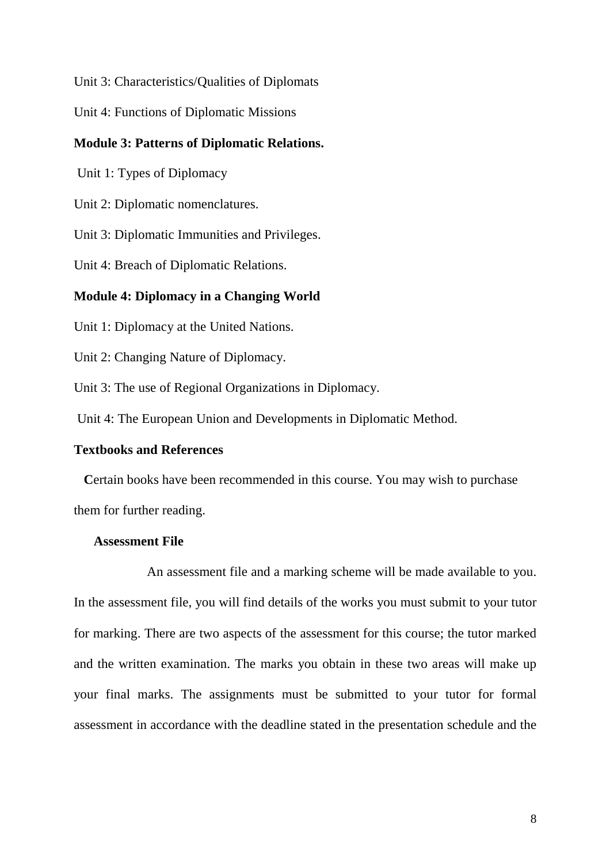Unit 3: Characteristics/Qualities of Diplomats

Unit 4: Functions of Diplomatic Missions

#### **Module 3: Patterns of Diplomatic Relations.**

Unit 1: Types of Diplomacy

Unit 2: Diplomatic nomenclatures.

Unit 3: Diplomatic Immunities and Privileges.

Unit 4: Breach of Diplomatic Relations.

#### **Module 4: Diplomacy in a Changing World**

Unit 1: Diplomacy at the United Nations.

Unit 2: Changing Nature of Diplomacy.

Unit 3: The use of Regional Organizations in Diplomacy.

Unit 4: The European Union and Developments in Diplomatic Method.

#### **Textbooks and References**

 **C**ertain books have been recommended in this course. You may wish to purchase them for further reading.

#### **Assessment File**

 An assessment file and a marking scheme will be made available to you. In the assessment file, you will find details of the works you must submit to your tutor for marking. There are two aspects of the assessment for this course; the tutor marked and the written examination. The marks you obtain in these two areas will make up your final marks. The assignments must be submitted to your tutor for formal assessment in accordance with the deadline stated in the presentation schedule and the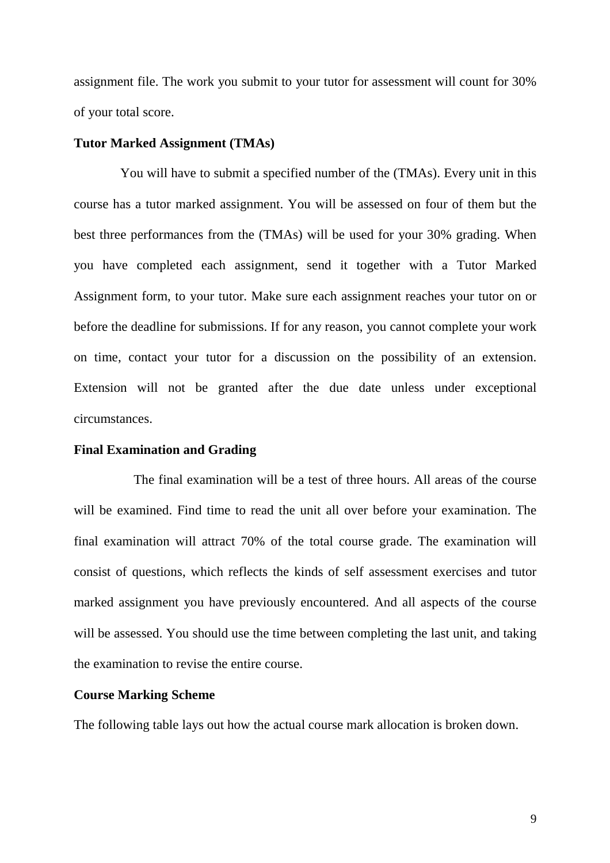assignment file. The work you submit to your tutor for assessment will count for 30% of your total score.

#### **Tutor Marked Assignment (TMAs)**

You will have to submit a specified number of the (TMAs). Every unit in this course has a tutor marked assignment. You will be assessed on four of them but the best three performances from the (TMAs) will be used for your 30% grading. When you have completed each assignment, send it together with a Tutor Marked Assignment form, to your tutor. Make sure each assignment reaches your tutor on or before the deadline for submissions. If for any reason, you cannot complete your work on time, contact your tutor for a discussion on the possibility of an extension. Extension will not be granted after the due date unless under exceptional circumstances.

#### **Final Examination and Grading**

 The final examination will be a test of three hours. All areas of the course will be examined. Find time to read the unit all over before your examination. The final examination will attract 70% of the total course grade. The examination will consist of questions, which reflects the kinds of self assessment exercises and tutor marked assignment you have previously encountered. And all aspects of the course will be assessed. You should use the time between completing the last unit, and taking the examination to revise the entire course.

#### **Course Marking Scheme**

The following table lays out how the actual course mark allocation is broken down.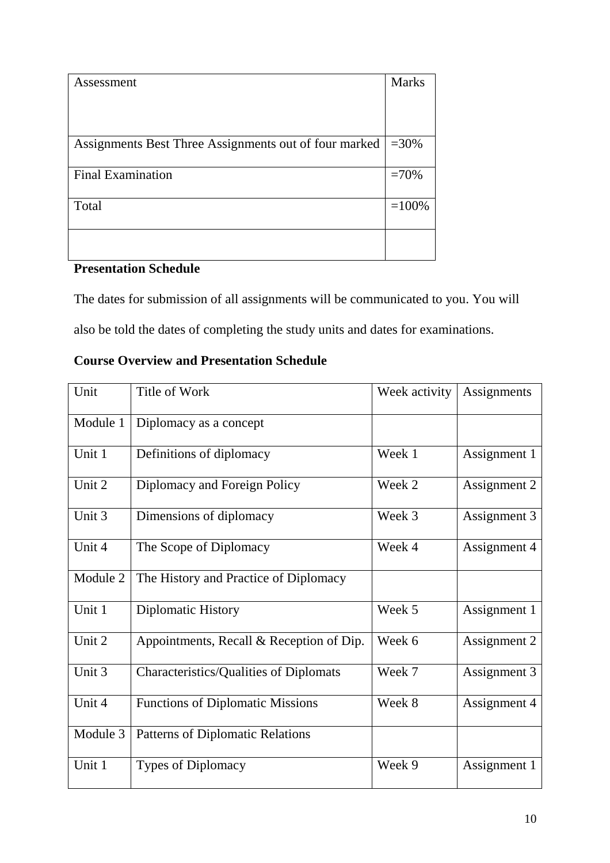| Assessment                                            | <b>Marks</b> |
|-------------------------------------------------------|--------------|
|                                                       |              |
|                                                       |              |
|                                                       |              |
| Assignments Best Three Assignments out of four marked | $=30%$       |
|                                                       |              |
| <b>Final Examination</b>                              | $=70%$       |
|                                                       |              |
| Total                                                 | $=100%$      |
|                                                       |              |
|                                                       |              |
|                                                       |              |

# **Presentation Schedule**

The dates for submission of all assignments will be communicated to you. You will also be told the dates of completing the study units and dates for examinations.

# **Course Overview and Presentation Schedule**

| Unit     | Title of Work                                 | Week activity | Assignments  |
|----------|-----------------------------------------------|---------------|--------------|
| Module 1 | Diplomacy as a concept                        |               |              |
| Unit 1   | Definitions of diplomacy                      | Week 1        | Assignment 1 |
| Unit 2   | Diplomacy and Foreign Policy                  | Week 2        | Assignment 2 |
| Unit 3   | Dimensions of diplomacy                       | Week 3        | Assignment 3 |
| Unit 4   | The Scope of Diplomacy                        | Week 4        | Assignment 4 |
| Module 2 | The History and Practice of Diplomacy         |               |              |
| Unit 1   | Diplomatic History                            | Week 5        | Assignment 1 |
| Unit 2   | Appointments, Recall & Reception of Dip.      | Week 6        | Assignment 2 |
| Unit 3   | <b>Characteristics/Qualities of Diplomats</b> | Week 7        | Assignment 3 |
| Unit 4   | <b>Functions of Diplomatic Missions</b>       | Week 8        | Assignment 4 |
| Module 3 | Patterns of Diplomatic Relations              |               |              |
| Unit 1   | <b>Types of Diplomacy</b>                     | Week 9        | Assignment 1 |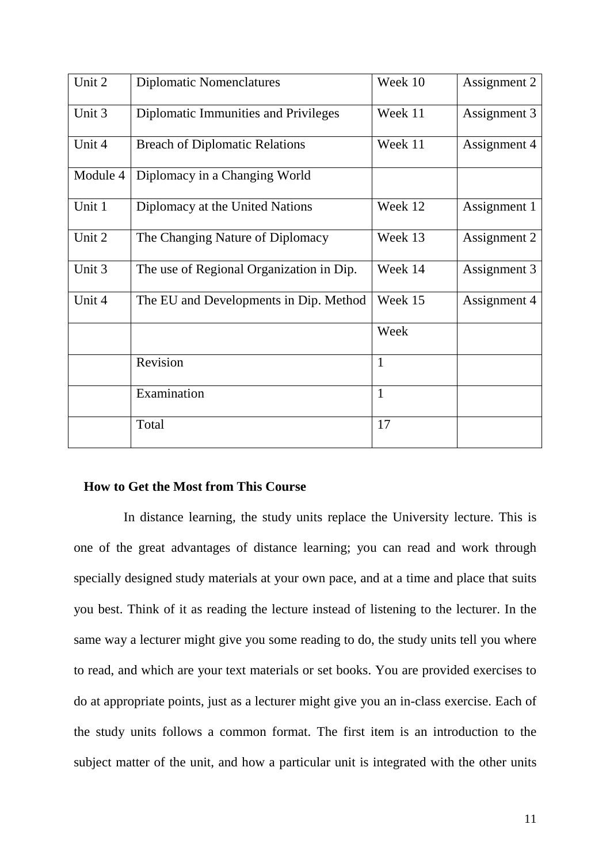| Unit 2   | <b>Diplomatic Nomenclatures</b>          | Week 10      | Assignment 2 |
|----------|------------------------------------------|--------------|--------------|
| Unit 3   | Diplomatic Immunities and Privileges     | Week 11      | Assignment 3 |
| Unit 4   | <b>Breach of Diplomatic Relations</b>    | Week 11      | Assignment 4 |
| Module 4 | Diplomacy in a Changing World            |              |              |
| Unit 1   | Diplomacy at the United Nations          | Week 12      | Assignment 1 |
| Unit 2   | The Changing Nature of Diplomacy         | Week 13      | Assignment 2 |
| Unit 3   | The use of Regional Organization in Dip. | Week 14      | Assignment 3 |
| Unit 4   | The EU and Developments in Dip. Method   | Week 15      | Assignment 4 |
|          |                                          | Week         |              |
|          | Revision                                 | $\mathbf{1}$ |              |
|          | Examination                              | 1            |              |
|          | Total                                    | 17           |              |

#### **How to Get the Most from This Course**

 In distance learning, the study units replace the University lecture. This is one of the great advantages of distance learning; you can read and work through specially designed study materials at your own pace, and at a time and place that suits you best. Think of it as reading the lecture instead of listening to the lecturer. In the same way a lecturer might give you some reading to do, the study units tell you where to read, and which are your text materials or set books. You are provided exercises to do at appropriate points, just as a lecturer might give you an in-class exercise. Each of the study units follows a common format. The first item is an introduction to the subject matter of the unit, and how a particular unit is integrated with the other units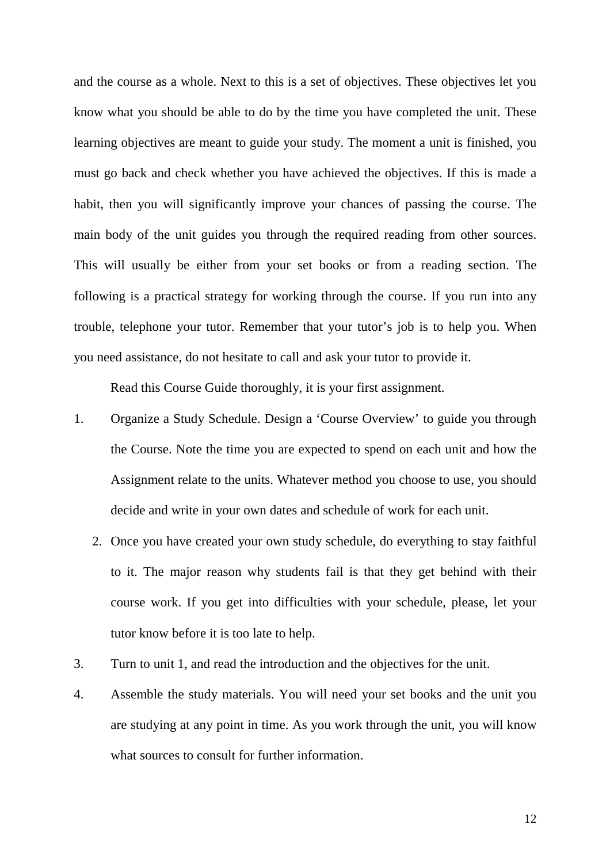and the course as a whole. Next to this is a set of objectives. These objectives let you know what you should be able to do by the time you have completed the unit. These learning objectives are meant to guide your study. The moment a unit is finished, you must go back and check whether you have achieved the objectives. If this is made a habit, then you will significantly improve your chances of passing the course. The main body of the unit guides you through the required reading from other sources. This will usually be either from your set books or from a reading section. The following is a practical strategy for working through the course. If you run into any trouble, telephone your tutor. Remember that your tutor's job is to help you. When you need assistance, do not hesitate to call and ask your tutor to provide it.

Read this Course Guide thoroughly, it is your first assignment.

- 1. Organize a Study Schedule. Design a 'Course Overview' to guide you through the Course. Note the time you are expected to spend on each unit and how the Assignment relate to the units. Whatever method you choose to use, you should decide and write in your own dates and schedule of work for each unit.
	- 2. Once you have created your own study schedule, do everything to stay faithful to it. The major reason why students fail is that they get behind with their course work. If you get into difficulties with your schedule, please, let your tutor know before it is too late to help.
- 3. Turn to unit 1, and read the introduction and the objectives for the unit.
- 4. Assemble the study materials. You will need your set books and the unit you are studying at any point in time. As you work through the unit, you will know what sources to consult for further information.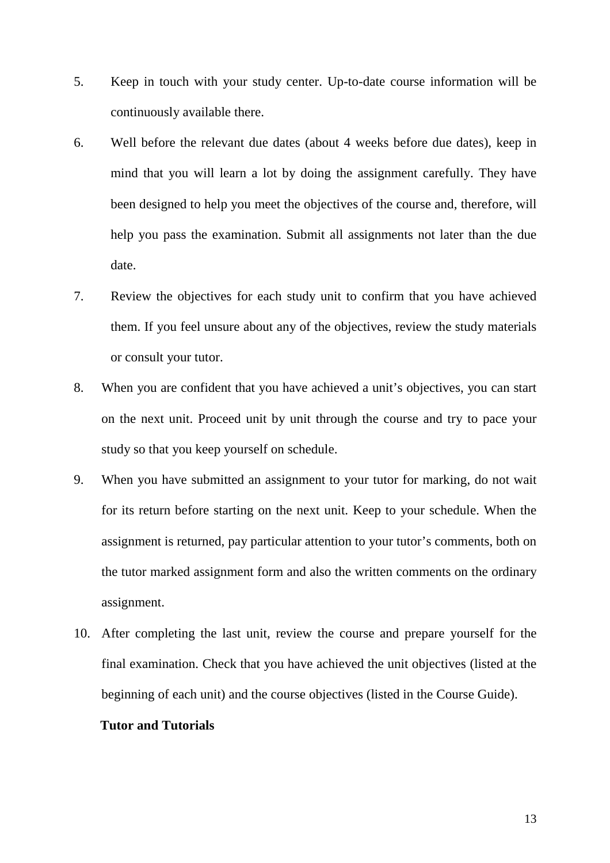- 5. Keep in touch with your study center. Up-to-date course information will be continuously available there.
- 6. Well before the relevant due dates (about 4 weeks before due dates), keep in mind that you will learn a lot by doing the assignment carefully. They have been designed to help you meet the objectives of the course and, therefore, will help you pass the examination. Submit all assignments not later than the due date.
- 7. Review the objectives for each study unit to confirm that you have achieved them. If you feel unsure about any of the objectives, review the study materials or consult your tutor.
- 8. When you are confident that you have achieved a unit's objectives, you can start on the next unit. Proceed unit by unit through the course and try to pace your study so that you keep yourself on schedule.
- 9. When you have submitted an assignment to your tutor for marking, do not wait for its return before starting on the next unit. Keep to your schedule. When the assignment is returned, pay particular attention to your tutor's comments, both on the tutor marked assignment form and also the written comments on the ordinary assignment.
- 10. After completing the last unit, review the course and prepare yourself for the final examination. Check that you have achieved the unit objectives (listed at the beginning of each unit) and the course objectives (listed in the Course Guide).

#### **Tutor and Tutorials**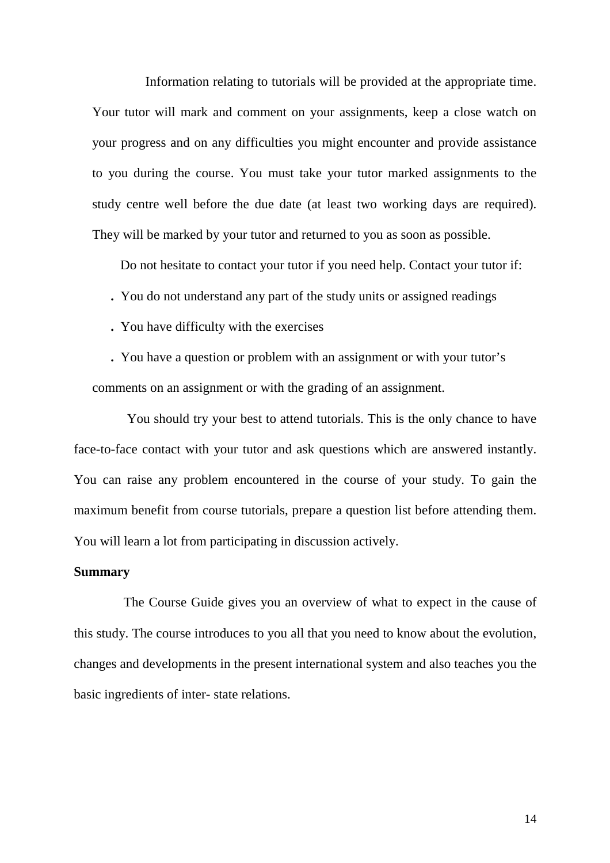Information relating to tutorials will be provided at the appropriate time. Your tutor will mark and comment on your assignments, keep a close watch on your progress and on any difficulties you might encounter and provide assistance to you during the course. You must take your tutor marked assignments to the study centre well before the due date (at least two working days are required). They will be marked by your tutor and returned to you as soon as possible.

Do not hesitate to contact your tutor if you need help. Contact your tutor if:

**.** You do not understand any part of the study units or assigned readings

 **.** You have difficulty with the exercises

 **.** You have a question or problem with an assignment or with your tutor's comments on an assignment or with the grading of an assignment.

You should try your best to attend tutorials. This is the only chance to have face-to-face contact with your tutor and ask questions which are answered instantly. You can raise any problem encountered in the course of your study. To gain the maximum benefit from course tutorials, prepare a question list before attending them. You will learn a lot from participating in discussion actively.

#### **Summary**

 The Course Guide gives you an overview of what to expect in the cause of this study. The course introduces to you all that you need to know about the evolution, changes and developments in the present international system and also teaches you the basic ingredients of inter- state relations.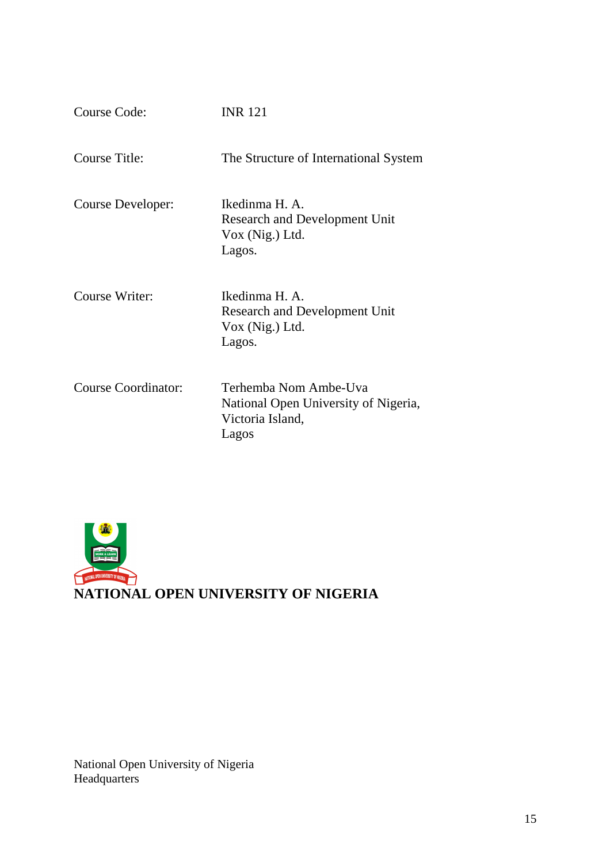| Course Code:               | <b>INR 121</b>                                                                             |
|----------------------------|--------------------------------------------------------------------------------------------|
| Course Title:              | The Structure of International System                                                      |
| Course Developer:          | Ikedinma H. A.<br><b>Research and Development Unit</b><br>$Vox$ (Nig.) Ltd.<br>Lagos.      |
| Course Writer:             | Ikedinma H. A.<br><b>Research and Development Unit</b><br>$Vox$ (Nig.) Ltd.<br>Lagos.      |
| <b>Course Coordinator:</b> | Terhemba Nom Ambe-Uva<br>National Open University of Nigeria,<br>Victoria Island,<br>Lagos |



National Open University of Nigeria **Headquarters**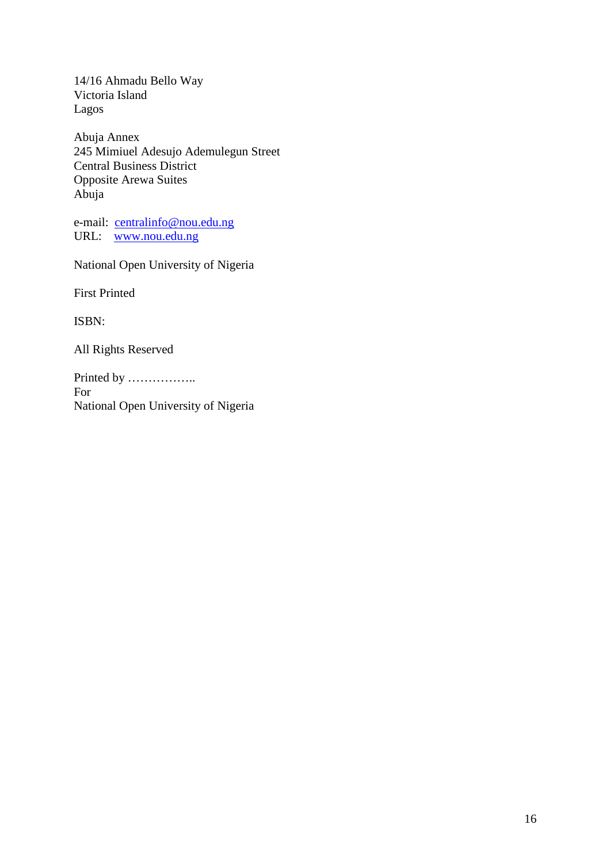14/16 Ahmadu Bello Way Victoria Island Lagos

Abuja Annex 245 Mimiuel Adesujo Ademulegun Street Central Business District Opposite Arewa Suites Abuja

e-mail: centralinfo@nou.edu.ng URL: www.nou.edu.ng

National Open University of Nigeria

First Printed

ISBN:

All Rights Reserved

Printed by …………….. For National Open University of Nigeria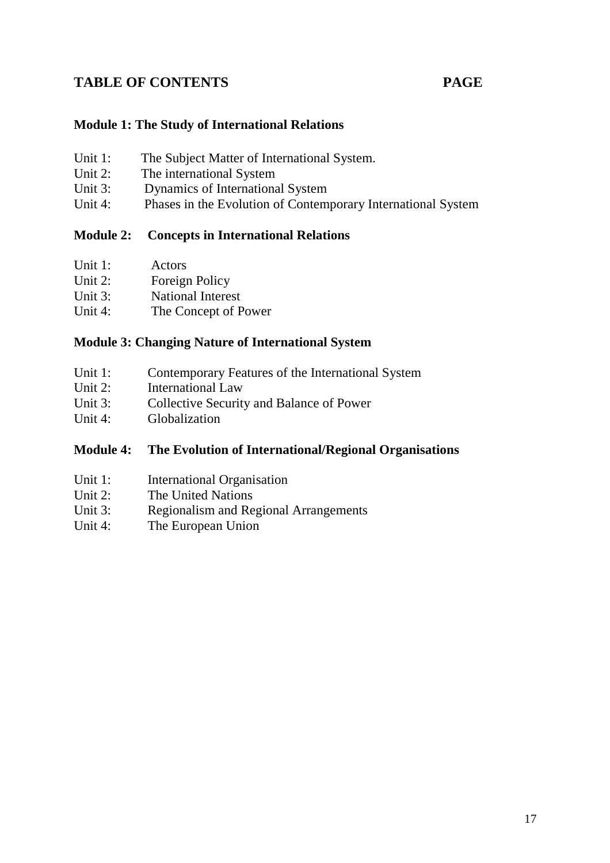# TABLE OF CONTENTS PAGE

#### **Module 1: The Study of International Relations**

| Unit 1:    | The Subject Matter of International System. |
|------------|---------------------------------------------|
| Unit $2$ : | The international System                    |
| Unit $3$ : | Dynamics of International System            |

Unit 4: Phases in the Evolution of Contemporary International System

## **Module 2: Concepts in International Relations**

| Unit $1$ : | Actors                   |
|------------|--------------------------|
| Unit $2$ : | Foreign Policy           |
| Unit $3$ : | <b>National Interest</b> |
| Unit $4$ : | The Concept of Power     |

#### **Module 3: Changing Nature of International System**

| Unit 1:<br>Contemporary Features of the International System |
|--------------------------------------------------------------|
|--------------------------------------------------------------|

- Unit 2: International Law<br>Unit 3: Collective Security
- Collective Security and Balance of Power
- Unit 4: Globalization

## **Module 4: The Evolution of International/Regional Organisations**

- Unit 1: International Organisation
- Unit 2: The United Nations
- Unit 3: Regionalism and Regional Arrangements
- Unit 4: The European Union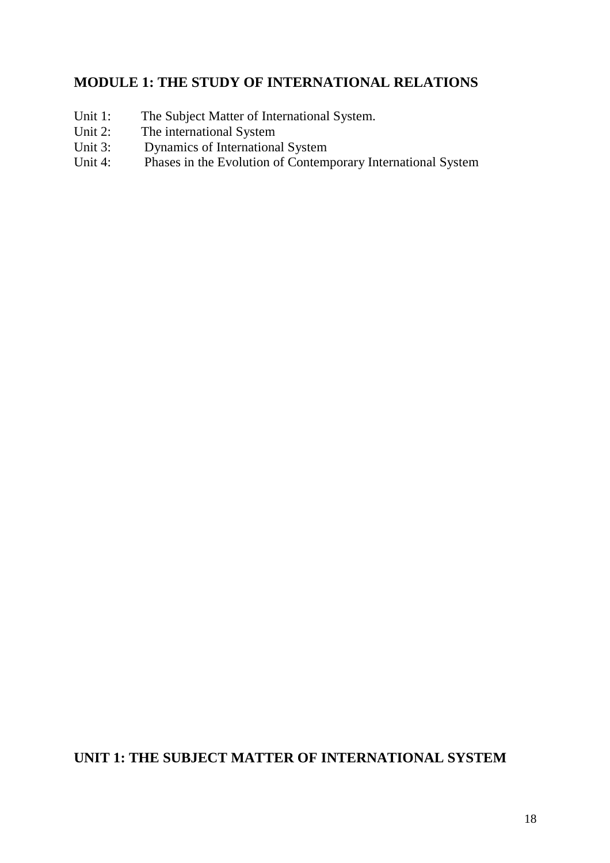# **MODULE 1: THE STUDY OF INTERNATIONAL RELATIONS**

- Unit 1: The Subject Matter of International System.
- Unit 2: The international System
- Unit 3: Dynamics of International System
- Unit 4: Phases in the Evolution of Contemporary International System

# **UNIT 1: THE SUBJECT MATTER OF INTERNATIONAL SYSTEM**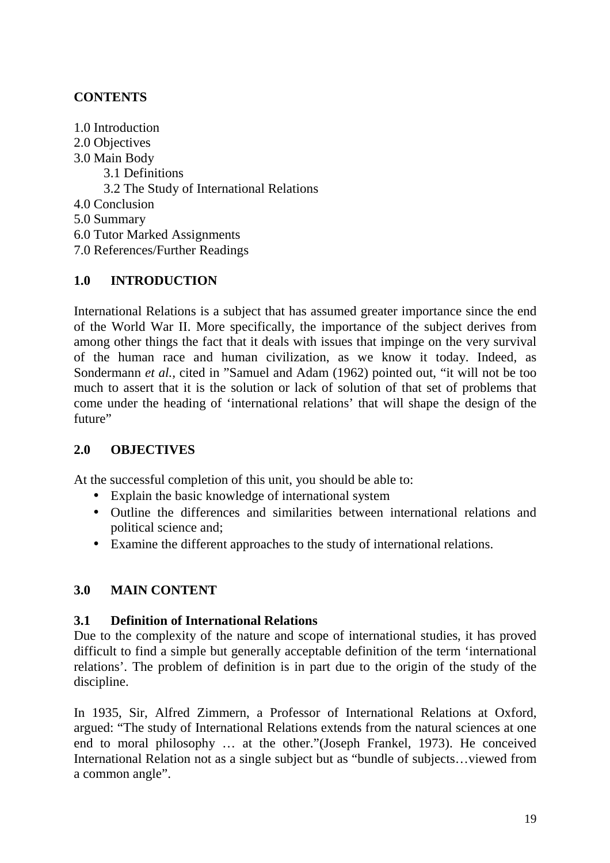# **CONTENTS**

- 1.0 Introduction
- 2.0 Objectives
- 3.0 Main Body
	- 3.1 Definitions
	- 3.2 The Study of International Relations
- 4.0 Conclusion
- 5.0 Summary
- 6.0 Tutor Marked Assignments
- 7.0 References/Further Readings

# **1.0 INTRODUCTION**

International Relations is a subject that has assumed greater importance since the end of the World War II. More specifically, the importance of the subject derives from among other things the fact that it deals with issues that impinge on the very survival of the human race and human civilization, as we know it today. Indeed, as Sondermann *et al.*, cited in "Samuel and Adam (1962) pointed out, "it will not be too much to assert that it is the solution or lack of solution of that set of problems that come under the heading of 'international relations' that will shape the design of the future"

# **2.0 OBJECTIVES**

At the successful completion of this unit, you should be able to:

- Explain the basic knowledge of international system
- Outline the differences and similarities between international relations and political science and;
- Examine the different approaches to the study of international relations.

# **3.0 MAIN CONTENT**

# **3.1 Definition of International Relations**

Due to the complexity of the nature and scope of international studies, it has proved difficult to find a simple but generally acceptable definition of the term 'international relations'. The problem of definition is in part due to the origin of the study of the discipline.

In 1935, Sir, Alfred Zimmern, a Professor of International Relations at Oxford, argued: "The study of International Relations extends from the natural sciences at one end to moral philosophy … at the other."(Joseph Frankel, 1973). He conceived International Relation not as a single subject but as "bundle of subjects…viewed from a common angle".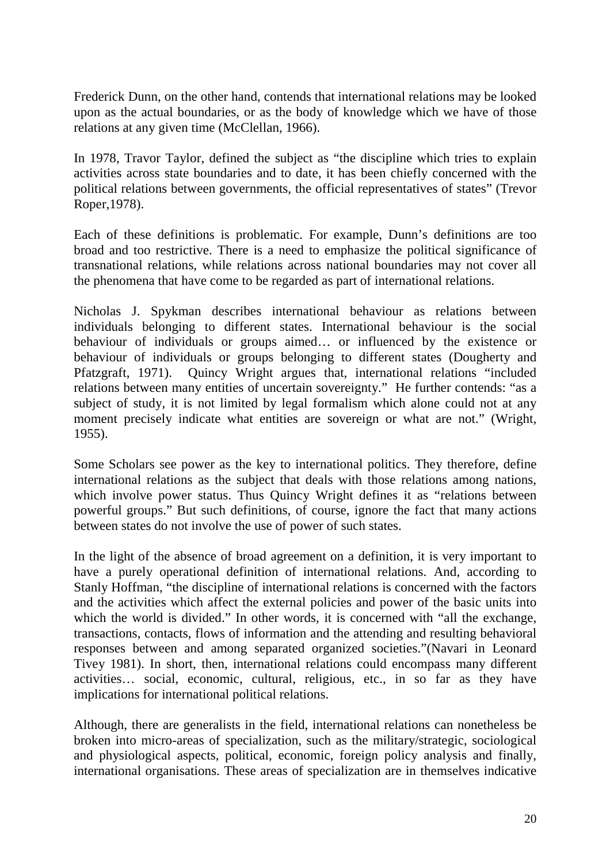Frederick Dunn, on the other hand, contends that international relations may be looked upon as the actual boundaries, or as the body of knowledge which we have of those relations at any given time (McClellan, 1966).

In 1978, Travor Taylor, defined the subject as "the discipline which tries to explain activities across state boundaries and to date, it has been chiefly concerned with the political relations between governments, the official representatives of states" (Trevor Roper,1978).

Each of these definitions is problematic. For example, Dunn's definitions are too broad and too restrictive. There is a need to emphasize the political significance of transnational relations, while relations across national boundaries may not cover all the phenomena that have come to be regarded as part of international relations.

Nicholas J. Spykman describes international behaviour as relations between individuals belonging to different states. International behaviour is the social behaviour of individuals or groups aimed… or influenced by the existence or behaviour of individuals or groups belonging to different states (Dougherty and Pfatzgraft, 1971). Quincy Wright argues that, international relations "included relations between many entities of uncertain sovereignty." He further contends: "as a subject of study, it is not limited by legal formalism which alone could not at any moment precisely indicate what entities are sovereign or what are not." (Wright, 1955).

Some Scholars see power as the key to international politics. They therefore, define international relations as the subject that deals with those relations among nations, which involve power status. Thus Quincy Wright defines it as "relations between powerful groups." But such definitions, of course, ignore the fact that many actions between states do not involve the use of power of such states.

In the light of the absence of broad agreement on a definition, it is very important to have a purely operational definition of international relations. And, according to Stanly Hoffman, "the discipline of international relations is concerned with the factors and the activities which affect the external policies and power of the basic units into which the world is divided." In other words, it is concerned with "all the exchange, transactions, contacts, flows of information and the attending and resulting behavioral responses between and among separated organized societies."(Navari in Leonard Tivey 1981). In short, then, international relations could encompass many different activities… social, economic, cultural, religious, etc., in so far as they have implications for international political relations.

Although, there are generalists in the field, international relations can nonetheless be broken into micro-areas of specialization, such as the military/strategic, sociological and physiological aspects, political, economic, foreign policy analysis and finally, international organisations. These areas of specialization are in themselves indicative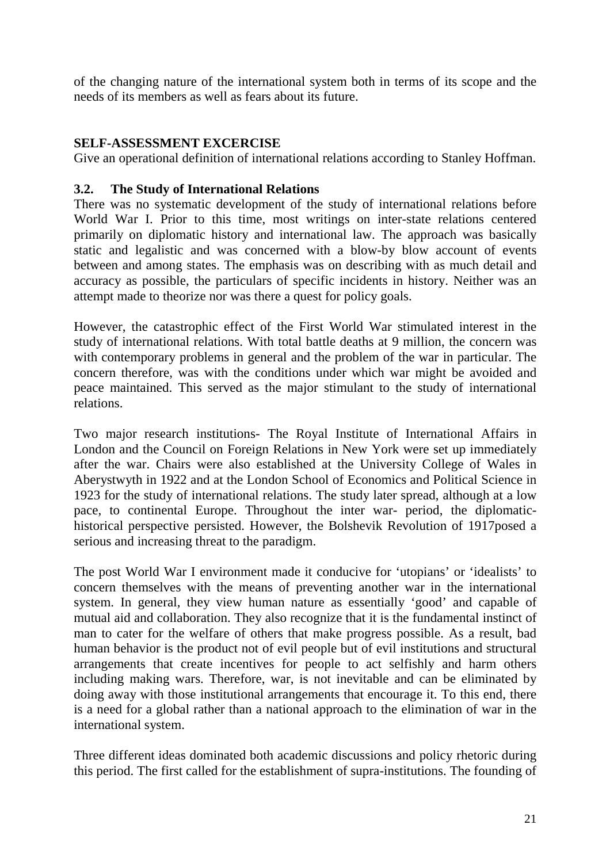of the changing nature of the international system both in terms of its scope and the needs of its members as well as fears about its future.

### **SELF-ASSESSMENT EXCERCISE**

Give an operational definition of international relations according to Stanley Hoffman.

#### **3.2. The Study of International Relations**

There was no systematic development of the study of international relations before World War I. Prior to this time, most writings on inter-state relations centered primarily on diplomatic history and international law. The approach was basically static and legalistic and was concerned with a blow-by blow account of events between and among states. The emphasis was on describing with as much detail and accuracy as possible, the particulars of specific incidents in history. Neither was an attempt made to theorize nor was there a quest for policy goals.

However, the catastrophic effect of the First World War stimulated interest in the study of international relations. With total battle deaths at 9 million, the concern was with contemporary problems in general and the problem of the war in particular. The concern therefore, was with the conditions under which war might be avoided and peace maintained. This served as the major stimulant to the study of international relations.

Two major research institutions- The Royal Institute of International Affairs in London and the Council on Foreign Relations in New York were set up immediately after the war. Chairs were also established at the University College of Wales in Aberystwyth in 1922 and at the London School of Economics and Political Science in 1923 for the study of international relations. The study later spread, although at a low pace, to continental Europe. Throughout the inter war- period, the diplomatichistorical perspective persisted. However, the Bolshevik Revolution of 1917posed a serious and increasing threat to the paradigm.

The post World War I environment made it conducive for 'utopians' or 'idealists' to concern themselves with the means of preventing another war in the international system. In general, they view human nature as essentially 'good' and capable of mutual aid and collaboration. They also recognize that it is the fundamental instinct of man to cater for the welfare of others that make progress possible. As a result, bad human behavior is the product not of evil people but of evil institutions and structural arrangements that create incentives for people to act selfishly and harm others including making wars. Therefore, war, is not inevitable and can be eliminated by doing away with those institutional arrangements that encourage it. To this end, there is a need for a global rather than a national approach to the elimination of war in the international system.

Three different ideas dominated both academic discussions and policy rhetoric during this period. The first called for the establishment of supra-institutions. The founding of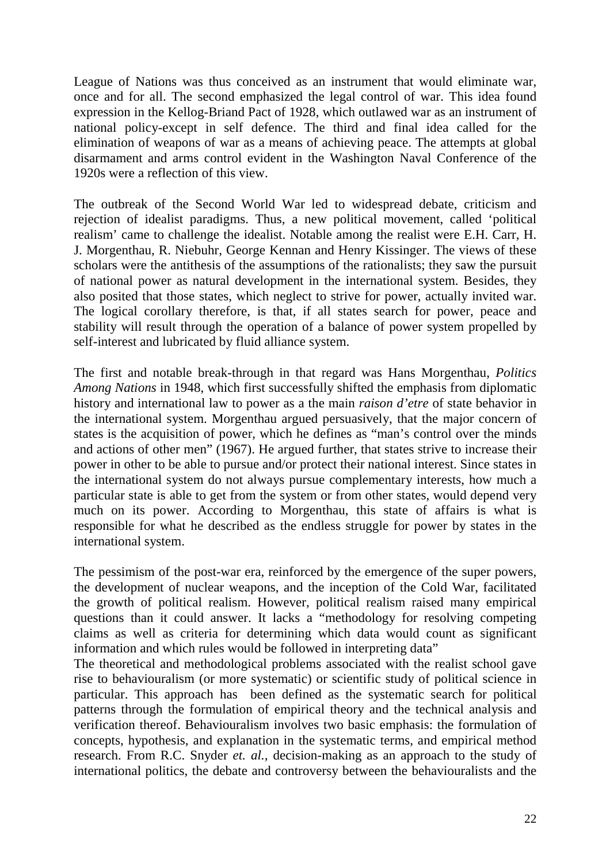League of Nations was thus conceived as an instrument that would eliminate war, once and for all. The second emphasized the legal control of war. This idea found expression in the Kellog-Briand Pact of 1928, which outlawed war as an instrument of national policy-except in self defence. The third and final idea called for the elimination of weapons of war as a means of achieving peace. The attempts at global disarmament and arms control evident in the Washington Naval Conference of the 1920s were a reflection of this view.

The outbreak of the Second World War led to widespread debate, criticism and rejection of idealist paradigms. Thus, a new political movement, called 'political realism' came to challenge the idealist. Notable among the realist were E.H. Carr, H. J. Morgenthau, R. Niebuhr, George Kennan and Henry Kissinger. The views of these scholars were the antithesis of the assumptions of the rationalists; they saw the pursuit of national power as natural development in the international system. Besides, they also posited that those states, which neglect to strive for power, actually invited war. The logical corollary therefore, is that, if all states search for power, peace and stability will result through the operation of a balance of power system propelled by self-interest and lubricated by fluid alliance system.

The first and notable break-through in that regard was Hans Morgenthau, *Politics Among Nations* in 1948, which first successfully shifted the emphasis from diplomatic history and international law to power as a the main *raison d'etre* of state behavior in the international system. Morgenthau argued persuasively, that the major concern of states is the acquisition of power, which he defines as "man's control over the minds and actions of other men" (1967). He argued further, that states strive to increase their power in other to be able to pursue and/or protect their national interest. Since states in the international system do not always pursue complementary interests, how much a particular state is able to get from the system or from other states, would depend very much on its power. According to Morgenthau, this state of affairs is what is responsible for what he described as the endless struggle for power by states in the international system.

The pessimism of the post-war era, reinforced by the emergence of the super powers, the development of nuclear weapons, and the inception of the Cold War, facilitated the growth of political realism. However, political realism raised many empirical questions than it could answer. It lacks a "methodology for resolving competing claims as well as criteria for determining which data would count as significant information and which rules would be followed in interpreting data"

The theoretical and methodological problems associated with the realist school gave rise to behaviouralism (or more systematic) or scientific study of political science in particular. This approach has been defined as the systematic search for political patterns through the formulation of empirical theory and the technical analysis and verification thereof. Behaviouralism involves two basic emphasis: the formulation of concepts, hypothesis, and explanation in the systematic terms, and empirical method research. From R.C. Snyder *et. al.,* decision-making as an approach to the study of international politics, the debate and controversy between the behaviouralists and the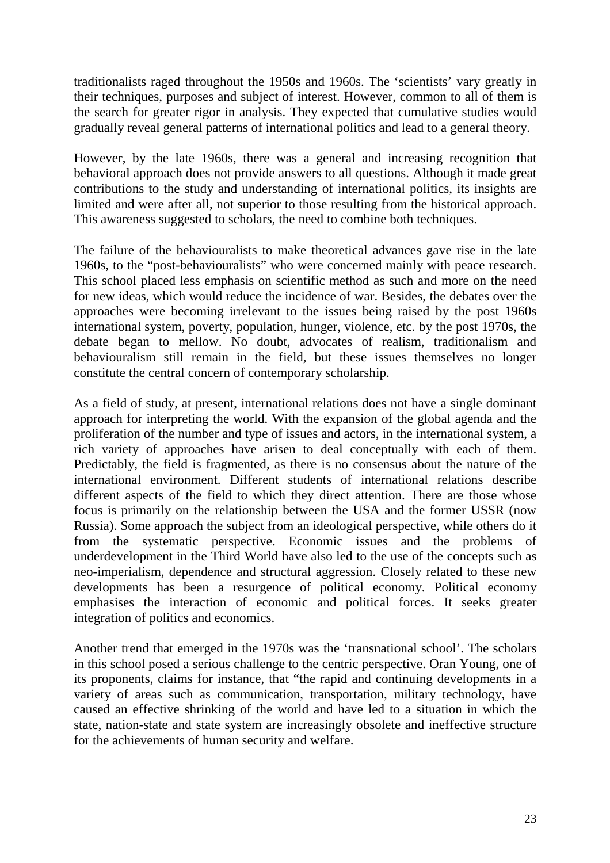traditionalists raged throughout the 1950s and 1960s. The 'scientists' vary greatly in their techniques, purposes and subject of interest. However, common to all of them is the search for greater rigor in analysis. They expected that cumulative studies would gradually reveal general patterns of international politics and lead to a general theory.

However, by the late 1960s, there was a general and increasing recognition that behavioral approach does not provide answers to all questions. Although it made great contributions to the study and understanding of international politics, its insights are limited and were after all, not superior to those resulting from the historical approach. This awareness suggested to scholars, the need to combine both techniques.

The failure of the behaviouralists to make theoretical advances gave rise in the late 1960s, to the "post-behaviouralists" who were concerned mainly with peace research. This school placed less emphasis on scientific method as such and more on the need for new ideas, which would reduce the incidence of war. Besides, the debates over the approaches were becoming irrelevant to the issues being raised by the post 1960s international system, poverty, population, hunger, violence, etc. by the post 1970s, the debate began to mellow. No doubt, advocates of realism, traditionalism and behaviouralism still remain in the field, but these issues themselves no longer constitute the central concern of contemporary scholarship.

As a field of study, at present, international relations does not have a single dominant approach for interpreting the world. With the expansion of the global agenda and the proliferation of the number and type of issues and actors, in the international system, a rich variety of approaches have arisen to deal conceptually with each of them. Predictably, the field is fragmented, as there is no consensus about the nature of the international environment. Different students of international relations describe different aspects of the field to which they direct attention. There are those whose focus is primarily on the relationship between the USA and the former USSR (now Russia). Some approach the subject from an ideological perspective, while others do it from the systematic perspective. Economic issues and the problems of underdevelopment in the Third World have also led to the use of the concepts such as neo-imperialism, dependence and structural aggression. Closely related to these new developments has been a resurgence of political economy. Political economy emphasises the interaction of economic and political forces. It seeks greater integration of politics and economics.

Another trend that emerged in the 1970s was the 'transnational school'. The scholars in this school posed a serious challenge to the centric perspective. Oran Young, one of its proponents, claims for instance, that "the rapid and continuing developments in a variety of areas such as communication, transportation, military technology, have caused an effective shrinking of the world and have led to a situation in which the state, nation-state and state system are increasingly obsolete and ineffective structure for the achievements of human security and welfare.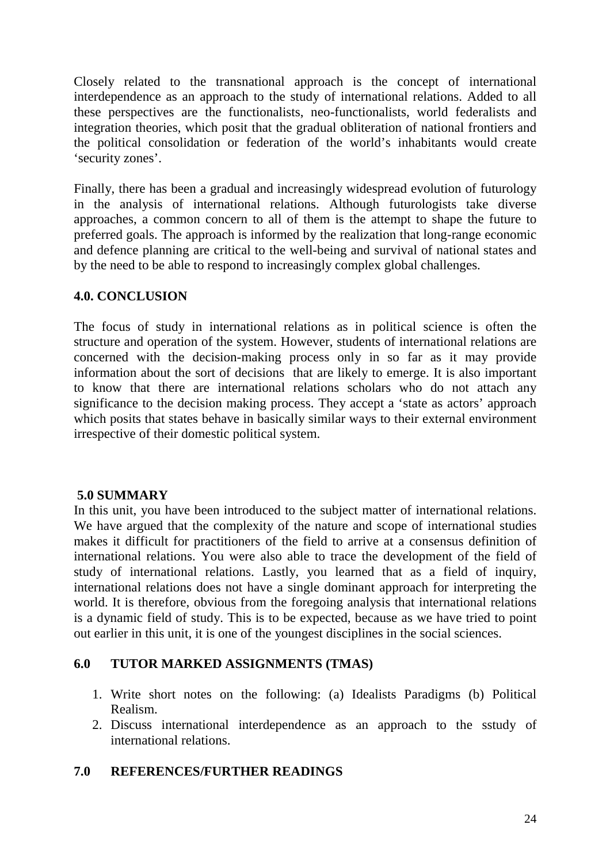Closely related to the transnational approach is the concept of international interdependence as an approach to the study of international relations. Added to all these perspectives are the functionalists, neo-functionalists, world federalists and integration theories, which posit that the gradual obliteration of national frontiers and the political consolidation or federation of the world's inhabitants would create 'security zones'.

Finally, there has been a gradual and increasingly widespread evolution of futurology in the analysis of international relations. Although futurologists take diverse approaches, a common concern to all of them is the attempt to shape the future to preferred goals. The approach is informed by the realization that long-range economic and defence planning are critical to the well-being and survival of national states and by the need to be able to respond to increasingly complex global challenges.

# **4.0. CONCLUSION**

The focus of study in international relations as in political science is often the structure and operation of the system. However, students of international relations are concerned with the decision-making process only in so far as it may provide information about the sort of decisions that are likely to emerge. It is also important to know that there are international relations scholars who do not attach any significance to the decision making process. They accept a 'state as actors' approach which posits that states behave in basically similar ways to their external environment irrespective of their domestic political system.

## **5.0 SUMMARY**

In this unit, you have been introduced to the subject matter of international relations. We have argued that the complexity of the nature and scope of international studies makes it difficult for practitioners of the field to arrive at a consensus definition of international relations. You were also able to trace the development of the field of study of international relations. Lastly, you learned that as a field of inquiry, international relations does not have a single dominant approach for interpreting the world. It is therefore, obvious from the foregoing analysis that international relations is a dynamic field of study. This is to be expected, because as we have tried to point out earlier in this unit, it is one of the youngest disciplines in the social sciences.

## **6.0 TUTOR MARKED ASSIGNMENTS (TMAS)**

- 1. Write short notes on the following: (a) Idealists Paradigms (b) Political Realism.
- 2. Discuss international interdependence as an approach to the sstudy of international relations.

## **7.0 REFERENCES/FURTHER READINGS**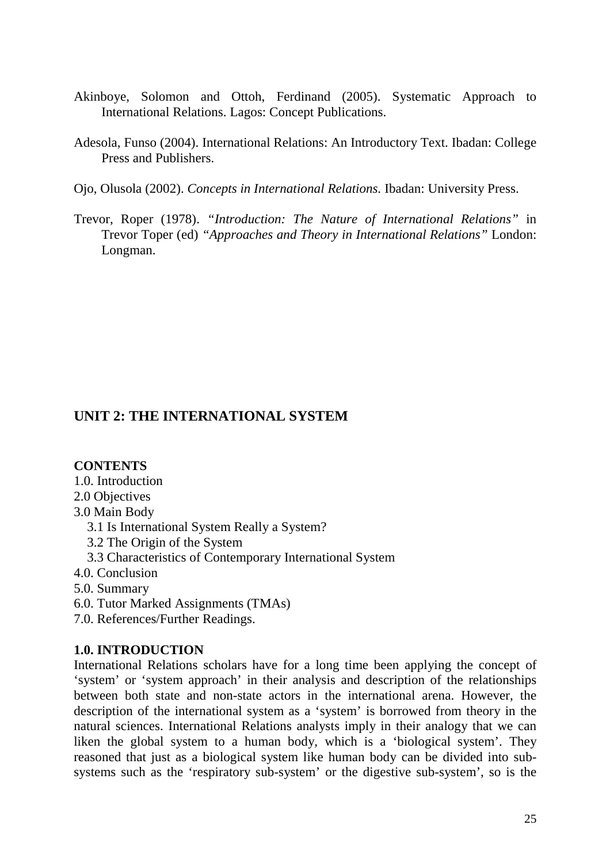- Akinboye, Solomon and Ottoh, Ferdinand (2005). Systematic Approach to International Relations. Lagos: Concept Publications.
- Adesola, Funso (2004). International Relations: An Introductory Text. Ibadan: College Press and Publishers.
- Ojo, Olusola (2002). *Concepts in International Relations.* Ibadan: University Press.
- Trevor, Roper (1978). *"Introduction: The Nature of International Relations"* in Trevor Toper (ed) *"Approaches and Theory in International Relations"* London: Longman.

# **UNIT 2: THE INTERNATIONAL SYSTEM**

#### **CONTENTS**

- 1.0. Introduction
- 2.0 Objectives
- 3.0 Main Body
	- 3.1 Is International System Really a System?
	- 3.2 The Origin of the System
	- 3.3 Characteristics of Contemporary International System
- 4.0. Conclusion
- 5.0. Summary
- 6.0. Tutor Marked Assignments (TMAs)
- 7.0. References/Further Readings.

#### **1.0. INTRODUCTION**

International Relations scholars have for a long time been applying the concept of 'system' or 'system approach' in their analysis and description of the relationships between both state and non-state actors in the international arena. However, the description of the international system as a 'system' is borrowed from theory in the natural sciences. International Relations analysts imply in their analogy that we can liken the global system to a human body, which is a 'biological system'. They reasoned that just as a biological system like human body can be divided into subsystems such as the 'respiratory sub-system' or the digestive sub-system', so is the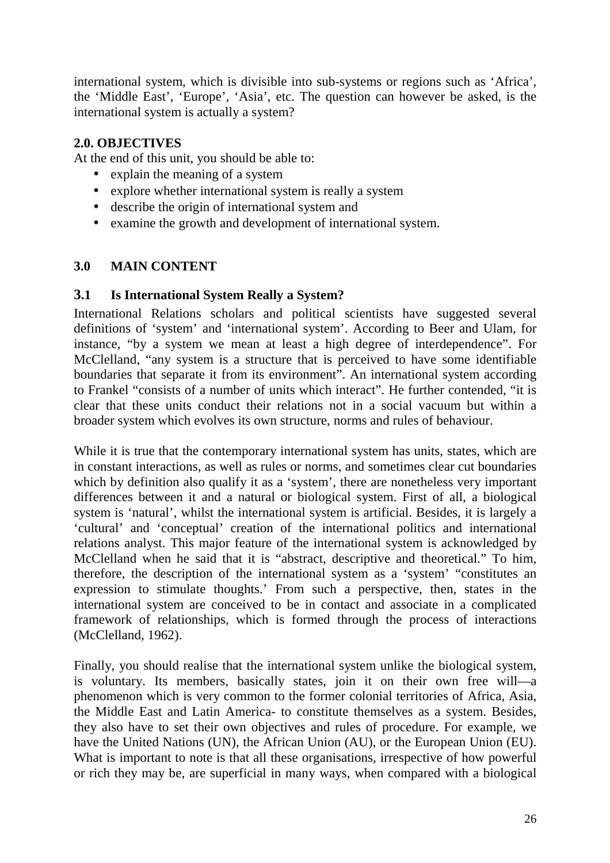international system, which is divisible into sub-systems or regions such as 'Africa', the 'Middle East', 'Europe', 'Asia', etc. The question can however be asked, is the international system is actually a system?

# **2.0. OBJECTIVES**

At the end of this unit, you should be able to:

- explain the meaning of a system
- explore whether international system is really a system
- describe the origin of international system and
- examine the growth and development of international system.

# **3.0 MAIN CONTENT**

# **3.1 Is International System Really a System?**

International Relations scholars and political scientists have suggested several definitions of 'system' and 'international system'. According to Beer and Ulam, for instance, "by a system we mean at least a high degree of interdependence". For McClelland, "any system is a structure that is perceived to have some identifiable boundaries that separate it from its environment". An international system according to Frankel "consists of a number of units which interact". He further contended, "it is clear that these units conduct their relations not in a social vacuum but within a broader system which evolves its own structure, norms and rules of behaviour.

While it is true that the contemporary international system has units, states, which are in constant interactions, as well as rules or norms, and sometimes clear cut boundaries which by definition also qualify it as a 'system', there are nonetheless very important differences between it and a natural or biological system. First of all, a biological system is 'natural', whilst the international system is artificial. Besides, it is largely a 'cultural' and 'conceptual' creation of the international politics and international relations analyst. This major feature of the international system is acknowledged by McClelland when he said that it is "abstract, descriptive and theoretical." To him, therefore, the description of the international system as a 'system' "constitutes an expression to stimulate thoughts.' From such a perspective, then, states in the international system are conceived to be in contact and associate in a complicated framework of relationships, which is formed through the process of interactions (McClelland, 1962).

Finally, you should realise that the international system unlike the biological system, is voluntary. Its members, basically states, join it on their own free will—a phenomenon which is very common to the former colonial territories of Africa, Asia, the Middle East and Latin America- to constitute themselves as a system. Besides, they also have to set their own objectives and rules of procedure. For example, we have the United Nations (UN), the African Union (AU), or the European Union (EU). What is important to note is that all these organisations, irrespective of how powerful or rich they may be, are superficial in many ways, when compared with a biological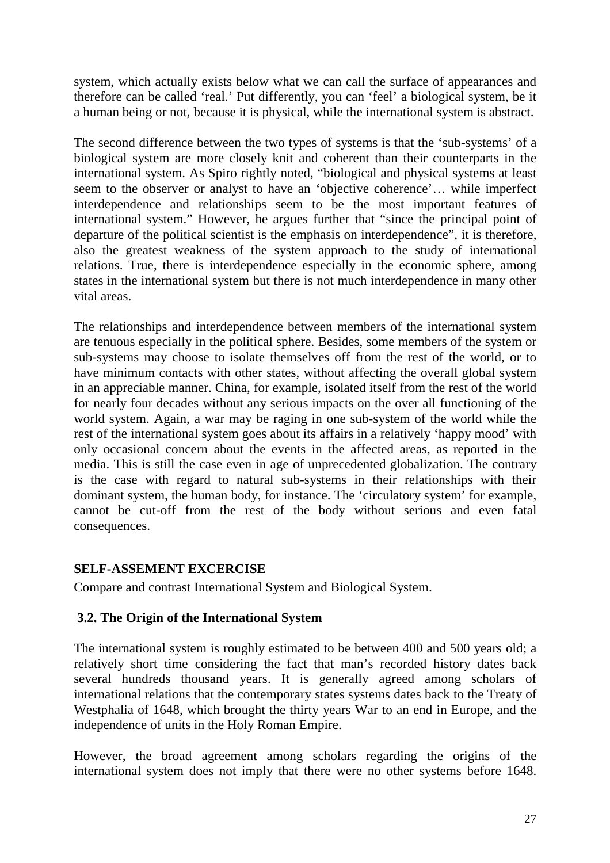system, which actually exists below what we can call the surface of appearances and therefore can be called 'real.' Put differently, you can 'feel' a biological system, be it a human being or not, because it is physical, while the international system is abstract.

The second difference between the two types of systems is that the 'sub-systems' of a biological system are more closely knit and coherent than their counterparts in the international system. As Spiro rightly noted, "biological and physical systems at least seem to the observer or analyst to have an 'objective coherence'… while imperfect interdependence and relationships seem to be the most important features of international system." However, he argues further that "since the principal point of departure of the political scientist is the emphasis on interdependence", it is therefore, also the greatest weakness of the system approach to the study of international relations. True, there is interdependence especially in the economic sphere, among states in the international system but there is not much interdependence in many other vital areas.

The relationships and interdependence between members of the international system are tenuous especially in the political sphere. Besides, some members of the system or sub-systems may choose to isolate themselves off from the rest of the world, or to have minimum contacts with other states, without affecting the overall global system in an appreciable manner. China, for example, isolated itself from the rest of the world for nearly four decades without any serious impacts on the over all functioning of the world system. Again, a war may be raging in one sub-system of the world while the rest of the international system goes about its affairs in a relatively 'happy mood' with only occasional concern about the events in the affected areas, as reported in the media. This is still the case even in age of unprecedented globalization. The contrary is the case with regard to natural sub-systems in their relationships with their dominant system, the human body, for instance. The 'circulatory system' for example, cannot be cut-off from the rest of the body without serious and even fatal consequences.

## **SELF-ASSEMENT EXCERCISE**

Compare and contrast International System and Biological System.

# **3.2. The Origin of the International System**

The international system is roughly estimated to be between 400 and 500 years old; a relatively short time considering the fact that man's recorded history dates back several hundreds thousand years. It is generally agreed among scholars of international relations that the contemporary states systems dates back to the Treaty of Westphalia of 1648, which brought the thirty years War to an end in Europe, and the independence of units in the Holy Roman Empire.

However, the broad agreement among scholars regarding the origins of the international system does not imply that there were no other systems before 1648.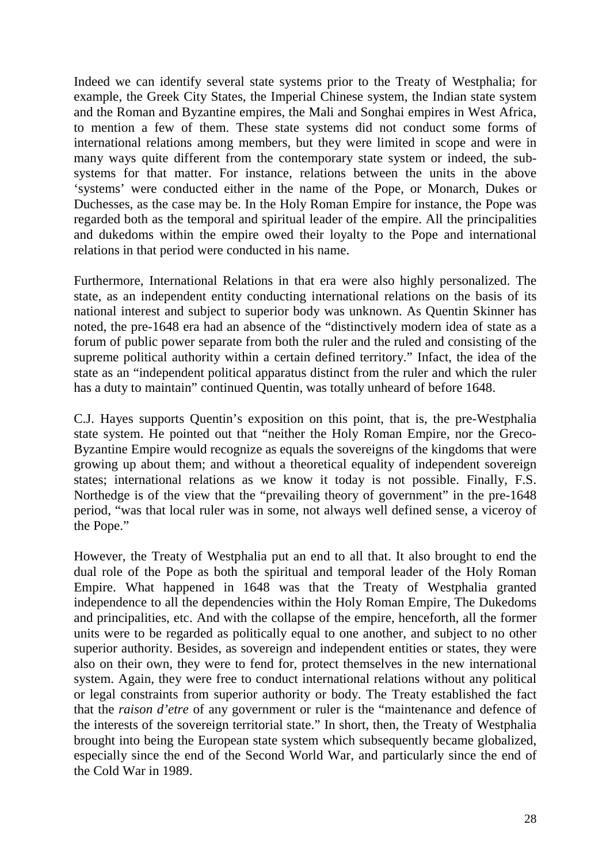Indeed we can identify several state systems prior to the Treaty of Westphalia; for example, the Greek City States, the Imperial Chinese system, the Indian state system and the Roman and Byzantine empires, the Mali and Songhai empires in West Africa, to mention a few of them. These state systems did not conduct some forms of international relations among members, but they were limited in scope and were in many ways quite different from the contemporary state system or indeed, the subsystems for that matter. For instance, relations between the units in the above 'systems' were conducted either in the name of the Pope, or Monarch, Dukes or Duchesses, as the case may be. In the Holy Roman Empire for instance, the Pope was regarded both as the temporal and spiritual leader of the empire. All the principalities and dukedoms within the empire owed their loyalty to the Pope and international relations in that period were conducted in his name.

Furthermore, International Relations in that era were also highly personalized. The state, as an independent entity conducting international relations on the basis of its national interest and subject to superior body was unknown. As Quentin Skinner has noted, the pre-1648 era had an absence of the "distinctively modern idea of state as a forum of public power separate from both the ruler and the ruled and consisting of the supreme political authority within a certain defined territory." Infact, the idea of the state as an "independent political apparatus distinct from the ruler and which the ruler has a duty to maintain" continued Quentin, was totally unheard of before 1648.

C.J. Hayes supports Quentin's exposition on this point, that is, the pre-Westphalia state system. He pointed out that "neither the Holy Roman Empire, nor the Greco-Byzantine Empire would recognize as equals the sovereigns of the kingdoms that were growing up about them; and without a theoretical equality of independent sovereign states; international relations as we know it today is not possible. Finally, F.S. Northedge is of the view that the "prevailing theory of government" in the pre-1648 period, "was that local ruler was in some, not always well defined sense, a viceroy of the Pope."

However, the Treaty of Westphalia put an end to all that. It also brought to end the dual role of the Pope as both the spiritual and temporal leader of the Holy Roman Empire. What happened in 1648 was that the Treaty of Westphalia granted independence to all the dependencies within the Holy Roman Empire, The Dukedoms and principalities, etc. And with the collapse of the empire, henceforth, all the former units were to be regarded as politically equal to one another, and subject to no other superior authority. Besides, as sovereign and independent entities or states, they were also on their own, they were to fend for, protect themselves in the new international system. Again, they were free to conduct international relations without any political or legal constraints from superior authority or body. The Treaty established the fact that the *raison d'etre* of any government or ruler is the "maintenance and defence of the interests of the sovereign territorial state." In short, then, the Treaty of Westphalia brought into being the European state system which subsequently became globalized, especially since the end of the Second World War, and particularly since the end of the Cold War in 1989.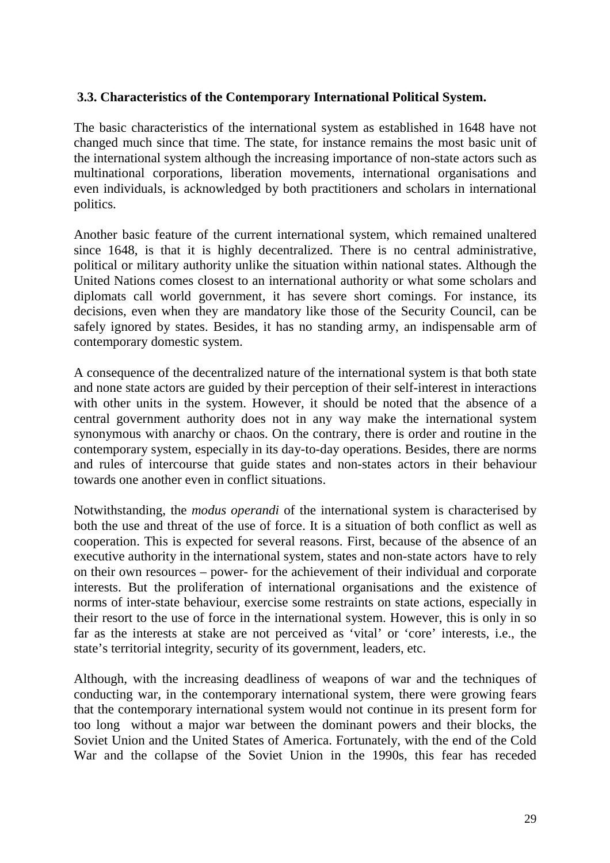## **3.3. Characteristics of the Contemporary International Political System.**

The basic characteristics of the international system as established in 1648 have not changed much since that time. The state, for instance remains the most basic unit of the international system although the increasing importance of non-state actors such as multinational corporations, liberation movements, international organisations and even individuals, is acknowledged by both practitioners and scholars in international politics.

Another basic feature of the current international system, which remained unaltered since 1648, is that it is highly decentralized. There is no central administrative, political or military authority unlike the situation within national states. Although the United Nations comes closest to an international authority or what some scholars and diplomats call world government, it has severe short comings. For instance, its decisions, even when they are mandatory like those of the Security Council, can be safely ignored by states. Besides, it has no standing army, an indispensable arm of contemporary domestic system.

A consequence of the decentralized nature of the international system is that both state and none state actors are guided by their perception of their self-interest in interactions with other units in the system. However, it should be noted that the absence of a central government authority does not in any way make the international system synonymous with anarchy or chaos. On the contrary, there is order and routine in the contemporary system, especially in its day-to-day operations. Besides, there are norms and rules of intercourse that guide states and non-states actors in their behaviour towards one another even in conflict situations.

Notwithstanding, the *modus operandi* of the international system is characterised by both the use and threat of the use of force. It is a situation of both conflict as well as cooperation. This is expected for several reasons. First, because of the absence of an executive authority in the international system, states and non-state actors have to rely on their own resources – power- for the achievement of their individual and corporate interests. But the proliferation of international organisations and the existence of norms of inter-state behaviour, exercise some restraints on state actions, especially in their resort to the use of force in the international system. However, this is only in so far as the interests at stake are not perceived as 'vital' or 'core' interests, i.e., the state's territorial integrity, security of its government, leaders, etc.

Although, with the increasing deadliness of weapons of war and the techniques of conducting war, in the contemporary international system, there were growing fears that the contemporary international system would not continue in its present form for too long without a major war between the dominant powers and their blocks, the Soviet Union and the United States of America. Fortunately, with the end of the Cold War and the collapse of the Soviet Union in the 1990s, this fear has receded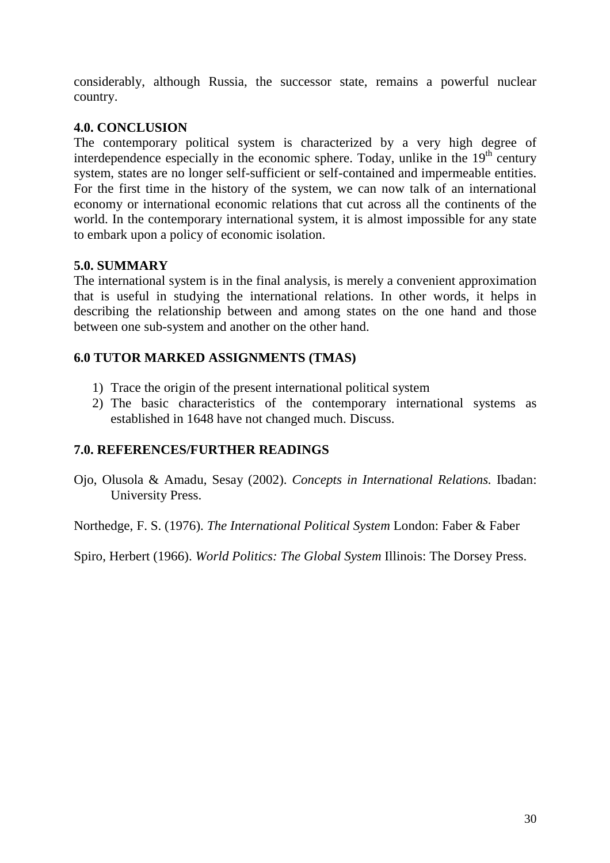considerably, although Russia, the successor state, remains a powerful nuclear country.

## **4.0. CONCLUSION**

The contemporary political system is characterized by a very high degree of interdependence especially in the economic sphere. Today, unlike in the  $19<sup>th</sup>$  century system, states are no longer self-sufficient or self-contained and impermeable entities. For the first time in the history of the system, we can now talk of an international economy or international economic relations that cut across all the continents of the world. In the contemporary international system, it is almost impossible for any state to embark upon a policy of economic isolation.

# **5.0. SUMMARY**

The international system is in the final analysis, is merely a convenient approximation that is useful in studying the international relations. In other words, it helps in describing the relationship between and among states on the one hand and those between one sub-system and another on the other hand.

# **6.0 TUTOR MARKED ASSIGNMENTS (TMAS)**

- 1) Trace the origin of the present international political system
- 2) The basic characteristics of the contemporary international systems as established in 1648 have not changed much. Discuss.

# **7.0. REFERENCES/FURTHER READINGS**

Ojo, Olusola & Amadu, Sesay (2002). *Concepts in International Relations.* Ibadan: University Press.

Northedge, F. S. (1976). *The International Political System* London: Faber & Faber

Spiro, Herbert (1966). *World Politics: The Global System* Illinois: The Dorsey Press.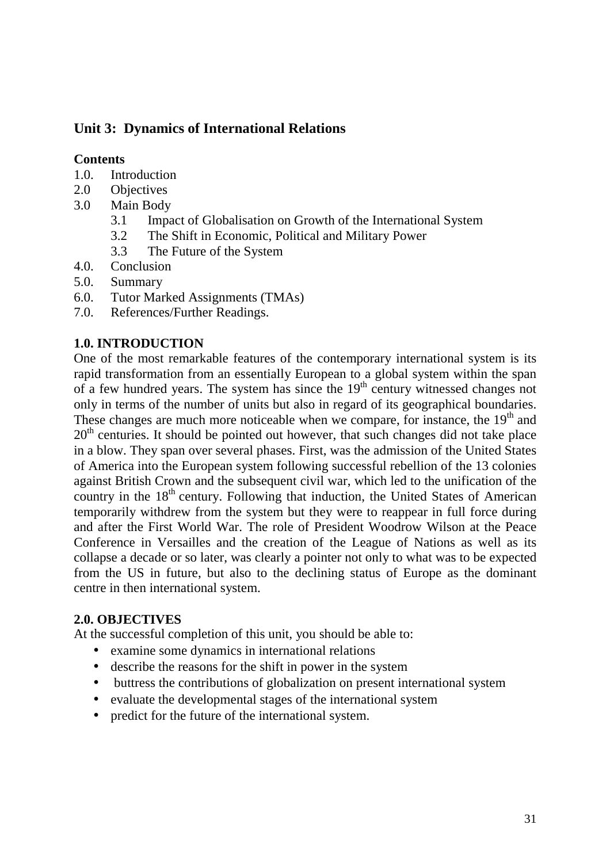# **Unit 3: Dynamics of International Relations**

# **Contents**

- 1.0. Introduction
- 2.0 Objectives
- 3.0 Main Body
	- 3.1 Impact of Globalisation on Growth of the International System
	- 3.2 The Shift in Economic, Political and Military Power
	- 3.3 The Future of the System
- 4.0. Conclusion
- 5.0. Summary
- 6.0. Tutor Marked Assignments (TMAs)
- 7.0. References/Further Readings.

# **1.0. INTRODUCTION**

One of the most remarkable features of the contemporary international system is its rapid transformation from an essentially European to a global system within the span of a few hundred years. The system has since the  $19<sup>th</sup>$  century witnessed changes not only in terms of the number of units but also in regard of its geographical boundaries. These changes are much more noticeable when we compare, for instance, the  $19<sup>th</sup>$  and  $20<sup>th</sup>$  centuries. It should be pointed out however, that such changes did not take place in a blow. They span over several phases. First, was the admission of the United States of America into the European system following successful rebellion of the 13 colonies against British Crown and the subsequent civil war, which led to the unification of the country in the  $18<sup>th</sup>$  century. Following that induction, the United States of American temporarily withdrew from the system but they were to reappear in full force during and after the First World War. The role of President Woodrow Wilson at the Peace Conference in Versailles and the creation of the League of Nations as well as its collapse a decade or so later, was clearly a pointer not only to what was to be expected from the US in future, but also to the declining status of Europe as the dominant centre in then international system.

## **2.0. OBJECTIVES**

At the successful completion of this unit, you should be able to:

- examine some dynamics in international relations
- describe the reasons for the shift in power in the system
- buttress the contributions of globalization on present international system
- evaluate the developmental stages of the international system
- predict for the future of the international system.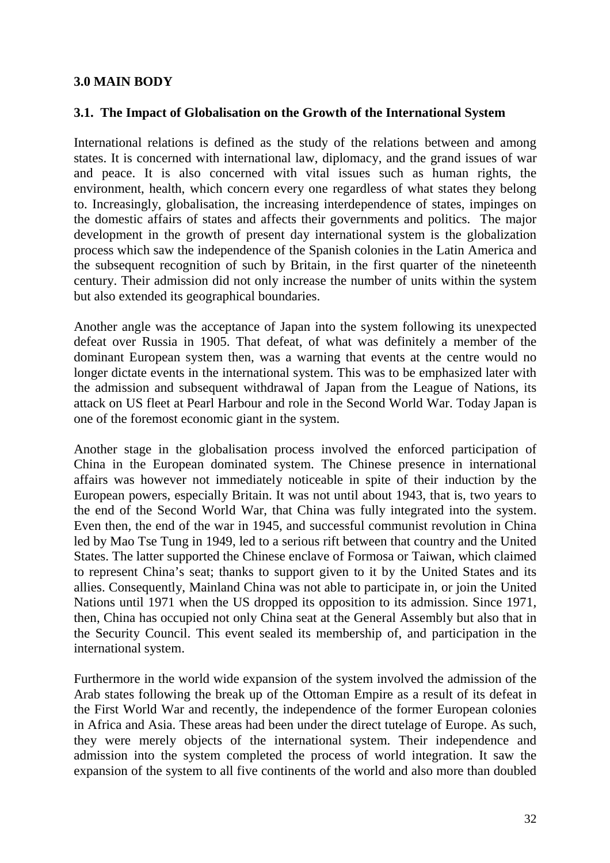### **3.0 MAIN BODY**

#### **3.1. The Impact of Globalisation on the Growth of the International System**

International relations is defined as the study of the relations between and among states. It is concerned with international law, diplomacy, and the grand issues of war and peace. It is also concerned with vital issues such as human rights, the environment, health, which concern every one regardless of what states they belong to. Increasingly, globalisation, the increasing interdependence of states, impinges on the domestic affairs of states and affects their governments and politics. The major development in the growth of present day international system is the globalization process which saw the independence of the Spanish colonies in the Latin America and the subsequent recognition of such by Britain, in the first quarter of the nineteenth century. Their admission did not only increase the number of units within the system but also extended its geographical boundaries.

Another angle was the acceptance of Japan into the system following its unexpected defeat over Russia in 1905. That defeat, of what was definitely a member of the dominant European system then, was a warning that events at the centre would no longer dictate events in the international system. This was to be emphasized later with the admission and subsequent withdrawal of Japan from the League of Nations, its attack on US fleet at Pearl Harbour and role in the Second World War. Today Japan is one of the foremost economic giant in the system.

Another stage in the globalisation process involved the enforced participation of China in the European dominated system. The Chinese presence in international affairs was however not immediately noticeable in spite of their induction by the European powers, especially Britain. It was not until about 1943, that is, two years to the end of the Second World War, that China was fully integrated into the system. Even then, the end of the war in 1945, and successful communist revolution in China led by Mao Tse Tung in 1949, led to a serious rift between that country and the United States. The latter supported the Chinese enclave of Formosa or Taiwan, which claimed to represent China's seat; thanks to support given to it by the United States and its allies. Consequently, Mainland China was not able to participate in, or join the United Nations until 1971 when the US dropped its opposition to its admission. Since 1971, then, China has occupied not only China seat at the General Assembly but also that in the Security Council. This event sealed its membership of, and participation in the international system.

Furthermore in the world wide expansion of the system involved the admission of the Arab states following the break up of the Ottoman Empire as a result of its defeat in the First World War and recently, the independence of the former European colonies in Africa and Asia. These areas had been under the direct tutelage of Europe. As such, they were merely objects of the international system. Their independence and admission into the system completed the process of world integration. It saw the expansion of the system to all five continents of the world and also more than doubled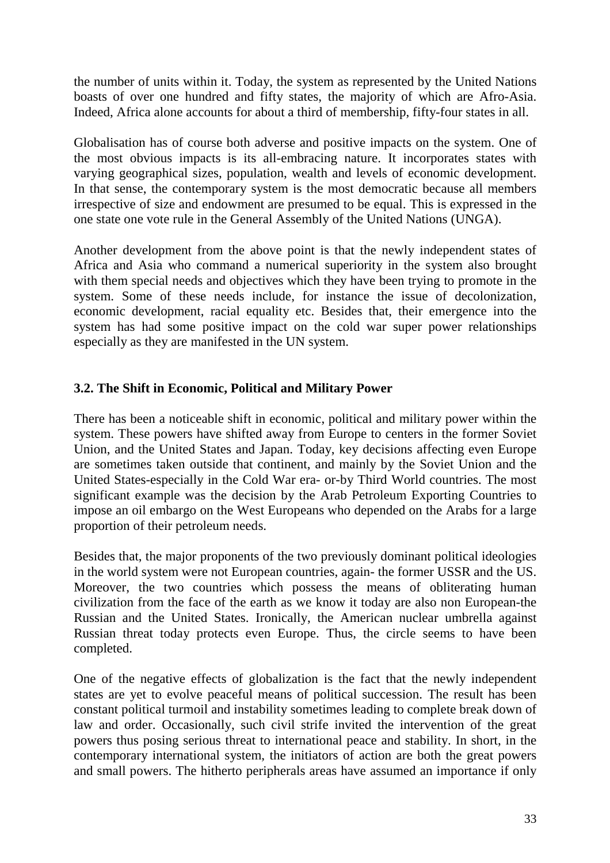the number of units within it. Today, the system as represented by the United Nations boasts of over one hundred and fifty states, the majority of which are Afro-Asia. Indeed, Africa alone accounts for about a third of membership, fifty-four states in all.

Globalisation has of course both adverse and positive impacts on the system. One of the most obvious impacts is its all-embracing nature. It incorporates states with varying geographical sizes, population, wealth and levels of economic development. In that sense, the contemporary system is the most democratic because all members irrespective of size and endowment are presumed to be equal. This is expressed in the one state one vote rule in the General Assembly of the United Nations (UNGA).

Another development from the above point is that the newly independent states of Africa and Asia who command a numerical superiority in the system also brought with them special needs and objectives which they have been trying to promote in the system. Some of these needs include, for instance the issue of decolonization, economic development, racial equality etc. Besides that, their emergence into the system has had some positive impact on the cold war super power relationships especially as they are manifested in the UN system.

# **3.2. The Shift in Economic, Political and Military Power**

There has been a noticeable shift in economic, political and military power within the system. These powers have shifted away from Europe to centers in the former Soviet Union, and the United States and Japan. Today, key decisions affecting even Europe are sometimes taken outside that continent, and mainly by the Soviet Union and the United States-especially in the Cold War era- or-by Third World countries. The most significant example was the decision by the Arab Petroleum Exporting Countries to impose an oil embargo on the West Europeans who depended on the Arabs for a large proportion of their petroleum needs.

Besides that, the major proponents of the two previously dominant political ideologies in the world system were not European countries, again- the former USSR and the US. Moreover, the two countries which possess the means of obliterating human civilization from the face of the earth as we know it today are also non European-the Russian and the United States. Ironically, the American nuclear umbrella against Russian threat today protects even Europe. Thus, the circle seems to have been completed.

One of the negative effects of globalization is the fact that the newly independent states are yet to evolve peaceful means of political succession. The result has been constant political turmoil and instability sometimes leading to complete break down of law and order. Occasionally, such civil strife invited the intervention of the great powers thus posing serious threat to international peace and stability. In short, in the contemporary international system, the initiators of action are both the great powers and small powers. The hitherto peripherals areas have assumed an importance if only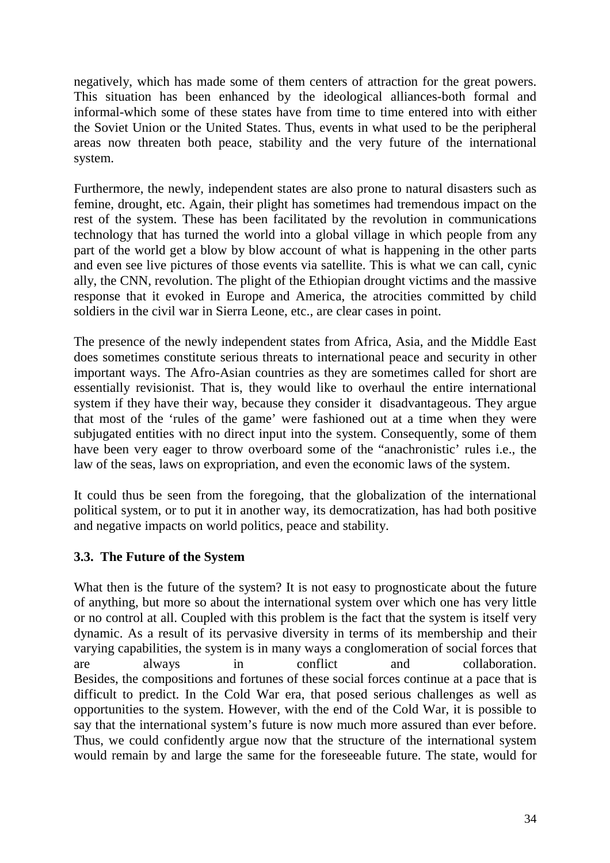negatively, which has made some of them centers of attraction for the great powers. This situation has been enhanced by the ideological alliances-both formal and informal-which some of these states have from time to time entered into with either the Soviet Union or the United States. Thus, events in what used to be the peripheral areas now threaten both peace, stability and the very future of the international system.

Furthermore, the newly, independent states are also prone to natural disasters such as femine, drought, etc. Again, their plight has sometimes had tremendous impact on the rest of the system. These has been facilitated by the revolution in communications technology that has turned the world into a global village in which people from any part of the world get a blow by blow account of what is happening in the other parts and even see live pictures of those events via satellite. This is what we can call, cynic ally, the CNN, revolution. The plight of the Ethiopian drought victims and the massive response that it evoked in Europe and America, the atrocities committed by child soldiers in the civil war in Sierra Leone, etc., are clear cases in point.

The presence of the newly independent states from Africa, Asia, and the Middle East does sometimes constitute serious threats to international peace and security in other important ways. The Afro-Asian countries as they are sometimes called for short are essentially revisionist. That is, they would like to overhaul the entire international system if they have their way, because they consider it disadvantageous. They argue that most of the 'rules of the game' were fashioned out at a time when they were subjugated entities with no direct input into the system. Consequently, some of them have been very eager to throw overboard some of the "anachronistic' rules i.e., the law of the seas, laws on expropriation, and even the economic laws of the system.

It could thus be seen from the foregoing, that the globalization of the international political system, or to put it in another way, its democratization, has had both positive and negative impacts on world politics, peace and stability.

# **3.3. The Future of the System**

What then is the future of the system? It is not easy to prognosticate about the future of anything, but more so about the international system over which one has very little or no control at all. Coupled with this problem is the fact that the system is itself very dynamic. As a result of its pervasive diversity in terms of its membership and their varying capabilities, the system is in many ways a conglomeration of social forces that are always in conflict and collaboration. Besides, the compositions and fortunes of these social forces continue at a pace that is difficult to predict. In the Cold War era, that posed serious challenges as well as opportunities to the system. However, with the end of the Cold War, it is possible to say that the international system's future is now much more assured than ever before. Thus, we could confidently argue now that the structure of the international system would remain by and large the same for the foreseeable future. The state, would for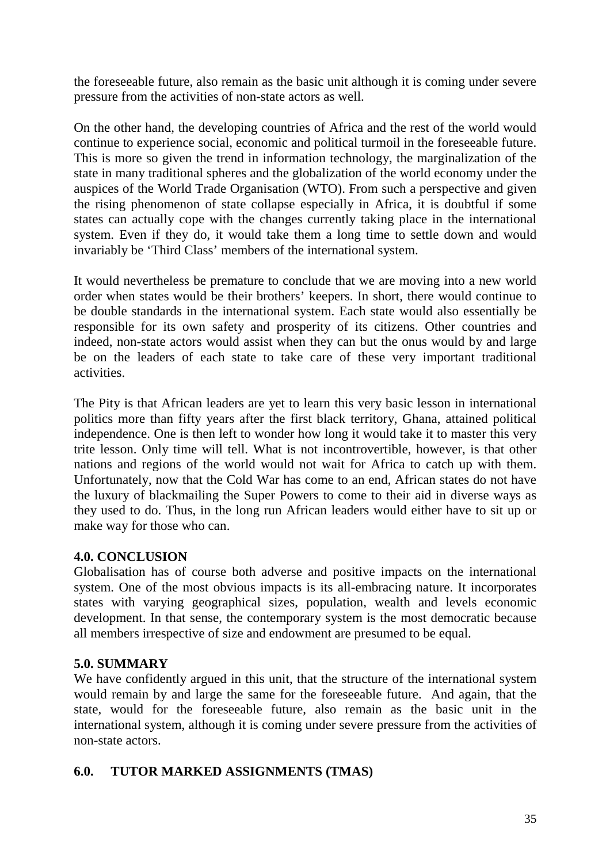the foreseeable future, also remain as the basic unit although it is coming under severe pressure from the activities of non-state actors as well.

On the other hand, the developing countries of Africa and the rest of the world would continue to experience social, economic and political turmoil in the foreseeable future. This is more so given the trend in information technology, the marginalization of the state in many traditional spheres and the globalization of the world economy under the auspices of the World Trade Organisation (WTO). From such a perspective and given the rising phenomenon of state collapse especially in Africa, it is doubtful if some states can actually cope with the changes currently taking place in the international system. Even if they do, it would take them a long time to settle down and would invariably be 'Third Class' members of the international system.

It would nevertheless be premature to conclude that we are moving into a new world order when states would be their brothers' keepers. In short, there would continue to be double standards in the international system. Each state would also essentially be responsible for its own safety and prosperity of its citizens. Other countries and indeed, non-state actors would assist when they can but the onus would by and large be on the leaders of each state to take care of these very important traditional activities.

The Pity is that African leaders are yet to learn this very basic lesson in international politics more than fifty years after the first black territory, Ghana, attained political independence. One is then left to wonder how long it would take it to master this very trite lesson. Only time will tell. What is not incontrovertible, however, is that other nations and regions of the world would not wait for Africa to catch up with them. Unfortunately, now that the Cold War has come to an end, African states do not have the luxury of blackmailing the Super Powers to come to their aid in diverse ways as they used to do. Thus, in the long run African leaders would either have to sit up or make way for those who can.

# **4.0. CONCLUSION**

Globalisation has of course both adverse and positive impacts on the international system. One of the most obvious impacts is its all-embracing nature. It incorporates states with varying geographical sizes, population, wealth and levels economic development. In that sense, the contemporary system is the most democratic because all members irrespective of size and endowment are presumed to be equal.

## **5.0. SUMMARY**

We have confidently argued in this unit, that the structure of the international system would remain by and large the same for the foreseeable future. And again, that the state, would for the foreseeable future, also remain as the basic unit in the international system, although it is coming under severe pressure from the activities of non-state actors.

# **6.0. TUTOR MARKED ASSIGNMENTS (TMAS)**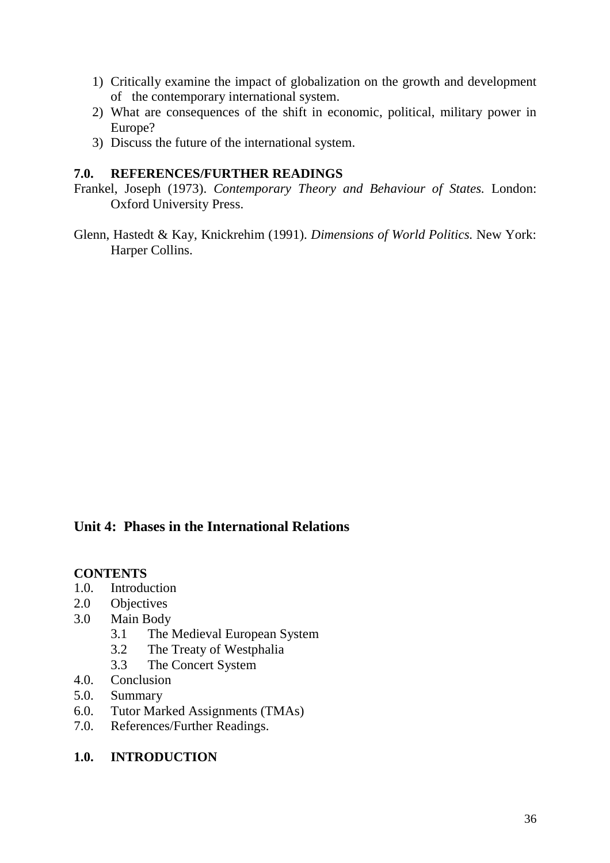- 1) Critically examine the impact of globalization on the growth and development of the contemporary international system.
- 2) What are consequences of the shift in economic, political, military power in Europe?
- 3) Discuss the future of the international system.

## **7.0. REFERENCES/FURTHER READINGS**

- Frankel, Joseph (1973). *Contemporary Theory and Behaviour of States.* London: Oxford University Press.
- Glenn, Hastedt & Kay, Knickrehim (1991). *Dimensions of World Politics.* New York: Harper Collins.

# **Unit 4: Phases in the International Relations**

## **CONTENTS**

- 1.0. Introduction
- 2.0 Objectives
- 3.0 Main Body
	- 3.1 The Medieval European System
	- 3.2 The Treaty of Westphalia
	- 3.3 The Concert System
- 4.0. Conclusion
- 5.0. Summary
- 6.0. Tutor Marked Assignments (TMAs)
- 7.0. References/Further Readings.

## **1.0. INTRODUCTION**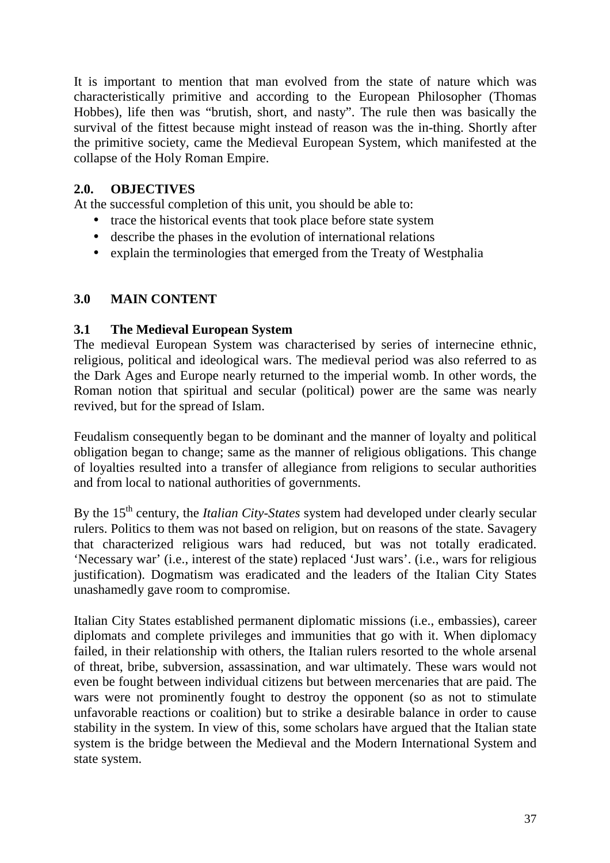It is important to mention that man evolved from the state of nature which was characteristically primitive and according to the European Philosopher (Thomas Hobbes), life then was "brutish, short, and nasty". The rule then was basically the survival of the fittest because might instead of reason was the in-thing. Shortly after the primitive society, came the Medieval European System, which manifested at the collapse of the Holy Roman Empire.

### **2.0. OBJECTIVES**

At the successful completion of this unit, you should be able to:

- trace the historical events that took place before state system
- describe the phases in the evolution of international relations
- explain the terminologies that emerged from the Treaty of Westphalia

### **3.0 MAIN CONTENT**

### **3.1 The Medieval European System**

The medieval European System was characterised by series of internecine ethnic, religious, political and ideological wars. The medieval period was also referred to as the Dark Ages and Europe nearly returned to the imperial womb. In other words, the Roman notion that spiritual and secular (political) power are the same was nearly revived, but for the spread of Islam.

Feudalism consequently began to be dominant and the manner of loyalty and political obligation began to change; same as the manner of religious obligations. This change of loyalties resulted into a transfer of allegiance from religions to secular authorities and from local to national authorities of governments.

By the 15<sup>th</sup> century, the *Italian City-States* system had developed under clearly secular rulers. Politics to them was not based on religion, but on reasons of the state. Savagery that characterized religious wars had reduced, but was not totally eradicated. 'Necessary war' (i.e., interest of the state) replaced 'Just wars'. (i.e., wars for religious justification). Dogmatism was eradicated and the leaders of the Italian City States unashamedly gave room to compromise.

Italian City States established permanent diplomatic missions (i.e., embassies), career diplomats and complete privileges and immunities that go with it. When diplomacy failed, in their relationship with others, the Italian rulers resorted to the whole arsenal of threat, bribe, subversion, assassination, and war ultimately. These wars would not even be fought between individual citizens but between mercenaries that are paid. The wars were not prominently fought to destroy the opponent (so as not to stimulate unfavorable reactions or coalition) but to strike a desirable balance in order to cause stability in the system. In view of this, some scholars have argued that the Italian state system is the bridge between the Medieval and the Modern International System and state system.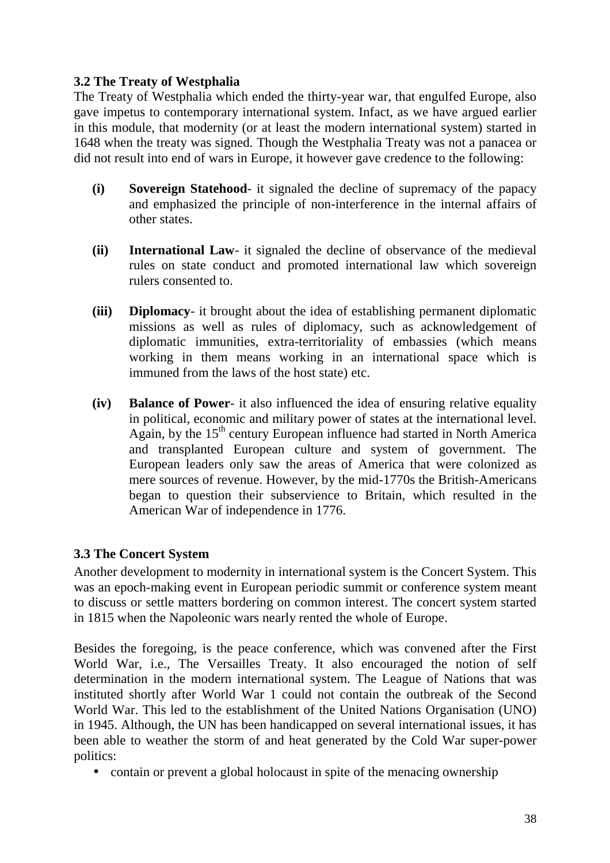# **3.2 The Treaty of Westphalia**

The Treaty of Westphalia which ended the thirty-year war, that engulfed Europe, also gave impetus to contemporary international system. Infact, as we have argued earlier in this module, that modernity (or at least the modern international system) started in 1648 when the treaty was signed. Though the Westphalia Treaty was not a panacea or did not result into end of wars in Europe, it however gave credence to the following:

- **(i) Sovereign Statehood** it signaled the decline of supremacy of the papacy and emphasized the principle of non-interference in the internal affairs of other states.
- **(ii) International Law** it signaled the decline of observance of the medieval rules on state conduct and promoted international law which sovereign rulers consented to.
- **(iii) Diplomacy** it brought about the idea of establishing permanent diplomatic missions as well as rules of diplomacy, such as acknowledgement of diplomatic immunities, extra-territoriality of embassies (which means working in them means working in an international space which is immuned from the laws of the host state) etc.
- **(iv) Balance of Power** it also influenced the idea of ensuring relative equality in political, economic and military power of states at the international level. Again, by the  $15<sup>th</sup>$  century European influence had started in North America and transplanted European culture and system of government. The European leaders only saw the areas of America that were colonized as mere sources of revenue. However, by the mid-1770s the British-Americans began to question their subservience to Britain, which resulted in the American War of independence in 1776.

# **3.3 The Concert System**

Another development to modernity in international system is the Concert System. This was an epoch-making event in European periodic summit or conference system meant to discuss or settle matters bordering on common interest. The concert system started in 1815 when the Napoleonic wars nearly rented the whole of Europe.

Besides the foregoing, is the peace conference, which was convened after the First World War, i.e., The Versailles Treaty. It also encouraged the notion of self determination in the modern international system. The League of Nations that was instituted shortly after World War 1 could not contain the outbreak of the Second World War. This led to the establishment of the United Nations Organisation (UNO) in 1945. Although, the UN has been handicapped on several international issues, it has been able to weather the storm of and heat generated by the Cold War super-power politics:

• contain or prevent a global holocaust in spite of the menacing ownership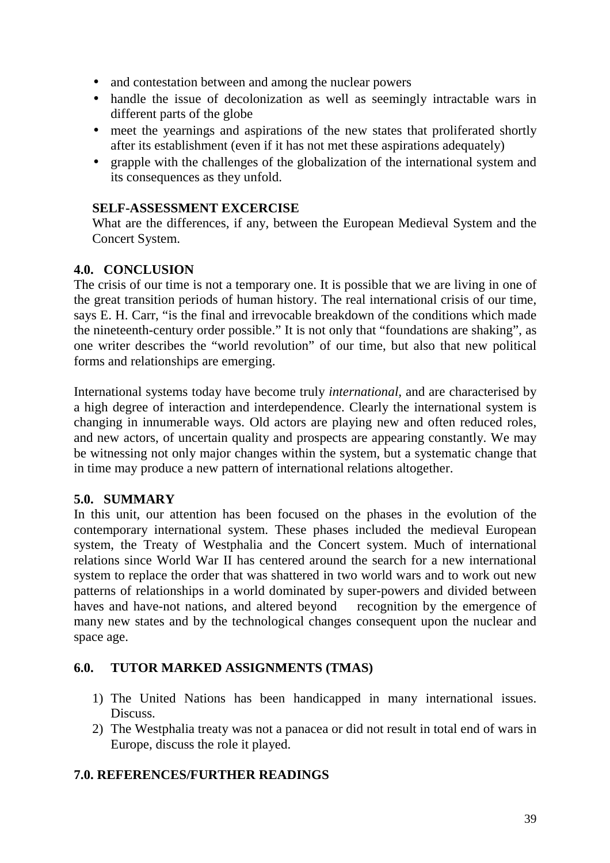- and contestation between and among the nuclear powers
- handle the issue of decolonization as well as seemingly intractable wars in different parts of the globe
- meet the yearnings and aspirations of the new states that proliferated shortly after its establishment (even if it has not met these aspirations adequately)
- grapple with the challenges of the globalization of the international system and its consequences as they unfold.

#### **SELF-ASSESSMENT EXCERCISE**

What are the differences, if any, between the European Medieval System and the Concert System.

### **4.0. CONCLUSION**

The crisis of our time is not a temporary one. It is possible that we are living in one of the great transition periods of human history. The real international crisis of our time, says E. H. Carr, "is the final and irrevocable breakdown of the conditions which made the nineteenth-century order possible." It is not only that "foundations are shaking", as one writer describes the "world revolution" of our time, but also that new political forms and relationships are emerging.

International systems today have become truly *international,* and are characterised by a high degree of interaction and interdependence. Clearly the international system is changing in innumerable ways. Old actors are playing new and often reduced roles, and new actors, of uncertain quality and prospects are appearing constantly. We may be witnessing not only major changes within the system, but a systematic change that in time may produce a new pattern of international relations altogether.

### **5.0. SUMMARY**

In this unit, our attention has been focused on the phases in the evolution of the contemporary international system. These phases included the medieval European system, the Treaty of Westphalia and the Concert system. Much of international relations since World War II has centered around the search for a new international system to replace the order that was shattered in two world wars and to work out new patterns of relationships in a world dominated by super-powers and divided between haves and have-not nations, and altered beyond recognition by the emergence of many new states and by the technological changes consequent upon the nuclear and space age.

### **6.0. TUTOR MARKED ASSIGNMENTS (TMAS)**

- 1) The United Nations has been handicapped in many international issues. Discuss.
- 2) The Westphalia treaty was not a panacea or did not result in total end of wars in Europe, discuss the role it played.

### **7.0. REFERENCES/FURTHER READINGS**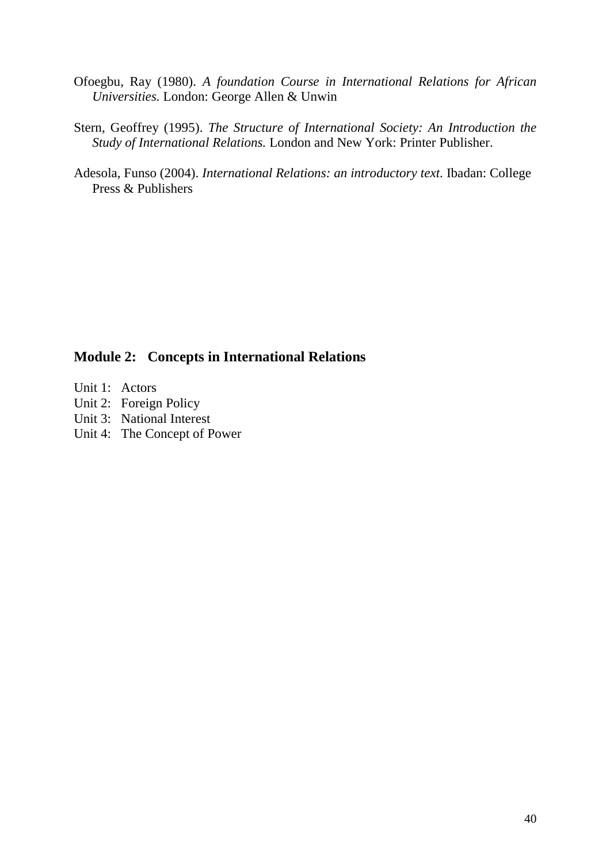- Ofoegbu, Ray (1980). *A foundation Course in International Relations for African Universities.* London: George Allen & Unwin
- Stern, Geoffrey (1995). *The Structure of International Society: An Introduction the Study of International Relations.* London and New York: Printer Publisher.
- Adesola, Funso (2004). *International Relations: an introductory text*. Ibadan: College Press & Publishers

# **Module 2: Concepts in International Relations**

- Unit 1: Actors
- Unit 2: Foreign Policy
- Unit 3: National Interest
- Unit 4: The Concept of Power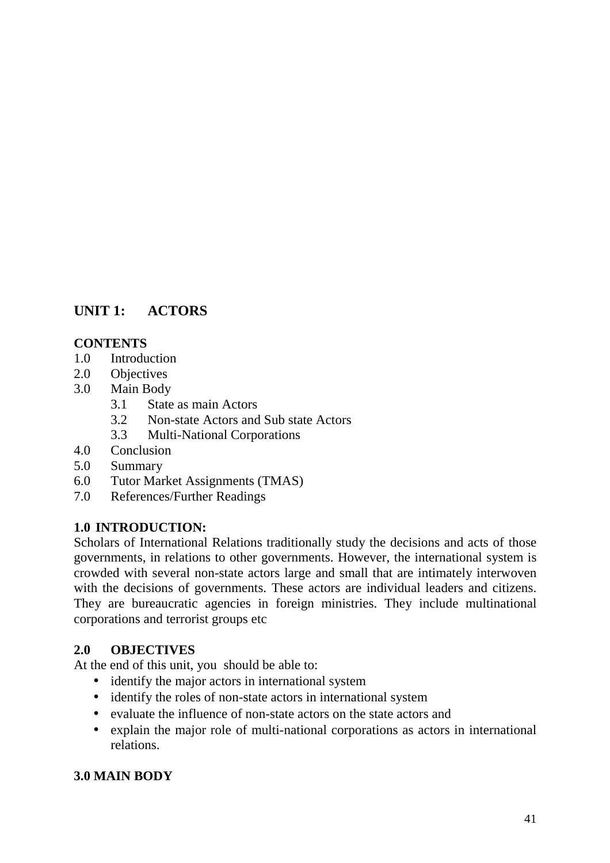# **UNIT 1: ACTORS**

### **CONTENTS**

- 1.0 Introduction
- 2.0 Objectives
- 3.0 Main Body
	- 3.1 State as main Actors
	- 3.2 Non-state Actors and Sub state Actors
	- 3.3 Multi-National Corporations
- 4.0 Conclusion
- 5.0 Summary
- 6.0 Tutor Market Assignments (TMAS)
- 7.0 References/Further Readings

### **1.0 INTRODUCTION:**

Scholars of International Relations traditionally study the decisions and acts of those governments, in relations to other governments. However, the international system is crowded with several non-state actors large and small that are intimately interwoven with the decisions of governments. These actors are individual leaders and citizens. They are bureaucratic agencies in foreign ministries. They include multinational corporations and terrorist groups etc

### **2.0 OBJECTIVES**

At the end of this unit, you should be able to:

- identify the major actors in international system
- identify the roles of non-state actors in international system
- evaluate the influence of non-state actors on the state actors and
- explain the major role of multi-national corporations as actors in international relations.

### **3.0 MAIN BODY**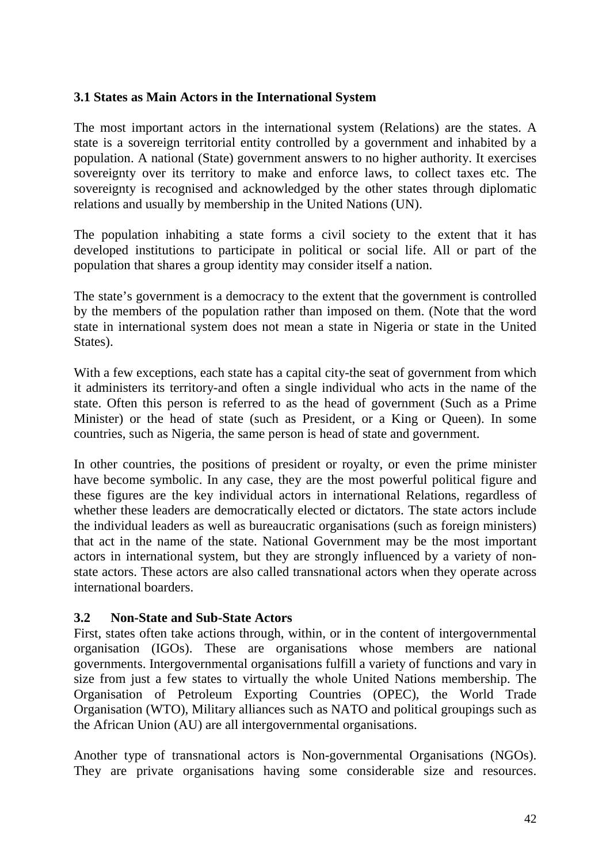### **3.1 States as Main Actors in the International System**

The most important actors in the international system (Relations) are the states. A state is a sovereign territorial entity controlled by a government and inhabited by a population. A national (State) government answers to no higher authority. It exercises sovereignty over its territory to make and enforce laws, to collect taxes etc. The sovereignty is recognised and acknowledged by the other states through diplomatic relations and usually by membership in the United Nations (UN).

The population inhabiting a state forms a civil society to the extent that it has developed institutions to participate in political or social life. All or part of the population that shares a group identity may consider itself a nation.

The state's government is a democracy to the extent that the government is controlled by the members of the population rather than imposed on them. (Note that the word state in international system does not mean a state in Nigeria or state in the United States).

With a few exceptions, each state has a capital city-the seat of government from which it administers its territory-and often a single individual who acts in the name of the state. Often this person is referred to as the head of government (Such as a Prime Minister) or the head of state (such as President, or a King or Queen). In some countries, such as Nigeria, the same person is head of state and government.

In other countries, the positions of president or royalty, or even the prime minister have become symbolic. In any case, they are the most powerful political figure and these figures are the key individual actors in international Relations, regardless of whether these leaders are democratically elected or dictators. The state actors include the individual leaders as well as bureaucratic organisations (such as foreign ministers) that act in the name of the state. National Government may be the most important actors in international system, but they are strongly influenced by a variety of nonstate actors. These actors are also called transnational actors when they operate across international boarders.

#### **3.2 Non-State and Sub-State Actors**

First, states often take actions through, within, or in the content of intergovernmental organisation (IGOs). These are organisations whose members are national governments. Intergovernmental organisations fulfill a variety of functions and vary in size from just a few states to virtually the whole United Nations membership. The Organisation of Petroleum Exporting Countries (OPEC), the World Trade Organisation (WTO), Military alliances such as NATO and political groupings such as the African Union (AU) are all intergovernmental organisations.

Another type of transnational actors is Non-governmental Organisations (NGOs). They are private organisations having some considerable size and resources.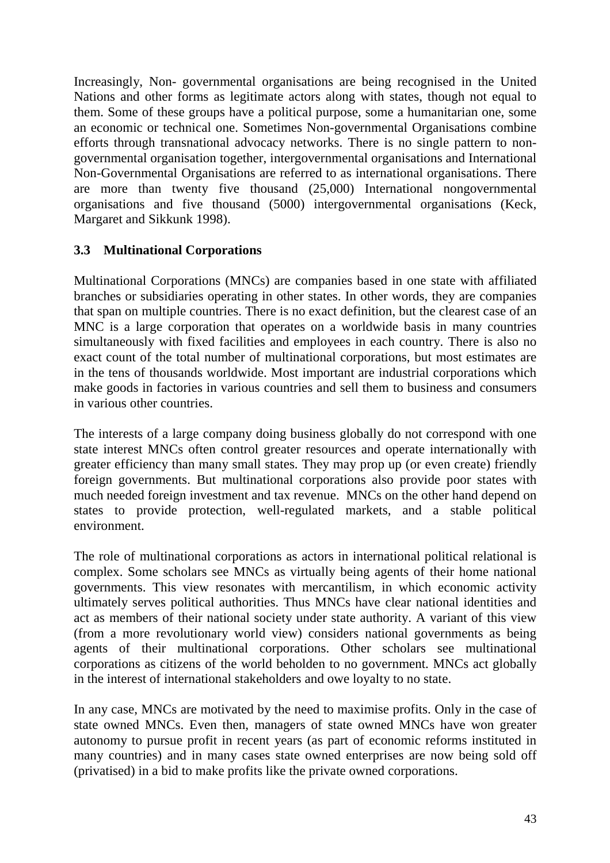Increasingly, Non- governmental organisations are being recognised in the United Nations and other forms as legitimate actors along with states, though not equal to them. Some of these groups have a political purpose, some a humanitarian one, some an economic or technical one. Sometimes Non-governmental Organisations combine efforts through transnational advocacy networks. There is no single pattern to nongovernmental organisation together, intergovernmental organisations and International Non-Governmental Organisations are referred to as international organisations. There are more than twenty five thousand (25,000) International nongovernmental organisations and five thousand (5000) intergovernmental organisations (Keck, Margaret and Sikkunk 1998).

### **3.3 Multinational Corporations**

Multinational Corporations (MNCs) are companies based in one state with affiliated branches or subsidiaries operating in other states. In other words, they are companies that span on multiple countries. There is no exact definition, but the clearest case of an MNC is a large corporation that operates on a worldwide basis in many countries simultaneously with fixed facilities and employees in each country. There is also no exact count of the total number of multinational corporations, but most estimates are in the tens of thousands worldwide. Most important are industrial corporations which make goods in factories in various countries and sell them to business and consumers in various other countries.

The interests of a large company doing business globally do not correspond with one state interest MNCs often control greater resources and operate internationally with greater efficiency than many small states. They may prop up (or even create) friendly foreign governments. But multinational corporations also provide poor states with much needed foreign investment and tax revenue. MNCs on the other hand depend on states to provide protection, well-regulated markets, and a stable political environment.

The role of multinational corporations as actors in international political relational is complex. Some scholars see MNCs as virtually being agents of their home national governments. This view resonates with mercantilism, in which economic activity ultimately serves political authorities. Thus MNCs have clear national identities and act as members of their national society under state authority. A variant of this view (from a more revolutionary world view) considers national governments as being agents of their multinational corporations. Other scholars see multinational corporations as citizens of the world beholden to no government. MNCs act globally in the interest of international stakeholders and owe loyalty to no state.

In any case, MNCs are motivated by the need to maximise profits. Only in the case of state owned MNCs. Even then, managers of state owned MNCs have won greater autonomy to pursue profit in recent years (as part of economic reforms instituted in many countries) and in many cases state owned enterprises are now being sold off (privatised) in a bid to make profits like the private owned corporations.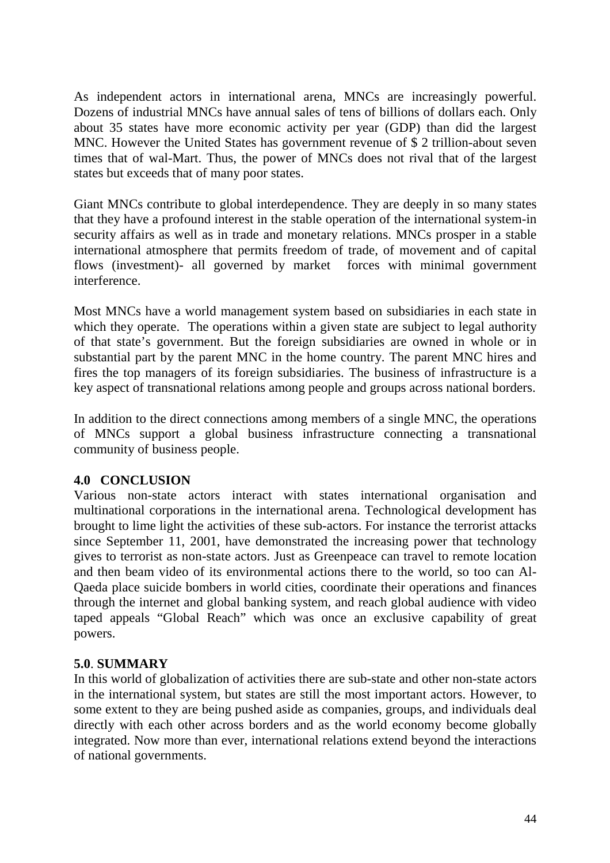As independent actors in international arena, MNCs are increasingly powerful. Dozens of industrial MNCs have annual sales of tens of billions of dollars each. Only about 35 states have more economic activity per year (GDP) than did the largest MNC. However the United States has government revenue of \$ 2 trillion-about seven times that of wal-Mart. Thus, the power of MNCs does not rival that of the largest states but exceeds that of many poor states.

Giant MNCs contribute to global interdependence. They are deeply in so many states that they have a profound interest in the stable operation of the international system-in security affairs as well as in trade and monetary relations. MNCs prosper in a stable international atmosphere that permits freedom of trade, of movement and of capital flows (investment)- all governed by market forces with minimal government interference.

Most MNCs have a world management system based on subsidiaries in each state in which they operate. The operations within a given state are subject to legal authority of that state's government. But the foreign subsidiaries are owned in whole or in substantial part by the parent MNC in the home country. The parent MNC hires and fires the top managers of its foreign subsidiaries. The business of infrastructure is a key aspect of transnational relations among people and groups across national borders.

In addition to the direct connections among members of a single MNC, the operations of MNCs support a global business infrastructure connecting a transnational community of business people.

### **4.0 CONCLUSION**

Various non-state actors interact with states international organisation and multinational corporations in the international arena. Technological development has brought to lime light the activities of these sub-actors. For instance the terrorist attacks since September 11, 2001, have demonstrated the increasing power that technology gives to terrorist as non-state actors. Just as Greenpeace can travel to remote location and then beam video of its environmental actions there to the world, so too can Al-Qaeda place suicide bombers in world cities, coordinate their operations and finances through the internet and global banking system, and reach global audience with video taped appeals "Global Reach" which was once an exclusive capability of great powers.

### **5.0**. **SUMMARY**

In this world of globalization of activities there are sub-state and other non-state actors in the international system, but states are still the most important actors. However, to some extent to they are being pushed aside as companies, groups, and individuals deal directly with each other across borders and as the world economy become globally integrated. Now more than ever, international relations extend beyond the interactions of national governments.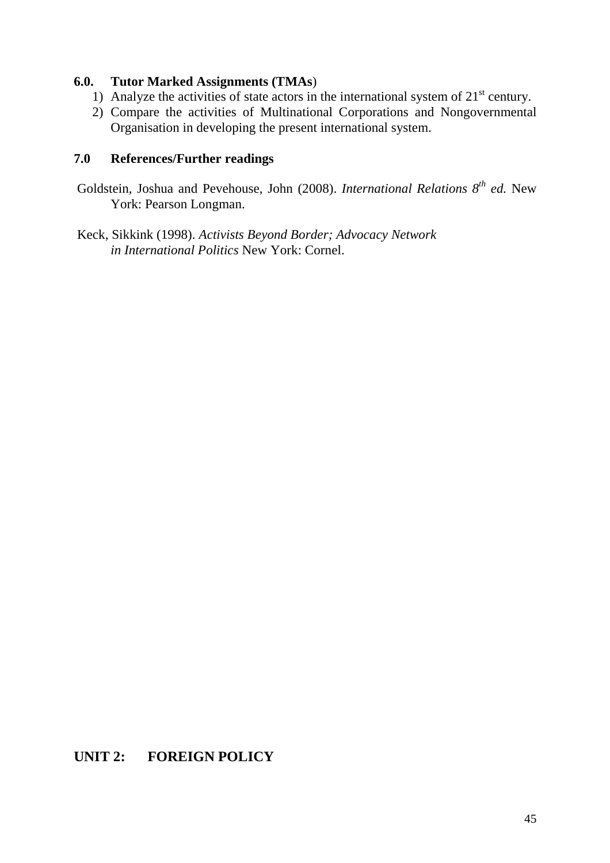### **6.0. Tutor Marked Assignments (TMAs**)

- 1) Analyze the activities of state actors in the international system of  $21<sup>st</sup>$  century.
- 2) Compare the activities of Multinational Corporations and Nongovernmental Organisation in developing the present international system.

### **7.0 References/Further readings**

 Goldstein, Joshua and Pevehouse, John (2008). *International Relations 8th ed.* New York: Pearson Longman.

 Keck, Sikkink (1998). *Activists Beyond Border; Advocacy Network in International Politics* New York: Cornel.

# **UNIT 2: FOREIGN POLICY**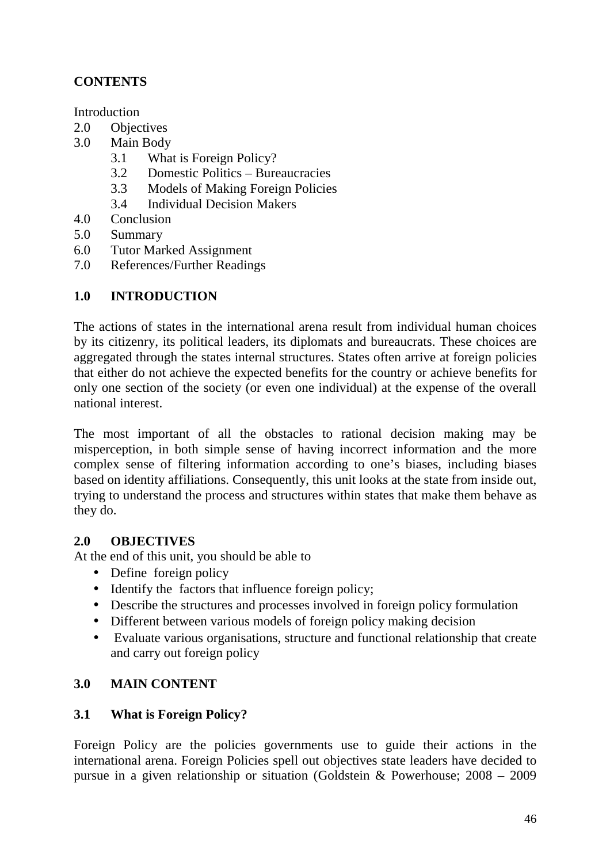# **CONTENTS**

**Introduction** 

- 2.0 Objectives
- 3.0 Main Body
	- 3.1 What is Foreign Policy?
	- 3.2 Domestic Politics Bureaucracies
	- 3.3 Models of Making Foreign Policies
	- 3.4 Individual Decision Makers
- 4.0 Conclusion
- 5.0 Summary
- 6.0 Tutor Marked Assignment
- 7.0 References/Further Readings

### **1.0 INTRODUCTION**

The actions of states in the international arena result from individual human choices by its citizenry, its political leaders, its diplomats and bureaucrats. These choices are aggregated through the states internal structures. States often arrive at foreign policies that either do not achieve the expected benefits for the country or achieve benefits for only one section of the society (or even one individual) at the expense of the overall national interest.

The most important of all the obstacles to rational decision making may be misperception, in both simple sense of having incorrect information and the more complex sense of filtering information according to one's biases, including biases based on identity affiliations. Consequently, this unit looks at the state from inside out, trying to understand the process and structures within states that make them behave as they do.

### **2.0 OBJECTIVES**

At the end of this unit, you should be able to

- Define foreign policy
- Identify the factors that influence foreign policy;
- Describe the structures and processes involved in foreign policy formulation
- Different between various models of foreign policy making decision
- Evaluate various organisations, structure and functional relationship that create and carry out foreign policy

# **3.0 MAIN CONTENT**

### **3.1 What is Foreign Policy?**

Foreign Policy are the policies governments use to guide their actions in the international arena. Foreign Policies spell out objectives state leaders have decided to pursue in a given relationship or situation (Goldstein & Powerhouse; 2008 – 2009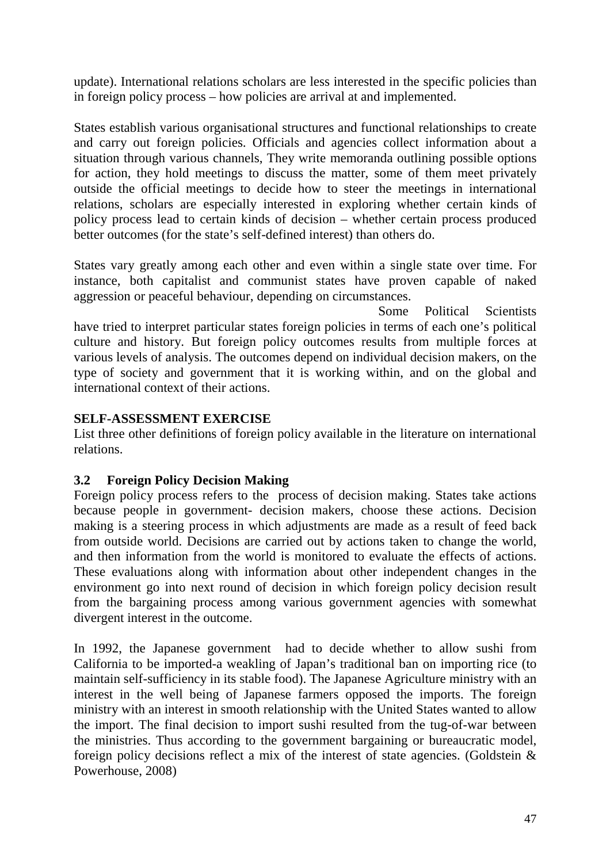update). International relations scholars are less interested in the specific policies than in foreign policy process – how policies are arrival at and implemented.

States establish various organisational structures and functional relationships to create and carry out foreign policies. Officials and agencies collect information about a situation through various channels, They write memoranda outlining possible options for action, they hold meetings to discuss the matter, some of them meet privately outside the official meetings to decide how to steer the meetings in international relations, scholars are especially interested in exploring whether certain kinds of policy process lead to certain kinds of decision – whether certain process produced better outcomes (for the state's self-defined interest) than others do.

States vary greatly among each other and even within a single state over time. For instance, both capitalist and communist states have proven capable of naked aggression or peaceful behaviour, depending on circumstances.

Some Political Scientists have tried to interpret particular states foreign policies in terms of each one's political culture and history. But foreign policy outcomes results from multiple forces at various levels of analysis. The outcomes depend on individual decision makers, on the type of society and government that it is working within, and on the global and international context of their actions.

### **SELF-ASSESSMENT EXERCISE**

List three other definitions of foreign policy available in the literature on international relations.

# **3.2 Foreign Policy Decision Making**

Foreign policy process refers to the process of decision making. States take actions because people in government- decision makers, choose these actions. Decision making is a steering process in which adjustments are made as a result of feed back from outside world. Decisions are carried out by actions taken to change the world, and then information from the world is monitored to evaluate the effects of actions. These evaluations along with information about other independent changes in the environment go into next round of decision in which foreign policy decision result from the bargaining process among various government agencies with somewhat divergent interest in the outcome.

In 1992, the Japanese government had to decide whether to allow sushi from California to be imported-a weakling of Japan's traditional ban on importing rice (to maintain self-sufficiency in its stable food). The Japanese Agriculture ministry with an interest in the well being of Japanese farmers opposed the imports. The foreign ministry with an interest in smooth relationship with the United States wanted to allow the import. The final decision to import sushi resulted from the tug-of-war between the ministries. Thus according to the government bargaining or bureaucratic model, foreign policy decisions reflect a mix of the interest of state agencies. (Goldstein  $\&$ Powerhouse, 2008)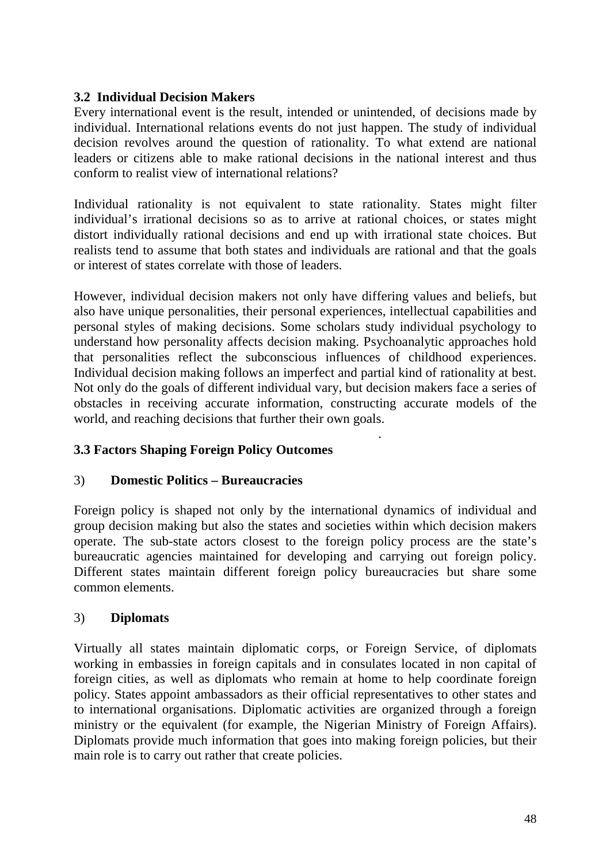### **3.2 Individual Decision Makers**

Every international event is the result, intended or unintended, of decisions made by individual. International relations events do not just happen. The study of individual decision revolves around the question of rationality. To what extend are national leaders or citizens able to make rational decisions in the national interest and thus conform to realist view of international relations?

Individual rationality is not equivalent to state rationality. States might filter individual's irrational decisions so as to arrive at rational choices, or states might distort individually rational decisions and end up with irrational state choices. But realists tend to assume that both states and individuals are rational and that the goals or interest of states correlate with those of leaders.

However, individual decision makers not only have differing values and beliefs, but also have unique personalities, their personal experiences, intellectual capabilities and personal styles of making decisions. Some scholars study individual psychology to understand how personality affects decision making. Psychoanalytic approaches hold that personalities reflect the subconscious influences of childhood experiences. Individual decision making follows an imperfect and partial kind of rationality at best. Not only do the goals of different individual vary, but decision makers face a series of obstacles in receiving accurate information, constructing accurate models of the world, and reaching decisions that further their own goals.

.

### **3.3 Factors Shaping Foreign Policy Outcomes**

### 3) **Domestic Politics – Bureaucracies**

Foreign policy is shaped not only by the international dynamics of individual and group decision making but also the states and societies within which decision makers operate. The sub-state actors closest to the foreign policy process are the state's bureaucratic agencies maintained for developing and carrying out foreign policy. Different states maintain different foreign policy bureaucracies but share some common elements.

### 3) **Diplomats**

Virtually all states maintain diplomatic corps, or Foreign Service, of diplomats working in embassies in foreign capitals and in consulates located in non capital of foreign cities, as well as diplomats who remain at home to help coordinate foreign policy. States appoint ambassadors as their official representatives to other states and to international organisations. Diplomatic activities are organized through a foreign ministry or the equivalent (for example, the Nigerian Ministry of Foreign Affairs). Diplomats provide much information that goes into making foreign policies, but their main role is to carry out rather that create policies.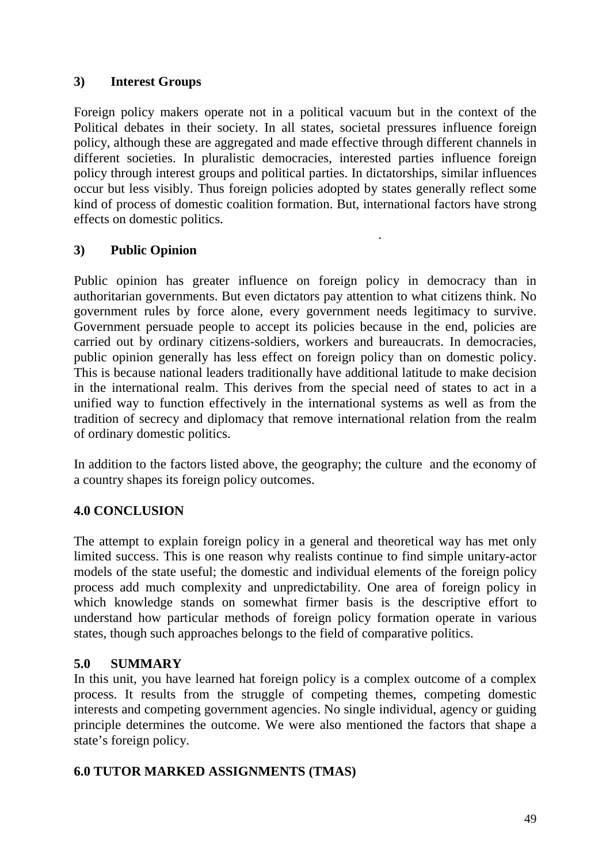## **3) Interest Groups**

Foreign policy makers operate not in a political vacuum but in the context of the Political debates in their society. In all states, societal pressures influence foreign policy, although these are aggregated and made effective through different channels in different societies. In pluralistic democracies, interested parties influence foreign policy through interest groups and political parties. In dictatorships, similar influences occur but less visibly. Thus foreign policies adopted by states generally reflect some kind of process of domestic coalition formation. But, international factors have strong effects on domestic politics.

.

# **3) Public Opinion**

Public opinion has greater influence on foreign policy in democracy than in authoritarian governments. But even dictators pay attention to what citizens think. No government rules by force alone, every government needs legitimacy to survive. Government persuade people to accept its policies because in the end, policies are carried out by ordinary citizens-soldiers, workers and bureaucrats. In democracies, public opinion generally has less effect on foreign policy than on domestic policy. This is because national leaders traditionally have additional latitude to make decision in the international realm. This derives from the special need of states to act in a unified way to function effectively in the international systems as well as from the tradition of secrecy and diplomacy that remove international relation from the realm of ordinary domestic politics.

In addition to the factors listed above, the geography; the culture and the economy of a country shapes its foreign policy outcomes.

### **4.0 CONCLUSION**

The attempt to explain foreign policy in a general and theoretical way has met only limited success. This is one reason why realists continue to find simple unitary-actor models of the state useful; the domestic and individual elements of the foreign policy process add much complexity and unpredictability. One area of foreign policy in which knowledge stands on somewhat firmer basis is the descriptive effort to understand how particular methods of foreign policy formation operate in various states, though such approaches belongs to the field of comparative politics.

### **5.0 SUMMARY**

In this unit, you have learned hat foreign policy is a complex outcome of a complex process. It results from the struggle of competing themes, competing domestic interests and competing government agencies. No single individual, agency or guiding principle determines the outcome. We were also mentioned the factors that shape a state's foreign policy.

### **6.0 TUTOR MARKED ASSIGNMENTS (TMAS)**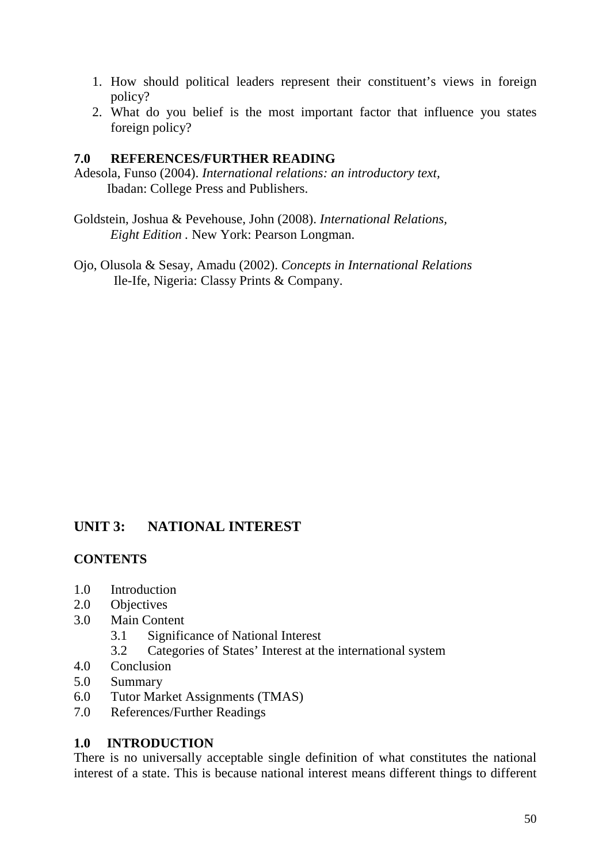- 1. How should political leaders represent their constituent's views in foreign policy?
- 2. What do you belief is the most important factor that influence you states foreign policy?

### **7.0 REFERENCES/FURTHER READING**

Adesola, Funso (2004). *International relations: an introductory text,* Ibadan: College Press and Publishers.

Goldstein, Joshua & Pevehouse, John (2008). *International Relations, Eight Edition .* New York: Pearson Longman.

Ojo, Olusola & Sesay, Amadu (2002). *Concepts in International Relations* Ile-Ife, Nigeria: Classy Prints & Company.

# **UNIT 3: NATIONAL INTEREST**

### **CONTENTS**

- 1.0 Introduction
- 2.0 Objectives
- 3.0 Main Content
	- 3.1 Significance of National Interest
	- 3.2 Categories of States' Interest at the international system
- 4.0 Conclusion
- 5.0 Summary
- 6.0 Tutor Market Assignments (TMAS)
- 7.0 References/Further Readings

### **1.0 INTRODUCTION**

There is no universally acceptable single definition of what constitutes the national interest of a state. This is because national interest means different things to different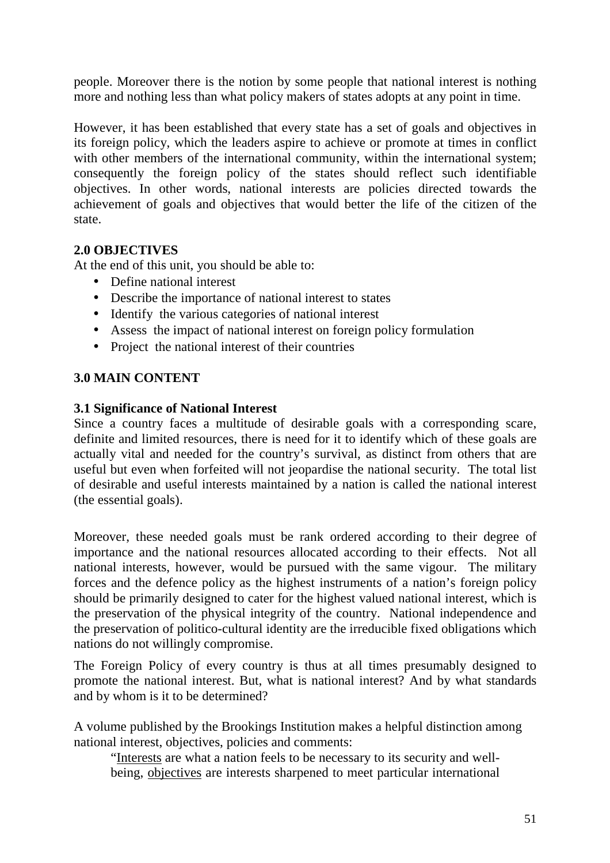people. Moreover there is the notion by some people that national interest is nothing more and nothing less than what policy makers of states adopts at any point in time.

However, it has been established that every state has a set of goals and objectives in its foreign policy, which the leaders aspire to achieve or promote at times in conflict with other members of the international community, within the international system; consequently the foreign policy of the states should reflect such identifiable objectives. In other words, national interests are policies directed towards the achievement of goals and objectives that would better the life of the citizen of the state.

# **2.0 OBJECTIVES**

At the end of this unit, you should be able to:

- Define national interest
- Describe the importance of national interest to states
- Identify the various categories of national interest
- Assess the impact of national interest on foreign policy formulation
- Project the national interest of their countries

### **3.0 MAIN CONTENT**

#### **3.1 Significance of National Interest**

Since a country faces a multitude of desirable goals with a corresponding scare, definite and limited resources, there is need for it to identify which of these goals are actually vital and needed for the country's survival, as distinct from others that are useful but even when forfeited will not jeopardise the national security. The total list of desirable and useful interests maintained by a nation is called the national interest (the essential goals).

Moreover, these needed goals must be rank ordered according to their degree of importance and the national resources allocated according to their effects. Not all national interests, however, would be pursued with the same vigour. The military forces and the defence policy as the highest instruments of a nation's foreign policy should be primarily designed to cater for the highest valued national interest, which is the preservation of the physical integrity of the country. National independence and the preservation of politico-cultural identity are the irreducible fixed obligations which nations do not willingly compromise.

The Foreign Policy of every country is thus at all times presumably designed to promote the national interest. But, what is national interest? And by what standards and by whom is it to be determined?

A volume published by the Brookings Institution makes a helpful distinction among national interest, objectives, policies and comments:

"Interests are what a nation feels to be necessary to its security and wellbeing, objectives are interests sharpened to meet particular international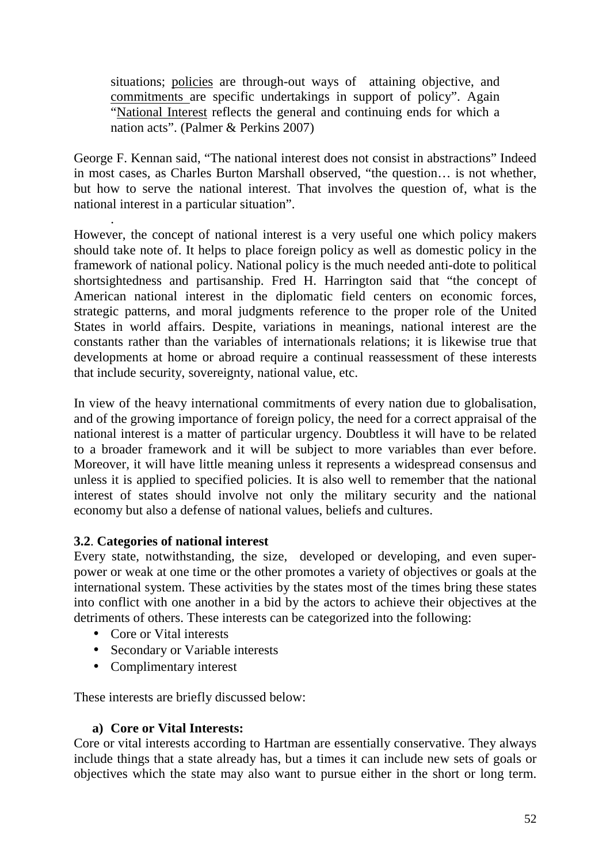situations; policies are through-out ways of attaining objective, and commitments are specific undertakings in support of policy". Again "National Interest reflects the general and continuing ends for which a nation acts". (Palmer & Perkins 2007)

George F. Kennan said, "The national interest does not consist in abstractions" Indeed in most cases, as Charles Burton Marshall observed, "the question… is not whether, but how to serve the national interest. That involves the question of, what is the national interest in a particular situation".

. However, the concept of national interest is a very useful one which policy makers should take note of. It helps to place foreign policy as well as domestic policy in the framework of national policy. National policy is the much needed anti-dote to political shortsightedness and partisanship. Fred H. Harrington said that "the concept of American national interest in the diplomatic field centers on economic forces, strategic patterns, and moral judgments reference to the proper role of the United States in world affairs. Despite, variations in meanings, national interest are the constants rather than the variables of internationals relations; it is likewise true that developments at home or abroad require a continual reassessment of these interests that include security, sovereignty, national value, etc.

In view of the heavy international commitments of every nation due to globalisation, and of the growing importance of foreign policy, the need for a correct appraisal of the national interest is a matter of particular urgency. Doubtless it will have to be related to a broader framework and it will be subject to more variables than ever before. Moreover, it will have little meaning unless it represents a widespread consensus and unless it is applied to specified policies. It is also well to remember that the national interest of states should involve not only the military security and the national economy but also a defense of national values, beliefs and cultures.

# **3.2**. **Categories of national interest**

Every state, notwithstanding, the size, developed or developing, and even superpower or weak at one time or the other promotes a variety of objectives or goals at the international system. These activities by the states most of the times bring these states into conflict with one another in a bid by the actors to achieve their objectives at the detriments of others. These interests can be categorized into the following:

- Core or Vital interests
- Secondary or Variable interests
- Complimentary interest

These interests are briefly discussed below:

### **a) Core or Vital Interests:**

Core or vital interests according to Hartman are essentially conservative. They always include things that a state already has, but a times it can include new sets of goals or objectives which the state may also want to pursue either in the short or long term.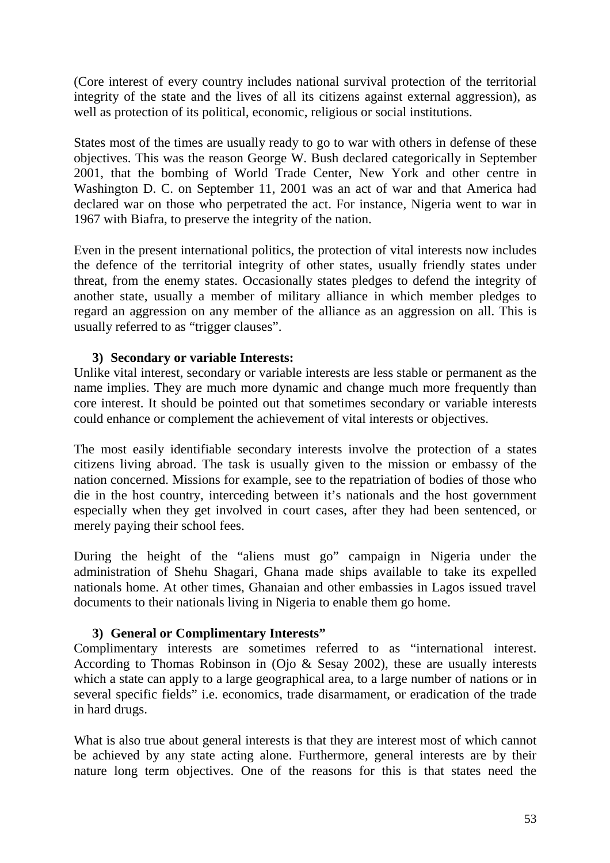(Core interest of every country includes national survival protection of the territorial integrity of the state and the lives of all its citizens against external aggression), as well as protection of its political, economic, religious or social institutions.

States most of the times are usually ready to go to war with others in defense of these objectives. This was the reason George W. Bush declared categorically in September 2001, that the bombing of World Trade Center, New York and other centre in Washington D. C. on September 11, 2001 was an act of war and that America had declared war on those who perpetrated the act. For instance, Nigeria went to war in 1967 with Biafra, to preserve the integrity of the nation.

Even in the present international politics, the protection of vital interests now includes the defence of the territorial integrity of other states, usually friendly states under threat, from the enemy states. Occasionally states pledges to defend the integrity of another state, usually a member of military alliance in which member pledges to regard an aggression on any member of the alliance as an aggression on all. This is usually referred to as "trigger clauses".

#### **3) Secondary or variable Interests:**

Unlike vital interest, secondary or variable interests are less stable or permanent as the name implies. They are much more dynamic and change much more frequently than core interest. It should be pointed out that sometimes secondary or variable interests could enhance or complement the achievement of vital interests or objectives.

The most easily identifiable secondary interests involve the protection of a states citizens living abroad. The task is usually given to the mission or embassy of the nation concerned. Missions for example, see to the repatriation of bodies of those who die in the host country, interceding between it's nationals and the host government especially when they get involved in court cases, after they had been sentenced, or merely paying their school fees.

During the height of the "aliens must go" campaign in Nigeria under the administration of Shehu Shagari, Ghana made ships available to take its expelled nationals home. At other times, Ghanaian and other embassies in Lagos issued travel documents to their nationals living in Nigeria to enable them go home.

### **3) General or Complimentary Interests"**

Complimentary interests are sometimes referred to as "international interest. According to Thomas Robinson in (Ojo & Sesay 2002), these are usually interests which a state can apply to a large geographical area, to a large number of nations or in several specific fields" i.e. economics, trade disarmament, or eradication of the trade in hard drugs.

What is also true about general interests is that they are interest most of which cannot be achieved by any state acting alone. Furthermore, general interests are by their nature long term objectives. One of the reasons for this is that states need the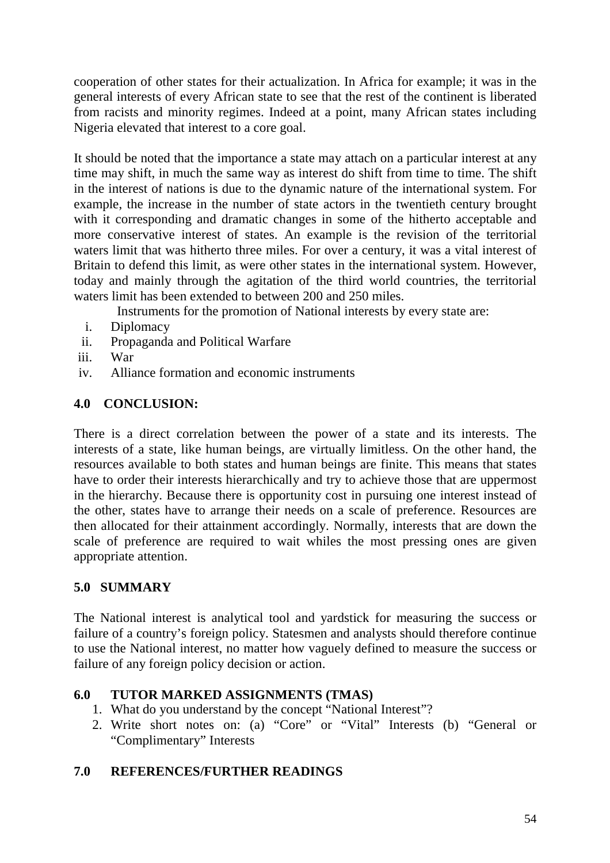cooperation of other states for their actualization. In Africa for example; it was in the general interests of every African state to see that the rest of the continent is liberated from racists and minority regimes. Indeed at a point, many African states including Nigeria elevated that interest to a core goal.

It should be noted that the importance a state may attach on a particular interest at any time may shift, in much the same way as interest do shift from time to time. The shift in the interest of nations is due to the dynamic nature of the international system. For example, the increase in the number of state actors in the twentieth century brought with it corresponding and dramatic changes in some of the hitherto acceptable and more conservative interest of states. An example is the revision of the territorial waters limit that was hitherto three miles. For over a century, it was a vital interest of Britain to defend this limit, as were other states in the international system. However, today and mainly through the agitation of the third world countries, the territorial waters limit has been extended to between 200 and 250 miles.

Instruments for the promotion of National interests by every state are:

- i. Diplomacy
- ii. Propaganda and Political Warfare
- iii. War
- iv. Alliance formation and economic instruments

# **4.0 CONCLUSION:**

There is a direct correlation between the power of a state and its interests. The interests of a state, like human beings, are virtually limitless. On the other hand, the resources available to both states and human beings are finite. This means that states have to order their interests hierarchically and try to achieve those that are uppermost in the hierarchy. Because there is opportunity cost in pursuing one interest instead of the other, states have to arrange their needs on a scale of preference. Resources are then allocated for their attainment accordingly. Normally, interests that are down the scale of preference are required to wait whiles the most pressing ones are given appropriate attention.

### **5.0 SUMMARY**

The National interest is analytical tool and yardstick for measuring the success or failure of a country's foreign policy. Statesmen and analysts should therefore continue to use the National interest, no matter how vaguely defined to measure the success or failure of any foreign policy decision or action.

### **6.0 TUTOR MARKED ASSIGNMENTS (TMAS)**

- 1. What do you understand by the concept "National Interest"?
- 2. Write short notes on: (a) "Core" or "Vital" Interests (b) "General or "Complimentary" Interests

### **7.0 REFERENCES/FURTHER READINGS**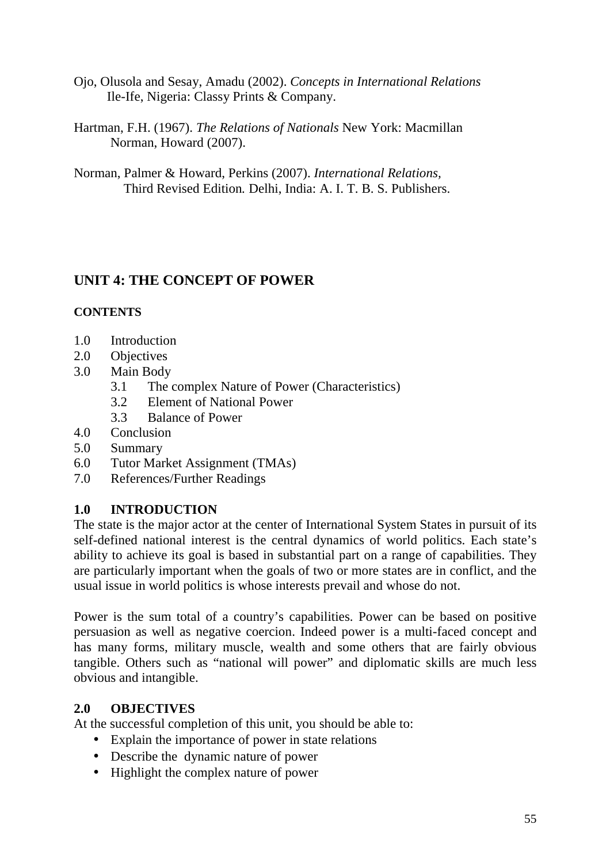- Ojo, Olusola and Sesay, Amadu (2002). *Concepts in International Relations* Ile-Ife, Nigeria: Classy Prints & Company.
- Hartman, F.H. (1967). *The Relations of Nationals* New York: Macmillan Norman, Howard (2007).
- Norman, Palmer & Howard, Perkins (2007). *International Relations,* Third Revised Edition*.* Delhi, India: A. I. T. B. S. Publishers.

# **UNIT 4: THE CONCEPT OF POWER**

### **CONTENTS**

- 1.0 Introduction
- 2.0 Objectives
- 3.0 Main Body
	- 3.1 The complex Nature of Power (Characteristics)
	- 3.2 Element of National Power
	- 3.3 Balance of Power
- 4.0 Conclusion
- 5.0 Summary
- 6.0 Tutor Market Assignment (TMAs)
- 7.0 References/Further Readings

# **1.0 INTRODUCTION**

The state is the major actor at the center of International System States in pursuit of its self-defined national interest is the central dynamics of world politics. Each state's ability to achieve its goal is based in substantial part on a range of capabilities. They are particularly important when the goals of two or more states are in conflict, and the usual issue in world politics is whose interests prevail and whose do not.

Power is the sum total of a country's capabilities. Power can be based on positive persuasion as well as negative coercion. Indeed power is a multi-faced concept and has many forms, military muscle, wealth and some others that are fairly obvious tangible. Others such as "national will power" and diplomatic skills are much less obvious and intangible.

### **2.0 OBJECTIVES**

At the successful completion of this unit, you should be able to:

- Explain the importance of power in state relations
- Describe the dynamic nature of power
- Highlight the complex nature of power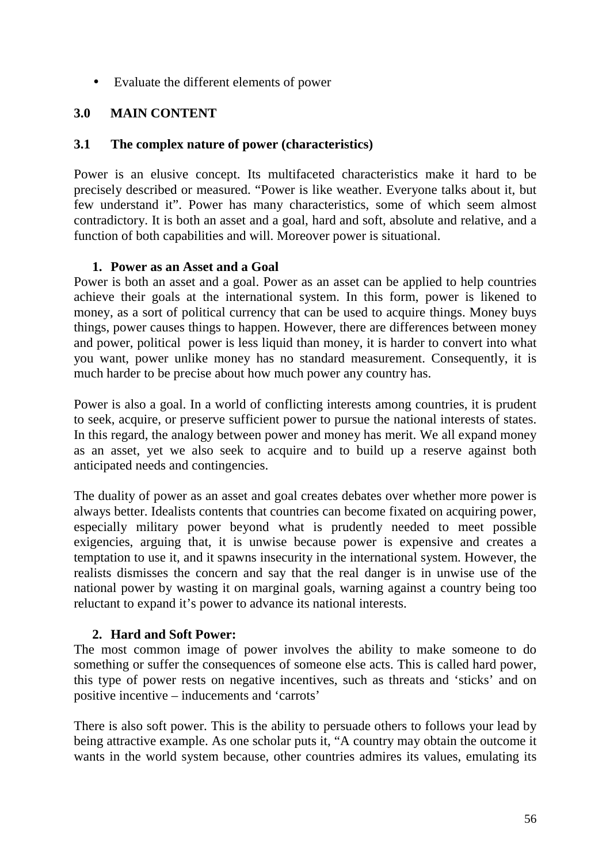• Evaluate the different elements of power

# **3.0 MAIN CONTENT**

### **3.1 The complex nature of power (characteristics)**

Power is an elusive concept. Its multifaceted characteristics make it hard to be precisely described or measured. "Power is like weather. Everyone talks about it, but few understand it". Power has many characteristics, some of which seem almost contradictory. It is both an asset and a goal, hard and soft, absolute and relative, and a function of both capabilities and will. Moreover power is situational.

### **1. Power as an Asset and a Goal**

Power is both an asset and a goal. Power as an asset can be applied to help countries achieve their goals at the international system. In this form, power is likened to money, as a sort of political currency that can be used to acquire things. Money buys things, power causes things to happen. However, there are differences between money and power, political power is less liquid than money, it is harder to convert into what you want, power unlike money has no standard measurement. Consequently, it is much harder to be precise about how much power any country has.

Power is also a goal. In a world of conflicting interests among countries, it is prudent to seek, acquire, or preserve sufficient power to pursue the national interests of states. In this regard, the analogy between power and money has merit. We all expand money as an asset, yet we also seek to acquire and to build up a reserve against both anticipated needs and contingencies.

The duality of power as an asset and goal creates debates over whether more power is always better. Idealists contents that countries can become fixated on acquiring power, especially military power beyond what is prudently needed to meet possible exigencies, arguing that, it is unwise because power is expensive and creates a temptation to use it, and it spawns insecurity in the international system. However, the realists dismisses the concern and say that the real danger is in unwise use of the national power by wasting it on marginal goals, warning against a country being too reluctant to expand it's power to advance its national interests.

# **2. Hard and Soft Power:**

The most common image of power involves the ability to make someone to do something or suffer the consequences of someone else acts. This is called hard power, this type of power rests on negative incentives, such as threats and 'sticks' and on positive incentive – inducements and 'carrots'

There is also soft power. This is the ability to persuade others to follows your lead by being attractive example. As one scholar puts it, "A country may obtain the outcome it wants in the world system because, other countries admires its values, emulating its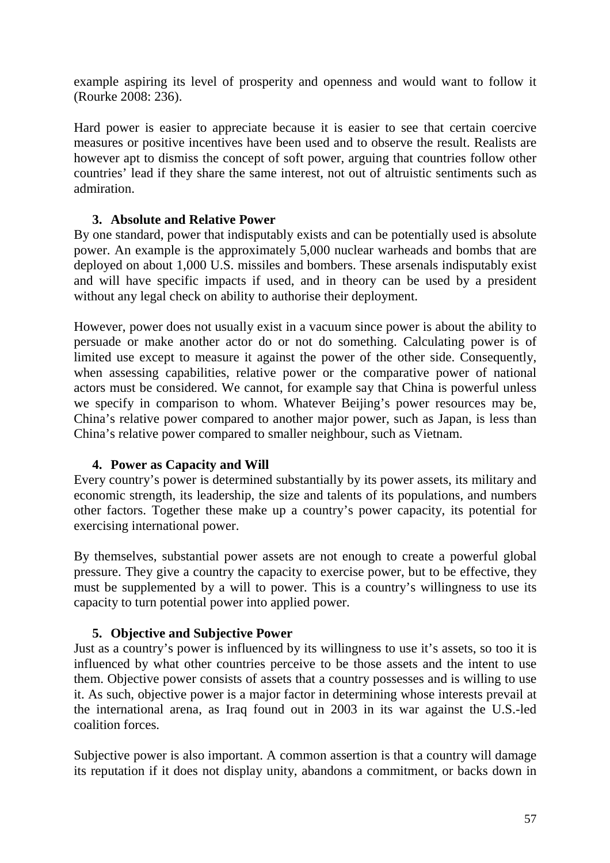example aspiring its level of prosperity and openness and would want to follow it (Rourke 2008: 236).

Hard power is easier to appreciate because it is easier to see that certain coercive measures or positive incentives have been used and to observe the result. Realists are however apt to dismiss the concept of soft power, arguing that countries follow other countries' lead if they share the same interest, not out of altruistic sentiments such as admiration.

### **3. Absolute and Relative Power**

By one standard, power that indisputably exists and can be potentially used is absolute power. An example is the approximately 5,000 nuclear warheads and bombs that are deployed on about 1,000 U.S. missiles and bombers. These arsenals indisputably exist and will have specific impacts if used, and in theory can be used by a president without any legal check on ability to authorise their deployment.

However, power does not usually exist in a vacuum since power is about the ability to persuade or make another actor do or not do something. Calculating power is of limited use except to measure it against the power of the other side. Consequently, when assessing capabilities, relative power or the comparative power of national actors must be considered. We cannot, for example say that China is powerful unless we specify in comparison to whom. Whatever Beijing's power resources may be, China's relative power compared to another major power, such as Japan, is less than China's relative power compared to smaller neighbour, such as Vietnam.

# **4. Power as Capacity and Will**

Every country's power is determined substantially by its power assets, its military and economic strength, its leadership, the size and talents of its populations, and numbers other factors. Together these make up a country's power capacity, its potential for exercising international power.

By themselves, substantial power assets are not enough to create a powerful global pressure. They give a country the capacity to exercise power, but to be effective, they must be supplemented by a will to power. This is a country's willingness to use its capacity to turn potential power into applied power.

### **5. Objective and Subjective Power**

Just as a country's power is influenced by its willingness to use it's assets, so too it is influenced by what other countries perceive to be those assets and the intent to use them. Objective power consists of assets that a country possesses and is willing to use it. As such, objective power is a major factor in determining whose interests prevail at the international arena, as Iraq found out in 2003 in its war against the U.S.-led coalition forces.

Subjective power is also important. A common assertion is that a country will damage its reputation if it does not display unity, abandons a commitment, or backs down in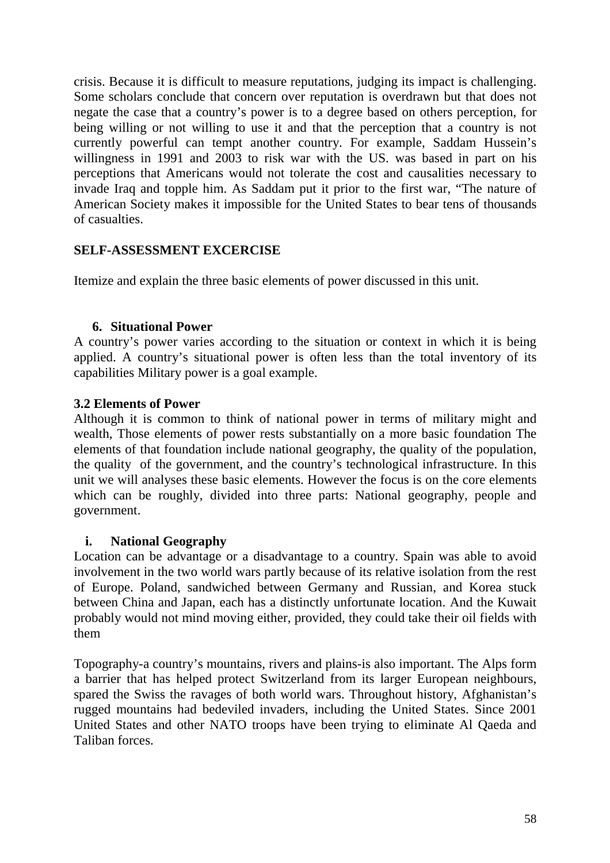crisis. Because it is difficult to measure reputations, judging its impact is challenging. Some scholars conclude that concern over reputation is overdrawn but that does not negate the case that a country's power is to a degree based on others perception, for being willing or not willing to use it and that the perception that a country is not currently powerful can tempt another country. For example, Saddam Hussein's willingness in 1991 and 2003 to risk war with the US. was based in part on his perceptions that Americans would not tolerate the cost and causalities necessary to invade Iraq and topple him. As Saddam put it prior to the first war, "The nature of American Society makes it impossible for the United States to bear tens of thousands of casualties.

### **SELF-ASSESSMENT EXCERCISE**

Itemize and explain the three basic elements of power discussed in this unit.

### **6. Situational Power**

A country's power varies according to the situation or context in which it is being applied. A country's situational power is often less than the total inventory of its capabilities Military power is a goal example.

### **3.2 Elements of Power**

Although it is common to think of national power in terms of military might and wealth, Those elements of power rests substantially on a more basic foundation The elements of that foundation include national geography, the quality of the population, the quality of the government, and the country's technological infrastructure. In this unit we will analyses these basic elements. However the focus is on the core elements which can be roughly, divided into three parts: National geography, people and government.

### **i. National Geography**

Location can be advantage or a disadvantage to a country. Spain was able to avoid involvement in the two world wars partly because of its relative isolation from the rest of Europe. Poland, sandwiched between Germany and Russian, and Korea stuck between China and Japan, each has a distinctly unfortunate location. And the Kuwait probably would not mind moving either, provided, they could take their oil fields with them

Topography-a country's mountains, rivers and plains-is also important. The Alps form a barrier that has helped protect Switzerland from its larger European neighbours, spared the Swiss the ravages of both world wars. Throughout history, Afghanistan's rugged mountains had bedeviled invaders, including the United States. Since 2001 United States and other NATO troops have been trying to eliminate Al Qaeda and Taliban forces.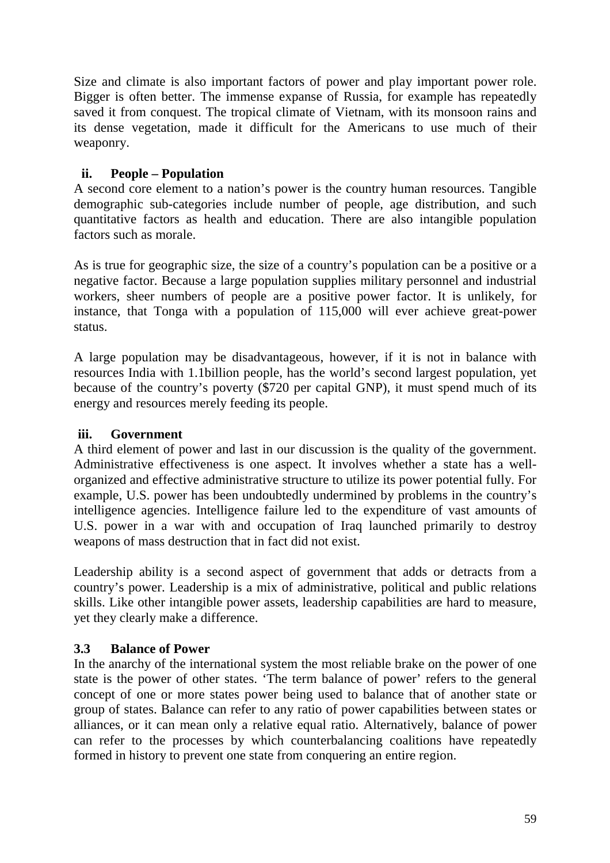Size and climate is also important factors of power and play important power role. Bigger is often better. The immense expanse of Russia, for example has repeatedly saved it from conquest. The tropical climate of Vietnam, with its monsoon rains and its dense vegetation, made it difficult for the Americans to use much of their weaponry.

## **ii. People – Population**

A second core element to a nation's power is the country human resources. Tangible demographic sub-categories include number of people, age distribution, and such quantitative factors as health and education. There are also intangible population factors such as morale.

As is true for geographic size, the size of a country's population can be a positive or a negative factor. Because a large population supplies military personnel and industrial workers, sheer numbers of people are a positive power factor. It is unlikely, for instance, that Tonga with a population of 115,000 will ever achieve great-power status.

A large population may be disadvantageous, however, if it is not in balance with resources India with 1.1billion people, has the world's second largest population, yet because of the country's poverty (\$720 per capital GNP), it must spend much of its energy and resources merely feeding its people.

### **iii. Government**

A third element of power and last in our discussion is the quality of the government. Administrative effectiveness is one aspect. It involves whether a state has a wellorganized and effective administrative structure to utilize its power potential fully. For example, U.S. power has been undoubtedly undermined by problems in the country's intelligence agencies. Intelligence failure led to the expenditure of vast amounts of U.S. power in a war with and occupation of Iraq launched primarily to destroy weapons of mass destruction that in fact did not exist.

Leadership ability is a second aspect of government that adds or detracts from a country's power. Leadership is a mix of administrative, political and public relations skills. Like other intangible power assets, leadership capabilities are hard to measure, yet they clearly make a difference.

# **3.3 Balance of Power**

In the anarchy of the international system the most reliable brake on the power of one state is the power of other states. 'The term balance of power' refers to the general concept of one or more states power being used to balance that of another state or group of states. Balance can refer to any ratio of power capabilities between states or alliances, or it can mean only a relative equal ratio. Alternatively, balance of power can refer to the processes by which counterbalancing coalitions have repeatedly formed in history to prevent one state from conquering an entire region.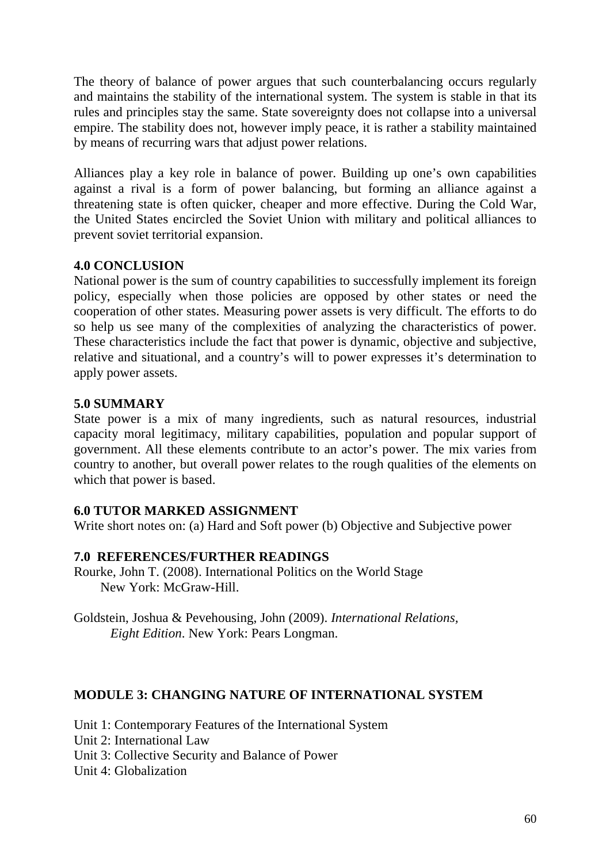The theory of balance of power argues that such counterbalancing occurs regularly and maintains the stability of the international system. The system is stable in that its rules and principles stay the same. State sovereignty does not collapse into a universal empire. The stability does not, however imply peace, it is rather a stability maintained by means of recurring wars that adjust power relations.

Alliances play a key role in balance of power. Building up one's own capabilities against a rival is a form of power balancing, but forming an alliance against a threatening state is often quicker, cheaper and more effective. During the Cold War, the United States encircled the Soviet Union with military and political alliances to prevent soviet territorial expansion.

### **4.0 CONCLUSION**

National power is the sum of country capabilities to successfully implement its foreign policy, especially when those policies are opposed by other states or need the cooperation of other states. Measuring power assets is very difficult. The efforts to do so help us see many of the complexities of analyzing the characteristics of power. These characteristics include the fact that power is dynamic, objective and subjective, relative and situational, and a country's will to power expresses it's determination to apply power assets.

### **5.0 SUMMARY**

State power is a mix of many ingredients, such as natural resources, industrial capacity moral legitimacy, military capabilities, population and popular support of government. All these elements contribute to an actor's power. The mix varies from country to another, but overall power relates to the rough qualities of the elements on which that power is based.

### **6.0 TUTOR MARKED ASSIGNMENT**

Write short notes on: (a) Hard and Soft power (b) Objective and Subjective power

# **7.0 REFERENCES/FURTHER READINGS**

- Rourke, John T. (2008). International Politics on the World Stage New York: McGraw-Hill.
- Goldstein, Joshua & Pevehousing, John (2009). *International Relations, Eight Edition*. New York: Pears Longman.

# **MODULE 3: CHANGING NATURE OF INTERNATIONAL SYSTEM**

Unit 1: Contemporary Features of the International System

- Unit 2: International Law
- Unit 3: Collective Security and Balance of Power
- Unit 4: Globalization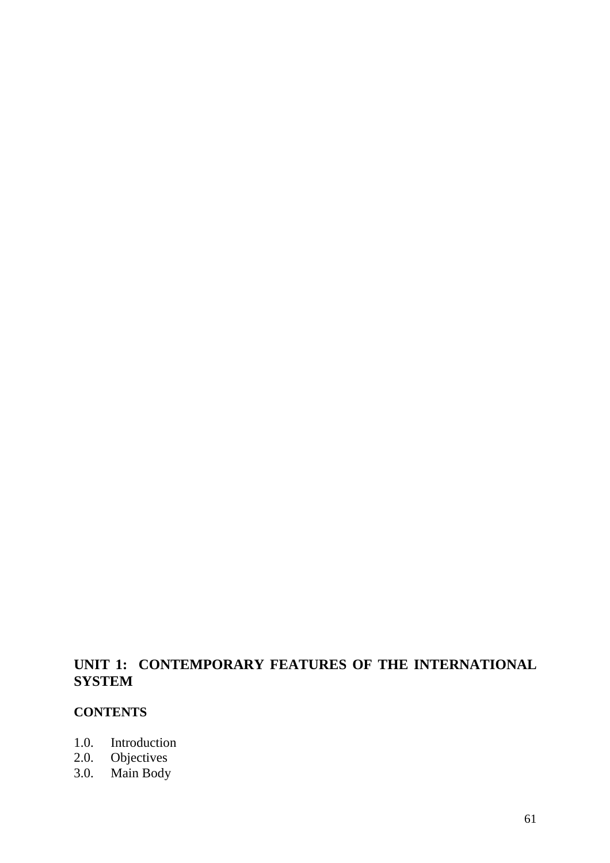# **UNIT 1: CONTEMPORARY FEATURES OF THE INTERNATIONAL SYSTEM**

### **CONTENTS**

- 1.0. Introduction
- 2.0. Objectives
- 3.0. Main Body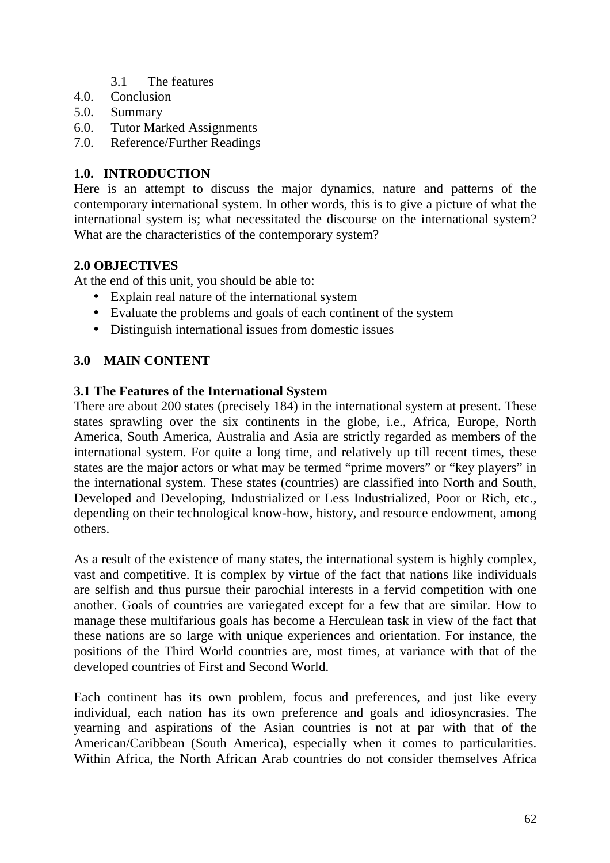- 3.1 The features
- 4.0. Conclusion
- 5.0. Summary
- 6.0. Tutor Marked Assignments
- 7.0. Reference/Further Readings

# **1.0. INTRODUCTION**

Here is an attempt to discuss the major dynamics, nature and patterns of the contemporary international system. In other words, this is to give a picture of what the international system is; what necessitated the discourse on the international system? What are the characteristics of the contemporary system?

# **2.0 OBJECTIVES**

At the end of this unit, you should be able to:

- Explain real nature of the international system
- Evaluate the problems and goals of each continent of the system
- Distinguish international issues from domestic issues

# **3.0 MAIN CONTENT**

### **3.1 The Features of the International System**

There are about 200 states (precisely 184) in the international system at present. These states sprawling over the six continents in the globe, i.e., Africa, Europe, North America, South America, Australia and Asia are strictly regarded as members of the international system. For quite a long time, and relatively up till recent times, these states are the major actors or what may be termed "prime movers" or "key players" in the international system. These states (countries) are classified into North and South, Developed and Developing, Industrialized or Less Industrialized, Poor or Rich, etc., depending on their technological know-how, history, and resource endowment, among others.

As a result of the existence of many states, the international system is highly complex, vast and competitive. It is complex by virtue of the fact that nations like individuals are selfish and thus pursue their parochial interests in a fervid competition with one another. Goals of countries are variegated except for a few that are similar. How to manage these multifarious goals has become a Herculean task in view of the fact that these nations are so large with unique experiences and orientation. For instance, the positions of the Third World countries are, most times, at variance with that of the developed countries of First and Second World.

Each continent has its own problem, focus and preferences, and just like every individual, each nation has its own preference and goals and idiosyncrasies. The yearning and aspirations of the Asian countries is not at par with that of the American/Caribbean (South America), especially when it comes to particularities. Within Africa, the North African Arab countries do not consider themselves Africa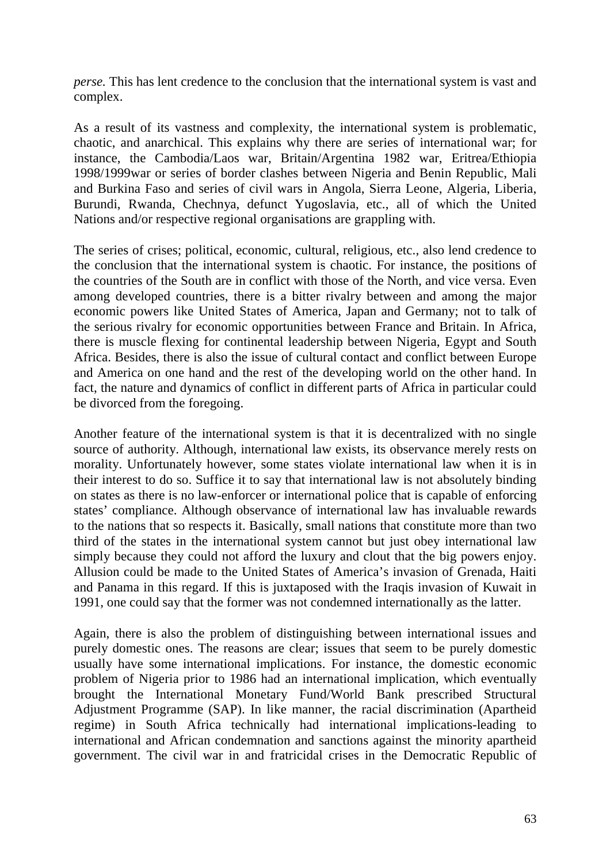*perse.* This has lent credence to the conclusion that the international system is vast and complex.

As a result of its vastness and complexity, the international system is problematic, chaotic, and anarchical. This explains why there are series of international war; for instance, the Cambodia/Laos war, Britain/Argentina 1982 war, Eritrea/Ethiopia 1998/1999war or series of border clashes between Nigeria and Benin Republic, Mali and Burkina Faso and series of civil wars in Angola, Sierra Leone, Algeria, Liberia, Burundi, Rwanda, Chechnya, defunct Yugoslavia, etc., all of which the United Nations and/or respective regional organisations are grappling with.

The series of crises; political, economic, cultural, religious, etc., also lend credence to the conclusion that the international system is chaotic. For instance, the positions of the countries of the South are in conflict with those of the North, and vice versa. Even among developed countries, there is a bitter rivalry between and among the major economic powers like United States of America, Japan and Germany; not to talk of the serious rivalry for economic opportunities between France and Britain. In Africa, there is muscle flexing for continental leadership between Nigeria, Egypt and South Africa. Besides, there is also the issue of cultural contact and conflict between Europe and America on one hand and the rest of the developing world on the other hand. In fact, the nature and dynamics of conflict in different parts of Africa in particular could be divorced from the foregoing.

Another feature of the international system is that it is decentralized with no single source of authority. Although, international law exists, its observance merely rests on morality. Unfortunately however, some states violate international law when it is in their interest to do so. Suffice it to say that international law is not absolutely binding on states as there is no law-enforcer or international police that is capable of enforcing states' compliance. Although observance of international law has invaluable rewards to the nations that so respects it. Basically, small nations that constitute more than two third of the states in the international system cannot but just obey international law simply because they could not afford the luxury and clout that the big powers enjoy. Allusion could be made to the United States of America's invasion of Grenada, Haiti and Panama in this regard. If this is juxtaposed with the Iraqis invasion of Kuwait in 1991, one could say that the former was not condemned internationally as the latter.

Again, there is also the problem of distinguishing between international issues and purely domestic ones. The reasons are clear; issues that seem to be purely domestic usually have some international implications. For instance, the domestic economic problem of Nigeria prior to 1986 had an international implication, which eventually brought the International Monetary Fund/World Bank prescribed Structural Adjustment Programme (SAP). In like manner, the racial discrimination (Apartheid regime) in South Africa technically had international implications-leading to international and African condemnation and sanctions against the minority apartheid government. The civil war in and fratricidal crises in the Democratic Republic of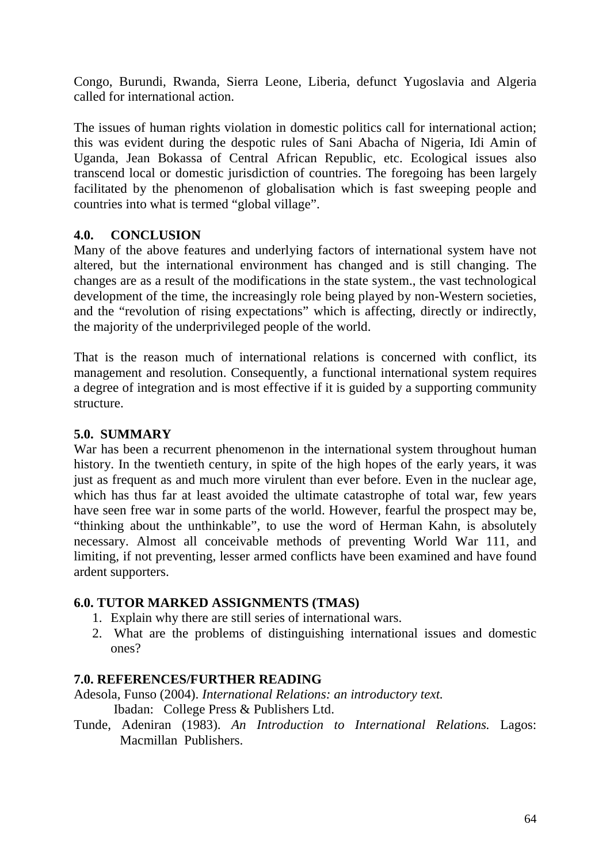Congo, Burundi, Rwanda, Sierra Leone, Liberia, defunct Yugoslavia and Algeria called for international action.

The issues of human rights violation in domestic politics call for international action; this was evident during the despotic rules of Sani Abacha of Nigeria, Idi Amin of Uganda, Jean Bokassa of Central African Republic, etc. Ecological issues also transcend local or domestic jurisdiction of countries. The foregoing has been largely facilitated by the phenomenon of globalisation which is fast sweeping people and countries into what is termed "global village".

### **4.0. CONCLUSION**

Many of the above features and underlying factors of international system have not altered, but the international environment has changed and is still changing. The changes are as a result of the modifications in the state system., the vast technological development of the time, the increasingly role being played by non-Western societies, and the "revolution of rising expectations" which is affecting, directly or indirectly, the majority of the underprivileged people of the world.

That is the reason much of international relations is concerned with conflict, its management and resolution. Consequently, a functional international system requires a degree of integration and is most effective if it is guided by a supporting community structure.

### **5.0. SUMMARY**

War has been a recurrent phenomenon in the international system throughout human history. In the twentieth century, in spite of the high hopes of the early years, it was just as frequent as and much more virulent than ever before. Even in the nuclear age, which has thus far at least avoided the ultimate catastrophe of total war, few years have seen free war in some parts of the world. However, fearful the prospect may be, "thinking about the unthinkable", to use the word of Herman Kahn, is absolutely necessary. Almost all conceivable methods of preventing World War 111, and limiting, if not preventing, lesser armed conflicts have been examined and have found ardent supporters.

### **6.0. TUTOR MARKED ASSIGNMENTS (TMAS)**

- 1. Explain why there are still series of international wars.
- 2. What are the problems of distinguishing international issues and domestic ones?

# **7.0. REFERENCES/FURTHER READING**

Adesola, Funso (2004). *International Relations: an introductory text.* Ibadan: College Press & Publishers Ltd.

Tunde, Adeniran (1983). *An Introduction to International Relations.* Lagos: Macmillan Publishers.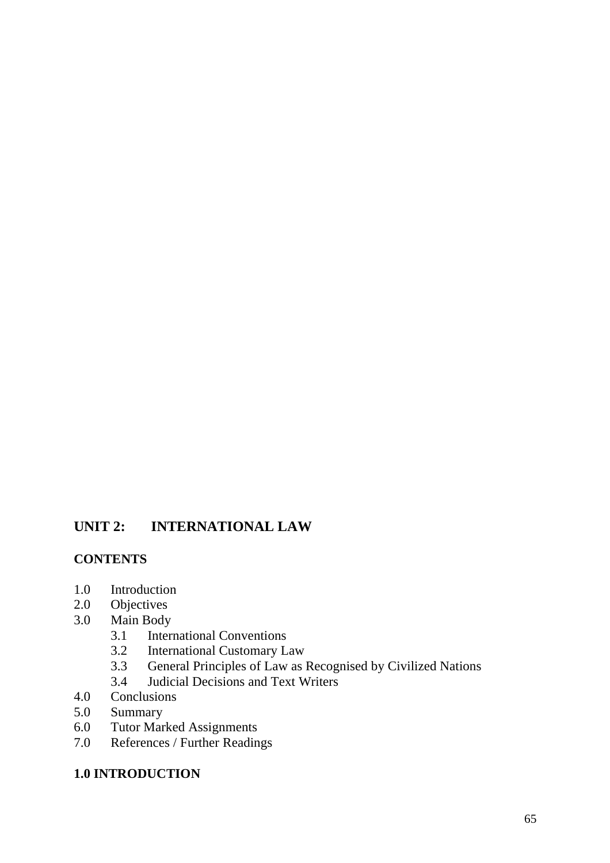# **UNIT 2: INTERNATIONAL LAW**

# **CONTENTS**

- 1.0 Introduction
- 2.0 Objectives
- 3.0 Main Body
	- 3.1 International Conventions<br>3.2 International Customary L
	- International Customary Law
	- 3.3 General Principles of Law as Recognised by Civilized Nations<br>3.4 Judicial Decisions and Text Writers
	- 3.4 Judicial Decisions and Text Writers
- 4.0 Conclusions
- 5.0 Summary
- 6.0 Tutor Marked Assignments
- 7.0 References / Further Readings

#### **1.0 INTRODUCTION**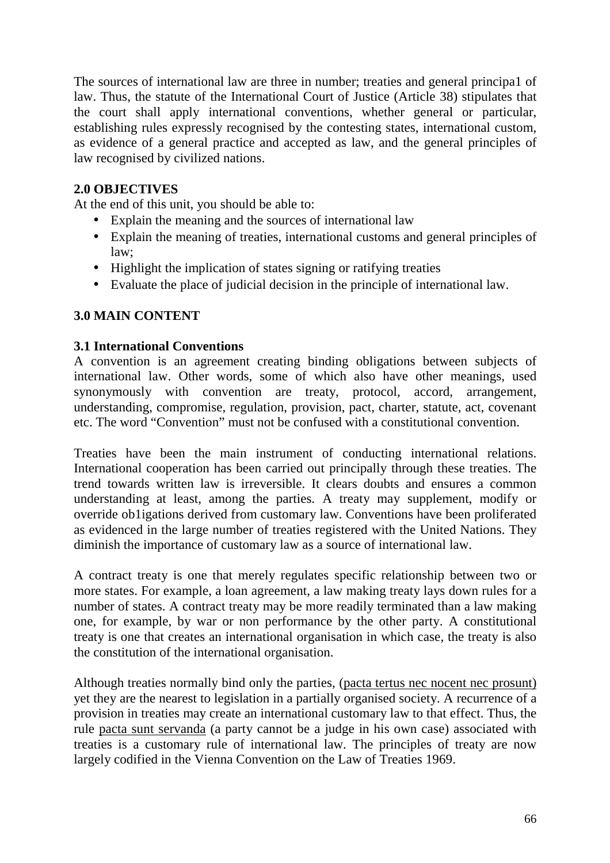The sources of international law are three in number; treaties and general principa1 of law. Thus, the statute of the International Court of Justice (Article 38) stipulates that the court shall apply international conventions, whether general or particular, establishing rules expressly recognised by the contesting states, international custom, as evidence of a general practice and accepted as law, and the general principles of law recognised by civilized nations.

### **2.0 OBJECTIVES**

At the end of this unit, you should be able to:

- Explain the meaning and the sources of international law
- Explain the meaning of treaties, international customs and general principles of law;
- Highlight the implication of states signing or ratifying treaties
- Evaluate the place of judicial decision in the principle of international law.

# **3.0 MAIN CONTENT**

### **3.1 International Conventions**

A convention is an agreement creating binding obligations between subjects of international law. Other words, some of which also have other meanings, used synonymously with convention are treaty, protocol, accord, arrangement, understanding, compromise, regulation, provision, pact, charter, statute, act, covenant etc. The word "Convention" must not be confused with a constitutional convention.

Treaties have been the main instrument of conducting international relations. International cooperation has been carried out principally through these treaties. The trend towards written law is irreversible. It clears doubts and ensures a common understanding at least, among the parties. A treaty may supplement, modify or override ob1igations derived from customary law. Conventions have been proliferated as evidenced in the large number of treaties registered with the United Nations. They diminish the importance of customary law as a source of international law.

A contract treaty is one that merely regulates specific relationship between two or more states. For example, a loan agreement, a law making treaty lays down rules for a number of states. A contract treaty may be more readily terminated than a law making one, for example, by war or non performance by the other party. A constitutional treaty is one that creates an international organisation in which case, the treaty is also the constitution of the international organisation.

Although treaties normally bind only the parties, (pacta tertus nec nocent nec prosunt) yet they are the nearest to legislation in a partially organised society. A recurrence of a provision in treaties may create an international customary law to that effect. Thus, the rule pacta sunt servanda (a party cannot be a judge in his own case) associated with treaties is a customary rule of international law. The principles of treaty are now largely codified in the Vienna Convention on the Law of Treaties 1969.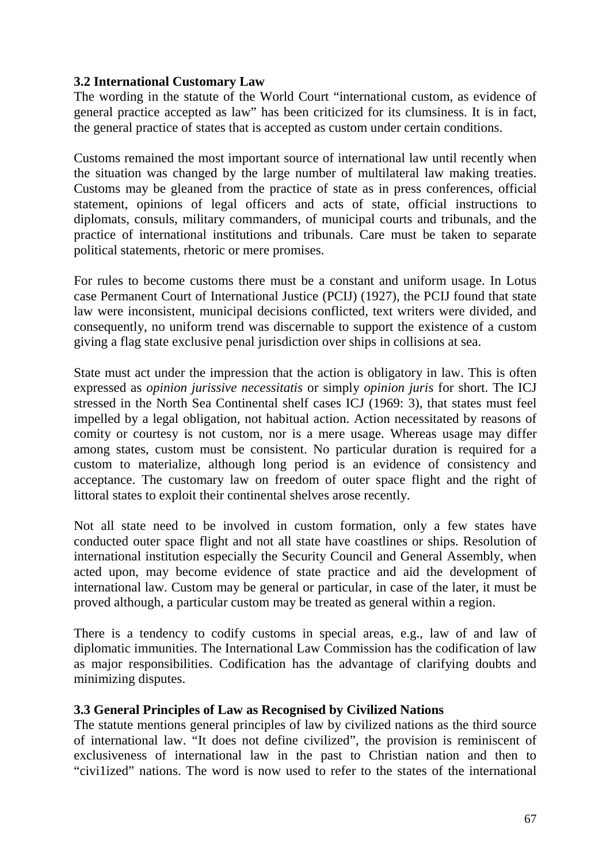### **3.2 International Customary Law**

The wording in the statute of the World Court "international custom, as evidence of general practice accepted as law" has been criticized for its clumsiness. It is in fact, the general practice of states that is accepted as custom under certain conditions.

Customs remained the most important source of international law until recently when the situation was changed by the large number of multilateral law making treaties. Customs may be gleaned from the practice of state as in press conferences, official statement, opinions of legal officers and acts of state, official instructions to diplomats, consuls, military commanders, of municipal courts and tribunals, and the practice of international institutions and tribunals. Care must be taken to separate political statements, rhetoric or mere promises.

For rules to become customs there must be a constant and uniform usage. In Lotus case Permanent Court of International Justice (PCIJ) (1927), the PCIJ found that state law were inconsistent, municipal decisions conflicted, text writers were divided, and consequently, no uniform trend was discernable to support the existence of a custom giving a flag state exclusive penal jurisdiction over ships in collisions at sea.

State must act under the impression that the action is obligatory in law. This is often expressed as *opinion jurissive necessitatis* or simply *opinion juris* for short. The ICJ stressed in the North Sea Continental shelf cases ICJ (1969: 3), that states must feel impelled by a legal obligation, not habitual action. Action necessitated by reasons of comity or courtesy is not custom, nor is a mere usage. Whereas usage may differ among states, custom must be consistent. No particular duration is required for a custom to materialize, although long period is an evidence of consistency and acceptance. The customary law on freedom of outer space flight and the right of littoral states to exploit their continental shelves arose recently.

Not all state need to be involved in custom formation, only a few states have conducted outer space flight and not all state have coastlines or ships. Resolution of international institution especially the Security Council and General Assembly, when acted upon, may become evidence of state practice and aid the development of international law. Custom may be general or particular, in case of the later, it must be proved although, a particular custom may be treated as general within a region.

There is a tendency to codify customs in special areas, e.g., law of and law of diplomatic immunities. The International Law Commission has the codification of law as major responsibilities. Codification has the advantage of clarifying doubts and minimizing disputes.

### **3.3 General Principles of Law as Recognised by Civilized Nations**

The statute mentions general principles of law by civilized nations as the third source of international law. "It does not define civilized", the provision is reminiscent of exclusiveness of international law in the past to Christian nation and then to "civi1ized" nations. The word is now used to refer to the states of the international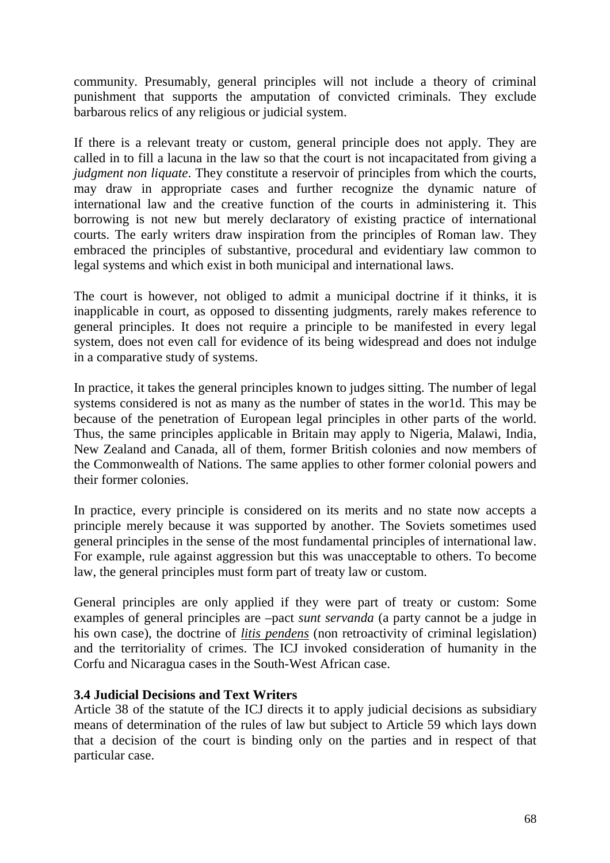community. Presumably, general principles will not include a theory of criminal punishment that supports the amputation of convicted criminals. They exclude barbarous relics of any religious or judicial system.

If there is a relevant treaty or custom, general principle does not apply. They are called in to fill a lacuna in the law so that the court is not incapacitated from giving a *judgment non liquate*. They constitute a reservoir of principles from which the courts, may draw in appropriate cases and further recognize the dynamic nature of international law and the creative function of the courts in administering it. This borrowing is not new but merely declaratory of existing practice of international courts. The early writers draw inspiration from the principles of Roman law. They embraced the principles of substantive, procedural and evidentiary law common to legal systems and which exist in both municipal and international laws.

The court is however, not obliged to admit a municipal doctrine if it thinks, it is inapplicable in court, as opposed to dissenting judgments, rarely makes reference to general principles. It does not require a principle to be manifested in every legal system, does not even call for evidence of its being widespread and does not indulge in a comparative study of systems.

In practice, it takes the general principles known to judges sitting. The number of legal systems considered is not as many as the number of states in the wor1d. This may be because of the penetration of European legal principles in other parts of the world. Thus, the same principles applicable in Britain may apply to Nigeria, Malawi, India, New Zealand and Canada, all of them, former British colonies and now members of the Commonwealth of Nations. The same applies to other former colonial powers and their former colonies.

In practice, every principle is considered on its merits and no state now accepts a principle merely because it was supported by another. The Soviets sometimes used general principles in the sense of the most fundamental principles of international law. For example, rule against aggression but this was unacceptable to others. To become law, the general principles must form part of treaty law or custom.

General principles are only applied if they were part of treaty or custom: Some examples of general principles are –pact *sunt servanda* (a party cannot be a judge in his own case), the doctrine of *litis pendens* (non retroactivity of criminal legislation) and the territoriality of crimes. The ICJ invoked consideration of humanity in the Corfu and Nicaragua cases in the South-West African case.

### **3.4 Judicial Decisions and Text Writers**

Article 38 of the statute of the ICJ directs it to apply judicial decisions as subsidiary means of determination of the rules of law but subject to Article 59 which lays down that a decision of the court is binding only on the parties and in respect of that particular case.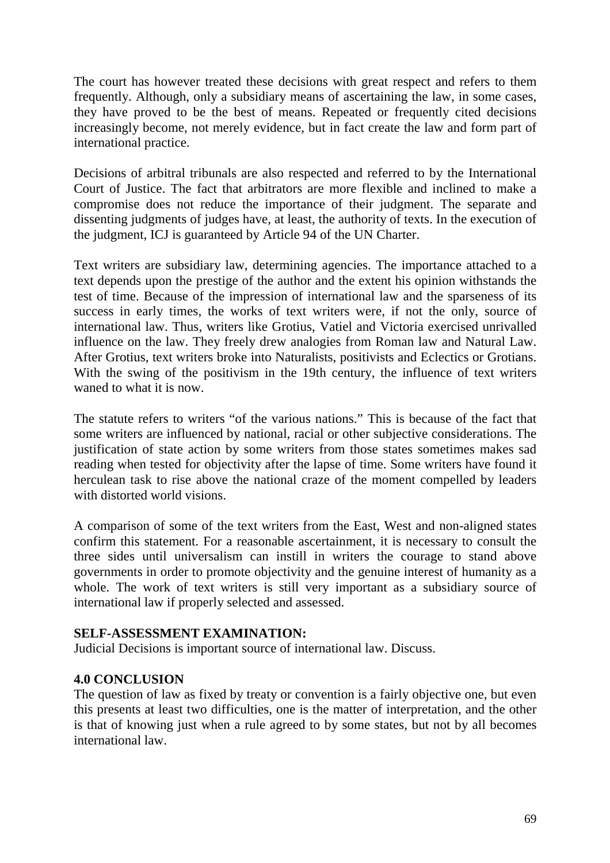The court has however treated these decisions with great respect and refers to them frequently. Although, only a subsidiary means of ascertaining the law, in some cases, they have proved to be the best of means. Repeated or frequently cited decisions increasingly become, not merely evidence, but in fact create the law and form part of international practice.

Decisions of arbitral tribunals are also respected and referred to by the International Court of Justice. The fact that arbitrators are more flexible and inclined to make a compromise does not reduce the importance of their judgment. The separate and dissenting judgments of judges have, at least, the authority of texts. In the execution of the judgment, ICJ is guaranteed by Article 94 of the UN Charter.

Text writers are subsidiary law, determining agencies. The importance attached to a text depends upon the prestige of the author and the extent his opinion withstands the test of time. Because of the impression of international law and the sparseness of its success in early times, the works of text writers were, if not the only, source of international law. Thus, writers like Grotius, Vatiel and Victoria exercised unrivalled influence on the law. They freely drew analogies from Roman law and Natural Law. After Grotius, text writers broke into Naturalists, positivists and Eclectics or Grotians. With the swing of the positivism in the 19th century, the influence of text writers waned to what it is now.

The statute refers to writers "of the various nations." This is because of the fact that some writers are influenced by national, racial or other subjective considerations. The justification of state action by some writers from those states sometimes makes sad reading when tested for objectivity after the lapse of time. Some writers have found it herculean task to rise above the national craze of the moment compelled by leaders with distorted world visions.

A comparison of some of the text writers from the East, West and non-aligned states confirm this statement. For a reasonable ascertainment, it is necessary to consult the three sides until universalism can instill in writers the courage to stand above governments in order to promote objectivity and the genuine interest of humanity as a whole. The work of text writers is still very important as a subsidiary source of international law if properly selected and assessed.

#### **SELF-ASSESSMENT EXAMINATION:**

Judicial Decisions is important source of international law. Discuss.

### **4.0 CONCLUSION**

The question of law as fixed by treaty or convention is a fairly objective one, but even this presents at least two difficulties, one is the matter of interpretation, and the other is that of knowing just when a rule agreed to by some states, but not by all becomes international law.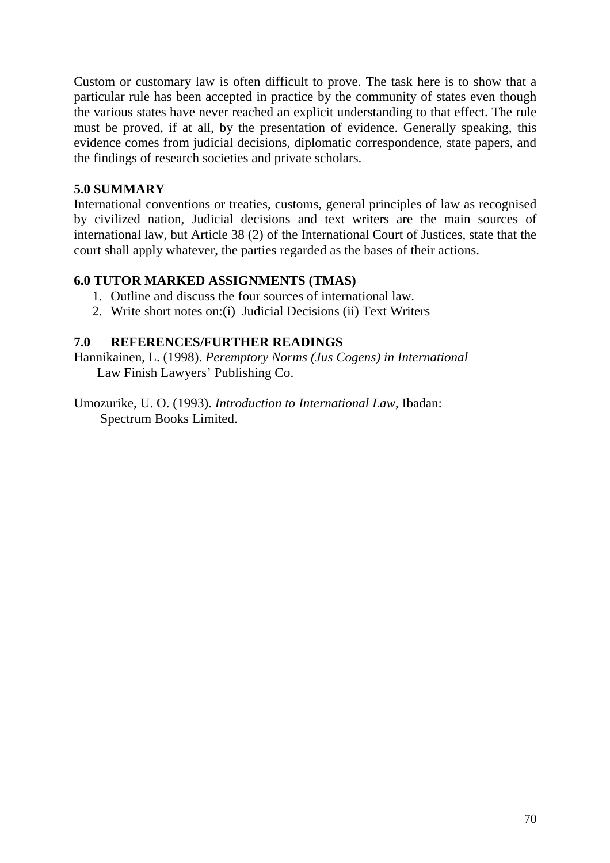Custom or customary law is often difficult to prove. The task here is to show that a particular rule has been accepted in practice by the community of states even though the various states have never reached an explicit understanding to that effect. The rule must be proved, if at all, by the presentation of evidence. Generally speaking, this evidence comes from judicial decisions, diplomatic correspondence, state papers, and the findings of research societies and private scholars.

### **5.0 SUMMARY**

International conventions or treaties, customs, general principles of law as recognised by civilized nation, Judicial decisions and text writers are the main sources of international law, but Article 38 (2) of the International Court of Justices, state that the court shall apply whatever, the parties regarded as the bases of their actions.

### **6.0 TUTOR MARKED ASSIGNMENTS (TMAS)**

- 1. Outline and discuss the four sources of international law.
- 2. Write short notes on:(i) Judicial Decisions (ii) Text Writers

### **7.0 REFERENCES/FURTHER READINGS**

Hannikainen, L. (1998). *Peremptory Norms (Jus Cogens) in International* Law Finish Lawyers' Publishing Co.

Umozurike, U. O. (1993). *Introduction to International Law*, Ibadan: Spectrum Books Limited.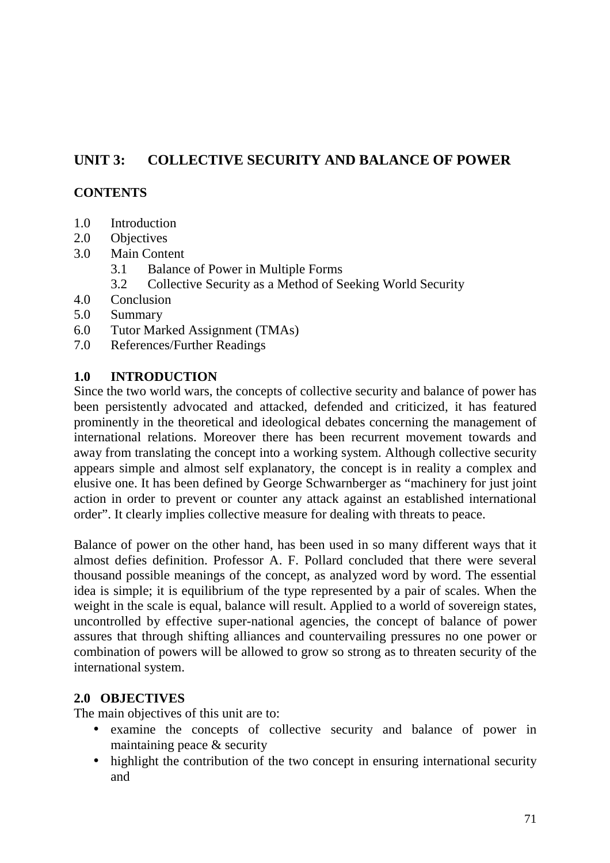# **UNIT 3: COLLECTIVE SECURITY AND BALANCE OF POWER**

### **CONTENTS**

- 1.0 Introduction
- 2.0 Objectives
- 3.0 Main Content
	- 3.1 Balance of Power in Multiple Forms
	- 3.2 Collective Security as a Method of Seeking World Security
- 4.0 Conclusion
- 5.0 Summary
- 6.0 Tutor Marked Assignment (TMAs)
- 7.0 References/Further Readings

#### **1.0 INTRODUCTION**

Since the two world wars, the concepts of collective security and balance of power has been persistently advocated and attacked, defended and criticized, it has featured prominently in the theoretical and ideological debates concerning the management of international relations. Moreover there has been recurrent movement towards and away from translating the concept into a working system. Although collective security appears simple and almost self explanatory, the concept is in reality a complex and elusive one. It has been defined by George Schwarnberger as "machinery for just joint action in order to prevent or counter any attack against an established international order". It clearly implies collective measure for dealing with threats to peace.

Balance of power on the other hand, has been used in so many different ways that it almost defies definition. Professor A. F. Pollard concluded that there were several thousand possible meanings of the concept, as analyzed word by word. The essential idea is simple; it is equilibrium of the type represented by a pair of scales. When the weight in the scale is equal, balance will result. Applied to a world of sovereign states, uncontrolled by effective super-national agencies, the concept of balance of power assures that through shifting alliances and countervailing pressures no one power or combination of powers will be allowed to grow so strong as to threaten security of the international system.

### **2.0 OBJECTIVES**

The main objectives of this unit are to:

- examine the concepts of collective security and balance of power in maintaining peace & security
- highlight the contribution of the two concept in ensuring international security and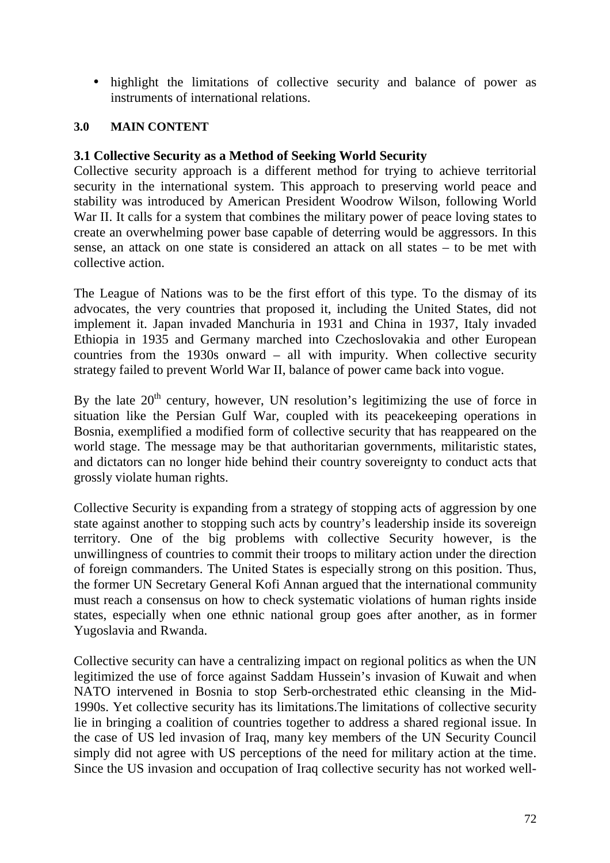• highlight the limitations of collective security and balance of power as instruments of international relations.

#### **3.0 MAIN CONTENT**

#### **3.1 Collective Security as a Method of Seeking World Security**

Collective security approach is a different method for trying to achieve territorial security in the international system. This approach to preserving world peace and stability was introduced by American President Woodrow Wilson, following World War II. It calls for a system that combines the military power of peace loving states to create an overwhelming power base capable of deterring would be aggressors. In this sense, an attack on one state is considered an attack on all states – to be met with collective action.

The League of Nations was to be the first effort of this type. To the dismay of its advocates, the very countries that proposed it, including the United States, did not implement it. Japan invaded Manchuria in 1931 and China in 1937, Italy invaded Ethiopia in 1935 and Germany marched into Czechoslovakia and other European countries from the 1930s onward – all with impurity. When collective security strategy failed to prevent World War II, balance of power came back into vogue.

By the late  $20<sup>th</sup>$  century, however, UN resolution's legitimizing the use of force in situation like the Persian Gulf War, coupled with its peacekeeping operations in Bosnia, exemplified a modified form of collective security that has reappeared on the world stage. The message may be that authoritarian governments, militaristic states, and dictators can no longer hide behind their country sovereignty to conduct acts that grossly violate human rights.

Collective Security is expanding from a strategy of stopping acts of aggression by one state against another to stopping such acts by country's leadership inside its sovereign territory. One of the big problems with collective Security however, is the unwillingness of countries to commit their troops to military action under the direction of foreign commanders. The United States is especially strong on this position. Thus, the former UN Secretary General Kofi Annan argued that the international community must reach a consensus on how to check systematic violations of human rights inside states, especially when one ethnic national group goes after another, as in former Yugoslavia and Rwanda.

Collective security can have a centralizing impact on regional politics as when the UN legitimized the use of force against Saddam Hussein's invasion of Kuwait and when NATO intervened in Bosnia to stop Serb-orchestrated ethic cleansing in the Mid-1990s. Yet collective security has its limitations.The limitations of collective security lie in bringing a coalition of countries together to address a shared regional issue. In the case of US led invasion of Iraq, many key members of the UN Security Council simply did not agree with US perceptions of the need for military action at the time. Since the US invasion and occupation of Iraq collective security has not worked well-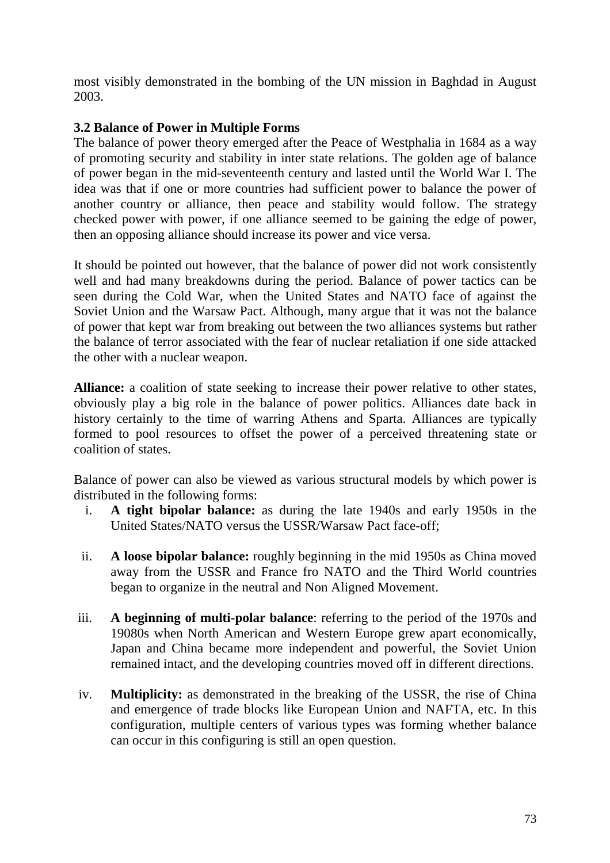most visibly demonstrated in the bombing of the UN mission in Baghdad in August 2003.

## **3.2 Balance of Power in Multiple Forms**

The balance of power theory emerged after the Peace of Westphalia in 1684 as a way of promoting security and stability in inter state relations. The golden age of balance of power began in the mid-seventeenth century and lasted until the World War I. The idea was that if one or more countries had sufficient power to balance the power of another country or alliance, then peace and stability would follow. The strategy checked power with power, if one alliance seemed to be gaining the edge of power, then an opposing alliance should increase its power and vice versa.

It should be pointed out however, that the balance of power did not work consistently well and had many breakdowns during the period. Balance of power tactics can be seen during the Cold War, when the United States and NATO face of against the Soviet Union and the Warsaw Pact. Although, many argue that it was not the balance of power that kept war from breaking out between the two alliances systems but rather the balance of terror associated with the fear of nuclear retaliation if one side attacked the other with a nuclear weapon.

**Alliance:** a coalition of state seeking to increase their power relative to other states, obviously play a big role in the balance of power politics. Alliances date back in history certainly to the time of warring Athens and Sparta. Alliances are typically formed to pool resources to offset the power of a perceived threatening state or coalition of states.

Balance of power can also be viewed as various structural models by which power is distributed in the following forms:

- i. **A tight bipolar balance:** as during the late 1940s and early 1950s in the United States/NATO versus the USSR/Warsaw Pact face-off;
- ii. **A loose bipolar balance:** roughly beginning in the mid 1950s as China moved away from the USSR and France fro NATO and the Third World countries began to organize in the neutral and Non Aligned Movement.
- iii. **A beginning of multi-polar balance**: referring to the period of the 1970s and 19080s when North American and Western Europe grew apart economically, Japan and China became more independent and powerful, the Soviet Union remained intact, and the developing countries moved off in different directions.
- iv. **Multiplicity:** as demonstrated in the breaking of the USSR, the rise of China and emergence of trade blocks like European Union and NAFTA, etc. In this configuration, multiple centers of various types was forming whether balance can occur in this configuring is still an open question.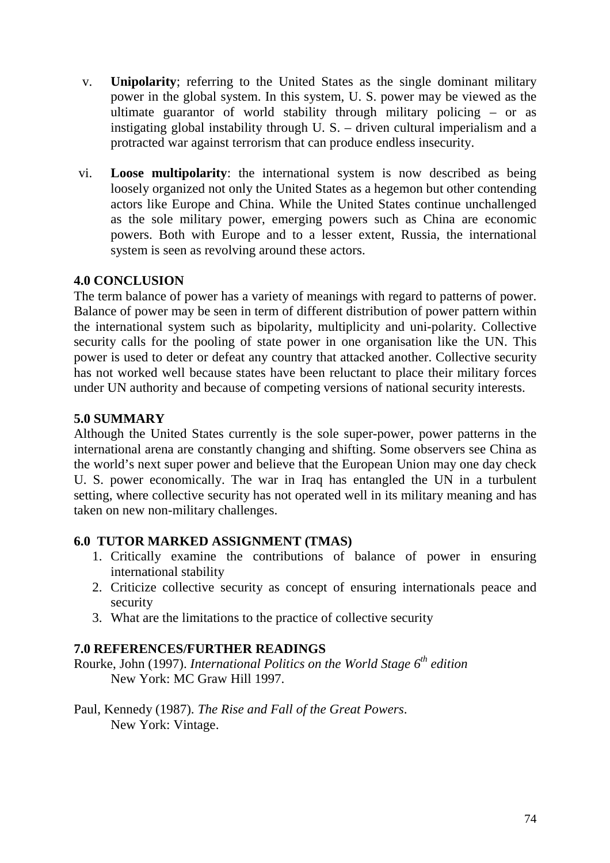- v. **Unipolarity**; referring to the United States as the single dominant military power in the global system. In this system, U. S. power may be viewed as the ultimate guarantor of world stability through military policing – or as instigating global instability through U. S. – driven cultural imperialism and a protracted war against terrorism that can produce endless insecurity.
- vi. **Loose multipolarity**: the international system is now described as being loosely organized not only the United States as a hegemon but other contending actors like Europe and China. While the United States continue unchallenged as the sole military power, emerging powers such as China are economic powers. Both with Europe and to a lesser extent, Russia, the international system is seen as revolving around these actors.

# **4.0 CONCLUSION**

The term balance of power has a variety of meanings with regard to patterns of power. Balance of power may be seen in term of different distribution of power pattern within the international system such as bipolarity, multiplicity and uni-polarity. Collective security calls for the pooling of state power in one organisation like the UN. This power is used to deter or defeat any country that attacked another. Collective security has not worked well because states have been reluctant to place their military forces under UN authority and because of competing versions of national security interests.

#### **5.0 SUMMARY**

Although the United States currently is the sole super-power, power patterns in the international arena are constantly changing and shifting. Some observers see China as the world's next super power and believe that the European Union may one day check U. S. power economically. The war in Iraq has entangled the UN in a turbulent setting, where collective security has not operated well in its military meaning and has taken on new non-military challenges.

## **6.0 TUTOR MARKED ASSIGNMENT (TMAS)**

- 1. Critically examine the contributions of balance of power in ensuring international stability
- 2. Criticize collective security as concept of ensuring internationals peace and security
- 3. What are the limitations to the practice of collective security

## **7.0 REFERENCES/FURTHER READINGS**

Rourke, John (1997). *International Politics on the World Stage 6th edition* New York: MC Graw Hill 1997.

Paul, Kennedy (1987). *The Rise and Fall of the Great Powers*. New York: Vintage.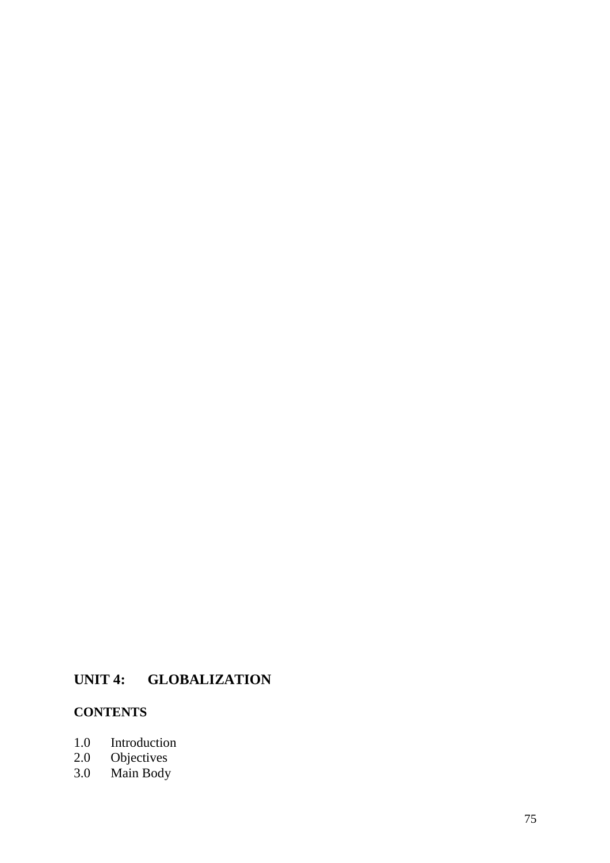# **UNIT 4: GLOBALIZATION**

# **CONTENTS**

- 1.0 Introduction<br>2.0 Objectives
- 2.0 Objectives
- 3.0 Main Body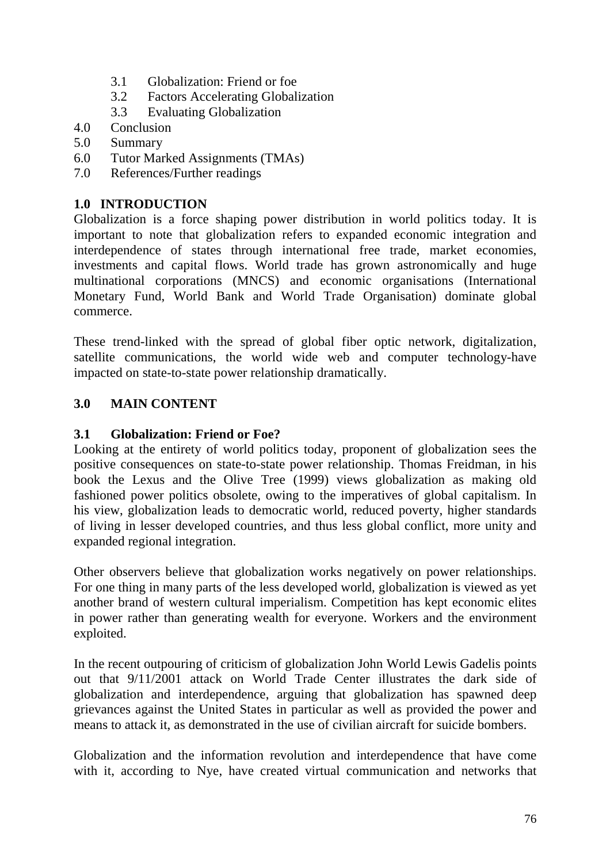- 3.1 Globalization: Friend or foe
- 3.2 Factors Accelerating Globalization
- 3.3 Evaluating Globalization
- 4.0 Conclusion
- 5.0 Summary
- 6.0 Tutor Marked Assignments (TMAs)
- 7.0 References/Further readings

## **1.0 INTRODUCTION**

Globalization is a force shaping power distribution in world politics today. It is important to note that globalization refers to expanded economic integration and interdependence of states through international free trade, market economies, investments and capital flows. World trade has grown astronomically and huge multinational corporations (MNCS) and economic organisations (International Monetary Fund, World Bank and World Trade Organisation) dominate global commerce.

These trend-linked with the spread of global fiber optic network, digitalization, satellite communications, the world wide web and computer technology-have impacted on state-to-state power relationship dramatically.

## **3.0 MAIN CONTENT**

## **3.1 Globalization: Friend or Foe?**

Looking at the entirety of world politics today, proponent of globalization sees the positive consequences on state-to-state power relationship. Thomas Freidman, in his book the Lexus and the Olive Tree (1999) views globalization as making old fashioned power politics obsolete, owing to the imperatives of global capitalism. In his view, globalization leads to democratic world, reduced poverty, higher standards of living in lesser developed countries, and thus less global conflict, more unity and expanded regional integration.

Other observers believe that globalization works negatively on power relationships. For one thing in many parts of the less developed world, globalization is viewed as yet another brand of western cultural imperialism. Competition has kept economic elites in power rather than generating wealth for everyone. Workers and the environment exploited.

In the recent outpouring of criticism of globalization John World Lewis Gadelis points out that 9/11/2001 attack on World Trade Center illustrates the dark side of globalization and interdependence, arguing that globalization has spawned deep grievances against the United States in particular as well as provided the power and means to attack it, as demonstrated in the use of civilian aircraft for suicide bombers.

Globalization and the information revolution and interdependence that have come with it, according to Nye, have created virtual communication and networks that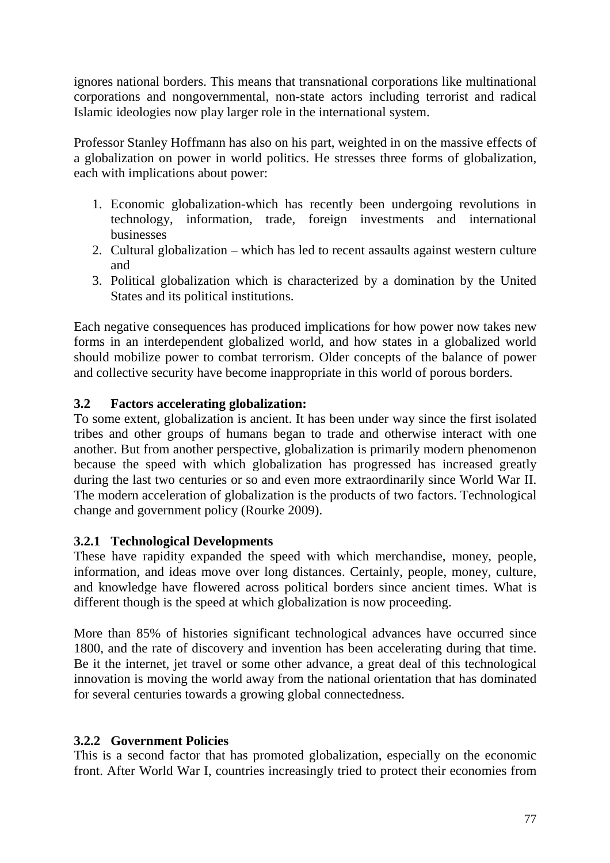ignores national borders. This means that transnational corporations like multinational corporations and nongovernmental, non-state actors including terrorist and radical Islamic ideologies now play larger role in the international system.

Professor Stanley Hoffmann has also on his part, weighted in on the massive effects of a globalization on power in world politics. He stresses three forms of globalization, each with implications about power:

- 1. Economic globalization-which has recently been undergoing revolutions in technology, information, trade, foreign investments and international businesses
- 2. Cultural globalization which has led to recent assaults against western culture and
- 3. Political globalization which is characterized by a domination by the United States and its political institutions.

Each negative consequences has produced implications for how power now takes new forms in an interdependent globalized world, and how states in a globalized world should mobilize power to combat terrorism. Older concepts of the balance of power and collective security have become inappropriate in this world of porous borders.

# **3.2 Factors accelerating globalization:**

To some extent, globalization is ancient. It has been under way since the first isolated tribes and other groups of humans began to trade and otherwise interact with one another. But from another perspective, globalization is primarily modern phenomenon because the speed with which globalization has progressed has increased greatly during the last two centuries or so and even more extraordinarily since World War II. The modern acceleration of globalization is the products of two factors. Technological change and government policy (Rourke 2009).

# **3.2.1 Technological Developments**

These have rapidity expanded the speed with which merchandise, money, people, information, and ideas move over long distances. Certainly, people, money, culture, and knowledge have flowered across political borders since ancient times. What is different though is the speed at which globalization is now proceeding.

More than 85% of histories significant technological advances have occurred since 1800, and the rate of discovery and invention has been accelerating during that time. Be it the internet, jet travel or some other advance, a great deal of this technological innovation is moving the world away from the national orientation that has dominated for several centuries towards a growing global connectedness.

# **3.2.2 Government Policies**

This is a second factor that has promoted globalization, especially on the economic front. After World War I, countries increasingly tried to protect their economies from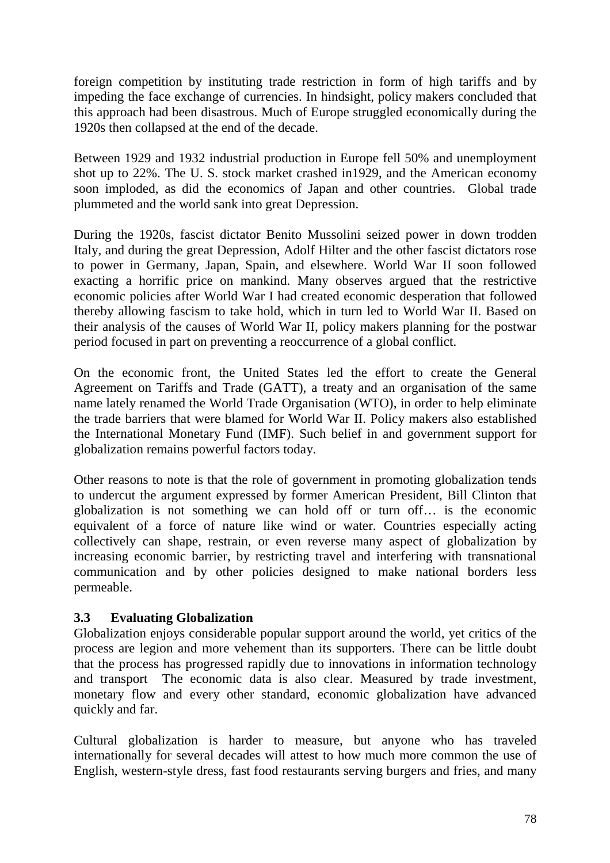foreign competition by instituting trade restriction in form of high tariffs and by impeding the face exchange of currencies. In hindsight, policy makers concluded that this approach had been disastrous. Much of Europe struggled economically during the 1920s then collapsed at the end of the decade.

Between 1929 and 1932 industrial production in Europe fell 50% and unemployment shot up to 22%. The U. S. stock market crashed in1929, and the American economy soon imploded, as did the economics of Japan and other countries. Global trade plummeted and the world sank into great Depression.

During the 1920s, fascist dictator Benito Mussolini seized power in down trodden Italy, and during the great Depression, Adolf Hilter and the other fascist dictators rose to power in Germany, Japan, Spain, and elsewhere. World War II soon followed exacting a horrific price on mankind. Many observes argued that the restrictive economic policies after World War I had created economic desperation that followed thereby allowing fascism to take hold, which in turn led to World War II. Based on their analysis of the causes of World War II, policy makers planning for the postwar period focused in part on preventing a reoccurrence of a global conflict.

On the economic front, the United States led the effort to create the General Agreement on Tariffs and Trade (GATT), a treaty and an organisation of the same name lately renamed the World Trade Organisation (WTO), in order to help eliminate the trade barriers that were blamed for World War II. Policy makers also established the International Monetary Fund (IMF). Such belief in and government support for globalization remains powerful factors today.

Other reasons to note is that the role of government in promoting globalization tends to undercut the argument expressed by former American President, Bill Clinton that globalization is not something we can hold off or turn off… is the economic equivalent of a force of nature like wind or water. Countries especially acting collectively can shape, restrain, or even reverse many aspect of globalization by increasing economic barrier, by restricting travel and interfering with transnational communication and by other policies designed to make national borders less permeable.

# **3.3 Evaluating Globalization**

Globalization enjoys considerable popular support around the world, yet critics of the process are legion and more vehement than its supporters. There can be little doubt that the process has progressed rapidly due to innovations in information technology and transport The economic data is also clear. Measured by trade investment, monetary flow and every other standard, economic globalization have advanced quickly and far.

Cultural globalization is harder to measure, but anyone who has traveled internationally for several decades will attest to how much more common the use of English, western-style dress, fast food restaurants serving burgers and fries, and many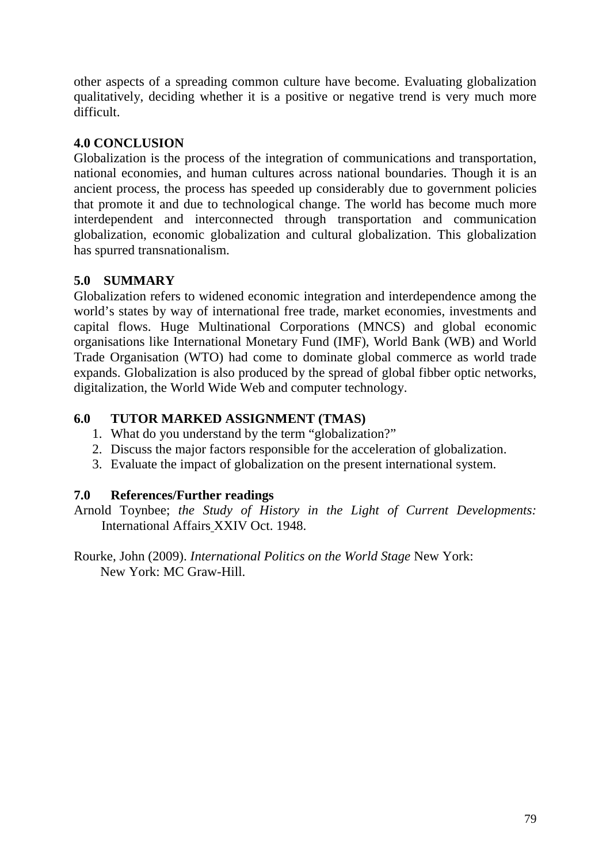other aspects of a spreading common culture have become. Evaluating globalization qualitatively, deciding whether it is a positive or negative trend is very much more difficult.

## **4.0 CONCLUSION**

Globalization is the process of the integration of communications and transportation, national economies, and human cultures across national boundaries. Though it is an ancient process, the process has speeded up considerably due to government policies that promote it and due to technological change. The world has become much more interdependent and interconnected through transportation and communication globalization, economic globalization and cultural globalization. This globalization has spurred transnationalism.

# **5.0 SUMMARY**

Globalization refers to widened economic integration and interdependence among the world's states by way of international free trade, market economies, investments and capital flows. Huge Multinational Corporations (MNCS) and global economic organisations like International Monetary Fund (IMF), World Bank (WB) and World Trade Organisation (WTO) had come to dominate global commerce as world trade expands. Globalization is also produced by the spread of global fibber optic networks, digitalization, the World Wide Web and computer technology.

# **6.0 TUTOR MARKED ASSIGNMENT (TMAS)**

- 1. What do you understand by the term "globalization?"
- 2. Discuss the major factors responsible for the acceleration of globalization.
- 3. Evaluate the impact of globalization on the present international system.

# **7.0 References/Further readings**

Arnold Toynbee; *the Study of History in the Light of Current Developments:* International Affairs XXIV Oct. 1948.

Rourke, John (2009). *International Politics on the World Stage* New York: New York: MC Graw-Hill.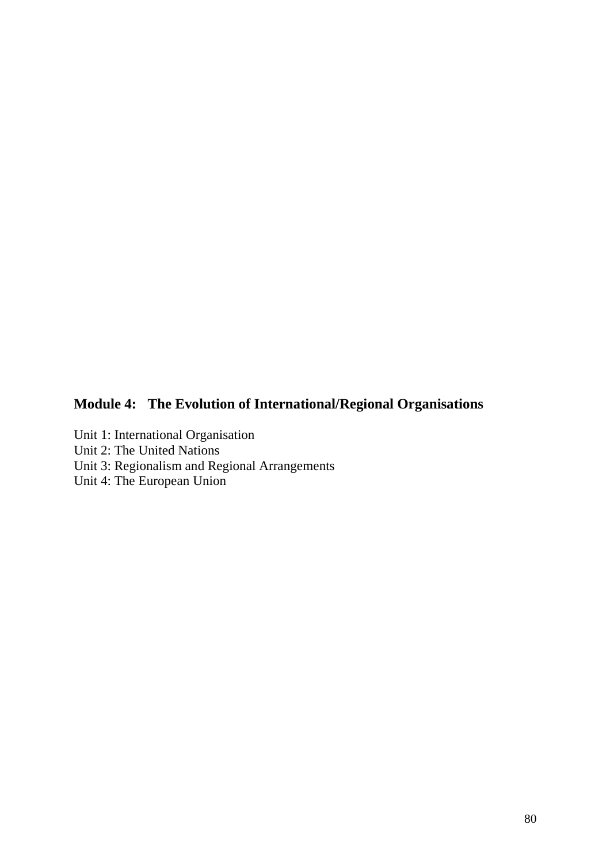# **Module 4: The Evolution of International/Regional Organisations**

- Unit 1: International Organisation
- Unit 2: The United Nations
- Unit 3: Regionalism and Regional Arrangements
- Unit 4: The European Union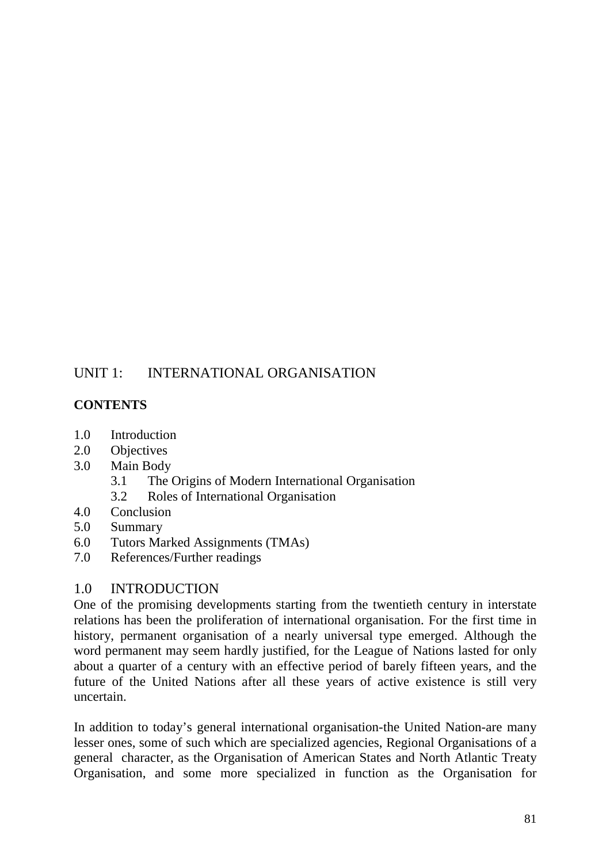# UNIT 1: INTERNATIONAL ORGANISATION

# **CONTENTS**

- 1.0 Introduction
- 2.0 Objectives
- 3.0 Main Body
	- 3.1 The Origins of Modern International Organisation
	- 3.2 Roles of International Organisation
- 4.0 Conclusion
- 5.0 Summary
- 6.0 Tutors Marked Assignments (TMAs)
- 7.0 References/Further readings

# 1.0 INTRODUCTION

One of the promising developments starting from the twentieth century in interstate relations has been the proliferation of international organisation. For the first time in history, permanent organisation of a nearly universal type emerged. Although the word permanent may seem hardly justified, for the League of Nations lasted for only about a quarter of a century with an effective period of barely fifteen years, and the future of the United Nations after all these years of active existence is still very uncertain.

In addition to today's general international organisation-the United Nation-are many lesser ones, some of such which are specialized agencies, Regional Organisations of a general character, as the Organisation of American States and North Atlantic Treaty Organisation, and some more specialized in function as the Organisation for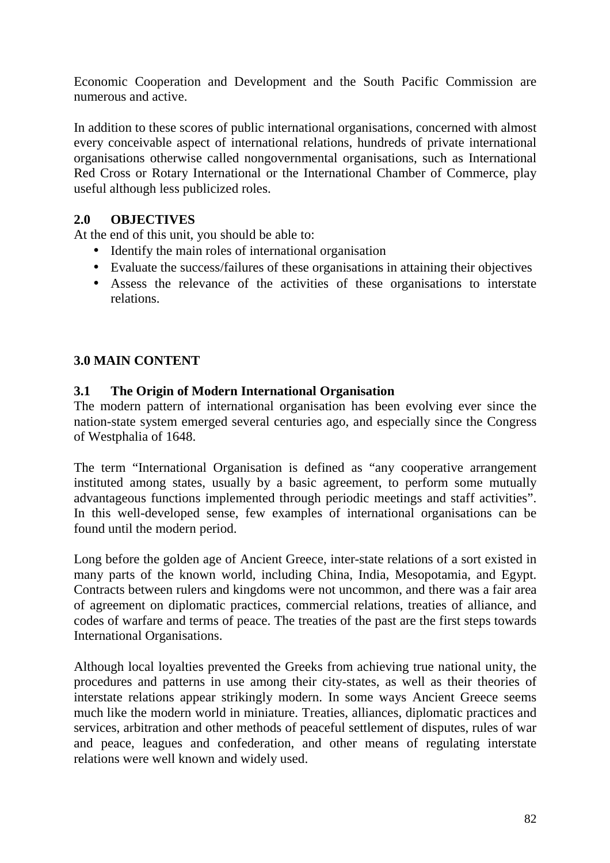Economic Cooperation and Development and the South Pacific Commission are numerous and active.

In addition to these scores of public international organisations, concerned with almost every conceivable aspect of international relations, hundreds of private international organisations otherwise called nongovernmental organisations, such as International Red Cross or Rotary International or the International Chamber of Commerce, play useful although less publicized roles.

## **2.0 OBJECTIVES**

At the end of this unit, you should be able to:

- Identify the main roles of international organisation
- Evaluate the success/failures of these organisations in attaining their objectives
- Assess the relevance of the activities of these organisations to interstate relations.

# **3.0 MAIN CONTENT**

## **3.1 The Origin of Modern International Organisation**

The modern pattern of international organisation has been evolving ever since the nation-state system emerged several centuries ago, and especially since the Congress of Westphalia of 1648.

The term "International Organisation is defined as "any cooperative arrangement instituted among states, usually by a basic agreement, to perform some mutually advantageous functions implemented through periodic meetings and staff activities". In this well-developed sense, few examples of international organisations can be found until the modern period.

Long before the golden age of Ancient Greece, inter-state relations of a sort existed in many parts of the known world, including China, India, Mesopotamia, and Egypt. Contracts between rulers and kingdoms were not uncommon, and there was a fair area of agreement on diplomatic practices, commercial relations, treaties of alliance, and codes of warfare and terms of peace. The treaties of the past are the first steps towards International Organisations.

Although local loyalties prevented the Greeks from achieving true national unity, the procedures and patterns in use among their city-states, as well as their theories of interstate relations appear strikingly modern. In some ways Ancient Greece seems much like the modern world in miniature. Treaties, alliances, diplomatic practices and services, arbitration and other methods of peaceful settlement of disputes, rules of war and peace, leagues and confederation, and other means of regulating interstate relations were well known and widely used.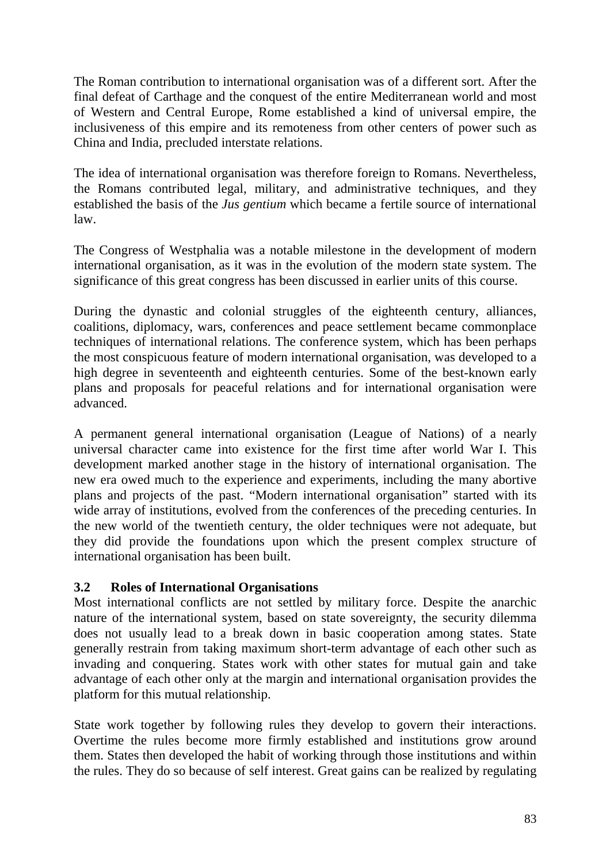The Roman contribution to international organisation was of a different sort. After the final defeat of Carthage and the conquest of the entire Mediterranean world and most of Western and Central Europe, Rome established a kind of universal empire, the inclusiveness of this empire and its remoteness from other centers of power such as China and India, precluded interstate relations.

The idea of international organisation was therefore foreign to Romans. Nevertheless, the Romans contributed legal, military, and administrative techniques, and they established the basis of the *Jus gentium* which became a fertile source of international law.

The Congress of Westphalia was a notable milestone in the development of modern international organisation, as it was in the evolution of the modern state system. The significance of this great congress has been discussed in earlier units of this course.

During the dynastic and colonial struggles of the eighteenth century, alliances, coalitions, diplomacy, wars, conferences and peace settlement became commonplace techniques of international relations. The conference system, which has been perhaps the most conspicuous feature of modern international organisation, was developed to a high degree in seventeenth and eighteenth centuries. Some of the best-known early plans and proposals for peaceful relations and for international organisation were advanced.

A permanent general international organisation (League of Nations) of a nearly universal character came into existence for the first time after world War I. This development marked another stage in the history of international organisation. The new era owed much to the experience and experiments, including the many abortive plans and projects of the past. "Modern international organisation" started with its wide array of institutions, evolved from the conferences of the preceding centuries. In the new world of the twentieth century, the older techniques were not adequate, but they did provide the foundations upon which the present complex structure of international organisation has been built.

# **3.2 Roles of International Organisations**

Most international conflicts are not settled by military force. Despite the anarchic nature of the international system, based on state sovereignty, the security dilemma does not usually lead to a break down in basic cooperation among states. State generally restrain from taking maximum short-term advantage of each other such as invading and conquering. States work with other states for mutual gain and take advantage of each other only at the margin and international organisation provides the platform for this mutual relationship.

State work together by following rules they develop to govern their interactions. Overtime the rules become more firmly established and institutions grow around them. States then developed the habit of working through those institutions and within the rules. They do so because of self interest. Great gains can be realized by regulating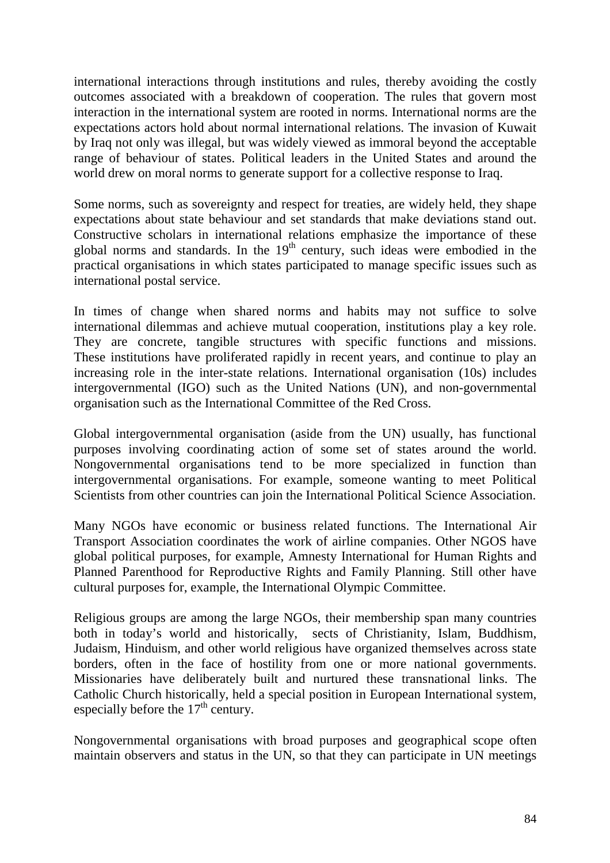international interactions through institutions and rules, thereby avoiding the costly outcomes associated with a breakdown of cooperation. The rules that govern most interaction in the international system are rooted in norms. International norms are the expectations actors hold about normal international relations. The invasion of Kuwait by Iraq not only was illegal, but was widely viewed as immoral beyond the acceptable range of behaviour of states. Political leaders in the United States and around the world drew on moral norms to generate support for a collective response to Iraq.

Some norms, such as sovereignty and respect for treaties, are widely held, they shape expectations about state behaviour and set standards that make deviations stand out. Constructive scholars in international relations emphasize the importance of these global norms and standards. In the  $19<sup>th</sup>$  century, such ideas were embodied in the practical organisations in which states participated to manage specific issues such as international postal service.

In times of change when shared norms and habits may not suffice to solve international dilemmas and achieve mutual cooperation, institutions play a key role. They are concrete, tangible structures with specific functions and missions. These institutions have proliferated rapidly in recent years, and continue to play an increasing role in the inter-state relations. International organisation (10s) includes intergovernmental (IGO) such as the United Nations (UN), and non-governmental organisation such as the International Committee of the Red Cross.

Global intergovernmental organisation (aside from the UN) usually, has functional purposes involving coordinating action of some set of states around the world. Nongovernmental organisations tend to be more specialized in function than intergovernmental organisations. For example, someone wanting to meet Political Scientists from other countries can join the International Political Science Association.

Many NGOs have economic or business related functions. The International Air Transport Association coordinates the work of airline companies. Other NGOS have global political purposes, for example, Amnesty International for Human Rights and Planned Parenthood for Reproductive Rights and Family Planning. Still other have cultural purposes for, example, the International Olympic Committee.

Religious groups are among the large NGOs, their membership span many countries both in today's world and historically, sects of Christianity, Islam, Buddhism, Judaism, Hinduism, and other world religious have organized themselves across state borders, often in the face of hostility from one or more national governments. Missionaries have deliberately built and nurtured these transnational links. The Catholic Church historically, held a special position in European International system, especially before the  $17<sup>th</sup>$  century.

Nongovernmental organisations with broad purposes and geographical scope often maintain observers and status in the UN, so that they can participate in UN meetings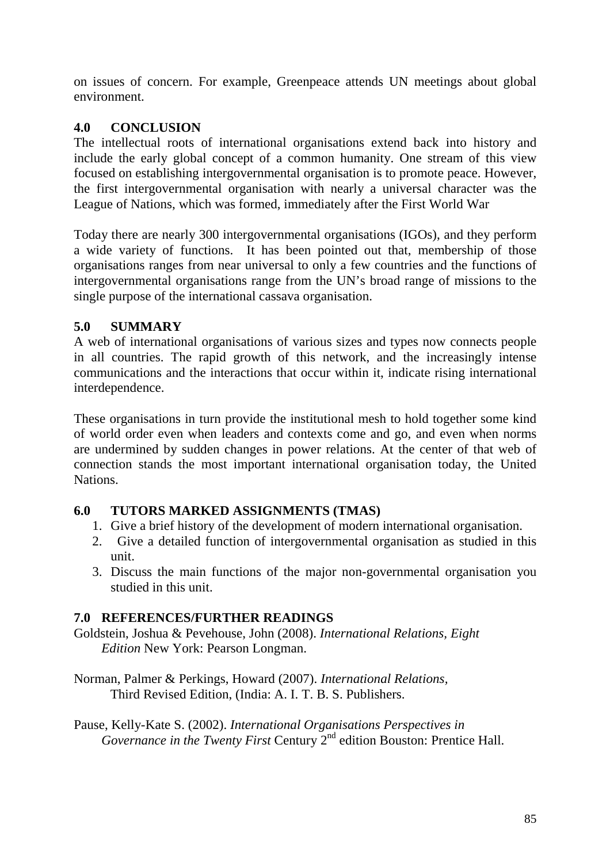on issues of concern. For example, Greenpeace attends UN meetings about global environment.

## **4.0 CONCLUSION**

The intellectual roots of international organisations extend back into history and include the early global concept of a common humanity. One stream of this view focused on establishing intergovernmental organisation is to promote peace. However, the first intergovernmental organisation with nearly a universal character was the League of Nations, which was formed, immediately after the First World War

Today there are nearly 300 intergovernmental organisations (IGOs), and they perform a wide variety of functions. It has been pointed out that, membership of those organisations ranges from near universal to only a few countries and the functions of intergovernmental organisations range from the UN's broad range of missions to the single purpose of the international cassava organisation.

# **5.0 SUMMARY**

A web of international organisations of various sizes and types now connects people in all countries. The rapid growth of this network, and the increasingly intense communications and the interactions that occur within it, indicate rising international interdependence.

These organisations in turn provide the institutional mesh to hold together some kind of world order even when leaders and contexts come and go, and even when norms are undermined by sudden changes in power relations. At the center of that web of connection stands the most important international organisation today, the United **Nations** 

# **6.0 TUTORS MARKED ASSIGNMENTS (TMAS)**

- 1. Give a brief history of the development of modern international organisation.
- 2. Give a detailed function of intergovernmental organisation as studied in this unit.
- 3. Discuss the main functions of the major non-governmental organisation you studied in this unit.

# **7.0 REFERENCES/FURTHER READINGS**

Goldstein, Joshua & Pevehouse, John (2008). *International Relations, Eight Edition* New York: Pearson Longman.

Norman, Palmer & Perkings, Howard (2007). *International Relations,* Third Revised Edition, (India: A. I. T. B. S. Publishers.

Pause, Kelly-Kate S. (2002). *International Organisations Perspectives in Governance in the Twenty First Century* 2<sup>nd</sup> edition Bouston: Prentice Hall.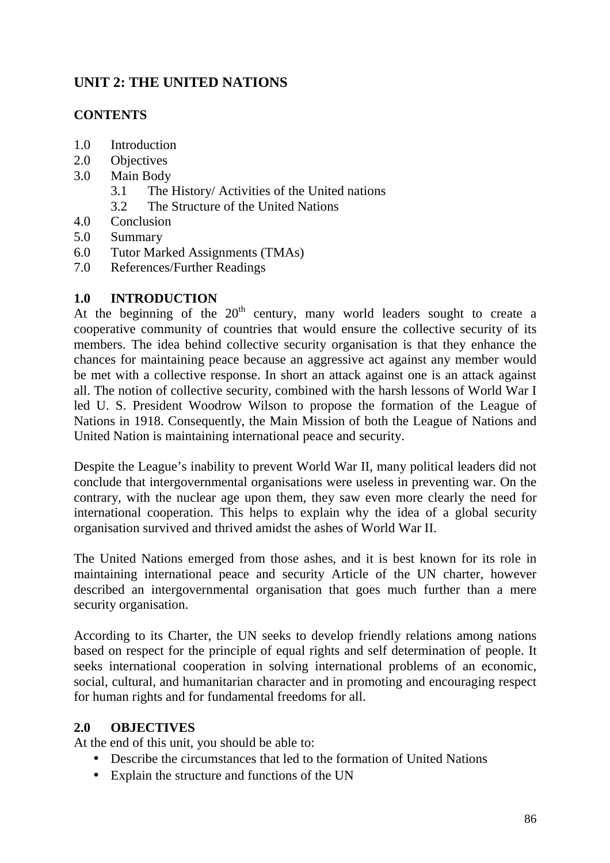# **UNIT 2: THE UNITED NATIONS**

## **CONTENTS**

- 1.0 Introduction
- 2.0 Objectives
- 3.0 Main Body
	- 3.1 The History/ Activities of the United nations
	- 3.2 The Structure of the United Nations
- 4.0 Conclusion
- 5.0 Summary
- 6.0 Tutor Marked Assignments (TMAs)
- 7.0 References/Further Readings

## **1.0 INTRODUCTION**

At the beginning of the  $20<sup>th</sup>$  century, many world leaders sought to create a cooperative community of countries that would ensure the collective security of its members. The idea behind collective security organisation is that they enhance the chances for maintaining peace because an aggressive act against any member would be met with a collective response. In short an attack against one is an attack against all. The notion of collective security, combined with the harsh lessons of World War I led U. S. President Woodrow Wilson to propose the formation of the League of Nations in 1918. Consequently, the Main Mission of both the League of Nations and United Nation is maintaining international peace and security.

Despite the League's inability to prevent World War II, many political leaders did not conclude that intergovernmental organisations were useless in preventing war. On the contrary, with the nuclear age upon them, they saw even more clearly the need for international cooperation. This helps to explain why the idea of a global security organisation survived and thrived amidst the ashes of World War II.

The United Nations emerged from those ashes, and it is best known for its role in maintaining international peace and security Article of the UN charter, however described an intergovernmental organisation that goes much further than a mere security organisation.

According to its Charter, the UN seeks to develop friendly relations among nations based on respect for the principle of equal rights and self determination of people. It seeks international cooperation in solving international problems of an economic, social, cultural, and humanitarian character and in promoting and encouraging respect for human rights and for fundamental freedoms for all.

## **2.0 OBJECTIVES**

At the end of this unit, you should be able to:

- Describe the circumstances that led to the formation of United Nations
- Explain the structure and functions of the UN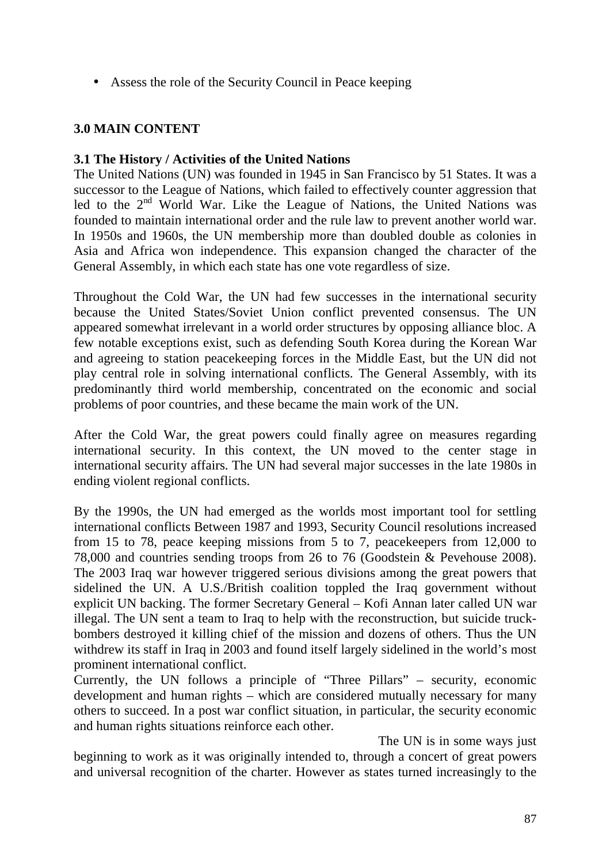• Assess the role of the Security Council in Peace keeping

# **3.0 MAIN CONTENT**

## **3.1 The History / Activities of the United Nations**

The United Nations (UN) was founded in 1945 in San Francisco by 51 States. It was a successor to the League of Nations, which failed to effectively counter aggression that led to the 2<sup>nd</sup> World War. Like the League of Nations, the United Nations was founded to maintain international order and the rule law to prevent another world war. In 1950s and 1960s, the UN membership more than doubled double as colonies in Asia and Africa won independence. This expansion changed the character of the General Assembly, in which each state has one vote regardless of size.

Throughout the Cold War, the UN had few successes in the international security because the United States/Soviet Union conflict prevented consensus. The UN appeared somewhat irrelevant in a world order structures by opposing alliance bloc. A few notable exceptions exist, such as defending South Korea during the Korean War and agreeing to station peacekeeping forces in the Middle East, but the UN did not play central role in solving international conflicts. The General Assembly, with its predominantly third world membership, concentrated on the economic and social problems of poor countries, and these became the main work of the UN.

After the Cold War, the great powers could finally agree on measures regarding international security. In this context, the UN moved to the center stage in international security affairs. The UN had several major successes in the late 1980s in ending violent regional conflicts.

By the 1990s, the UN had emerged as the worlds most important tool for settling international conflicts Between 1987 and 1993, Security Council resolutions increased from 15 to 78, peace keeping missions from 5 to 7, peacekeepers from 12,000 to 78,000 and countries sending troops from 26 to 76 (Goodstein & Pevehouse 2008). The 2003 Iraq war however triggered serious divisions among the great powers that sidelined the UN. A U.S./British coalition toppled the Iraq government without explicit UN backing. The former Secretary General – Kofi Annan later called UN war illegal. The UN sent a team to Iraq to help with the reconstruction, but suicide truckbombers destroyed it killing chief of the mission and dozens of others. Thus the UN withdrew its staff in Iraq in 2003 and found itself largely sidelined in the world's most prominent international conflict.

Currently, the UN follows a principle of "Three Pillars" – security, economic development and human rights – which are considered mutually necessary for many others to succeed. In a post war conflict situation, in particular, the security economic and human rights situations reinforce each other.

The UN is in some ways just beginning to work as it was originally intended to, through a concert of great powers and universal recognition of the charter. However as states turned increasingly to the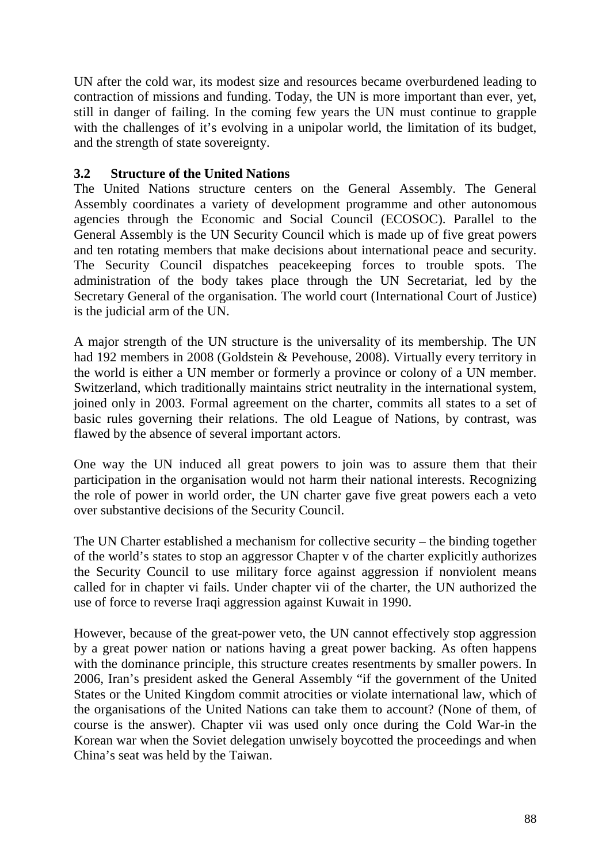UN after the cold war, its modest size and resources became overburdened leading to contraction of missions and funding. Today, the UN is more important than ever, yet, still in danger of failing. In the coming few years the UN must continue to grapple with the challenges of it's evolving in a unipolar world, the limitation of its budget, and the strength of state sovereignty.

## **3.2 Structure of the United Nations**

The United Nations structure centers on the General Assembly. The General Assembly coordinates a variety of development programme and other autonomous agencies through the Economic and Social Council (ECOSOC). Parallel to the General Assembly is the UN Security Council which is made up of five great powers and ten rotating members that make decisions about international peace and security. The Security Council dispatches peacekeeping forces to trouble spots. The administration of the body takes place through the UN Secretariat, led by the Secretary General of the organisation. The world court (International Court of Justice) is the judicial arm of the UN.

A major strength of the UN structure is the universality of its membership. The UN had 192 members in 2008 (Goldstein & Pevehouse, 2008). Virtually every territory in the world is either a UN member or formerly a province or colony of a UN member. Switzerland, which traditionally maintains strict neutrality in the international system, joined only in 2003. Formal agreement on the charter, commits all states to a set of basic rules governing their relations. The old League of Nations, by contrast, was flawed by the absence of several important actors.

One way the UN induced all great powers to join was to assure them that their participation in the organisation would not harm their national interests. Recognizing the role of power in world order, the UN charter gave five great powers each a veto over substantive decisions of the Security Council.

The UN Charter established a mechanism for collective security – the binding together of the world's states to stop an aggressor Chapter v of the charter explicitly authorizes the Security Council to use military force against aggression if nonviolent means called for in chapter vi fails. Under chapter vii of the charter, the UN authorized the use of force to reverse Iraqi aggression against Kuwait in 1990.

However, because of the great-power veto, the UN cannot effectively stop aggression by a great power nation or nations having a great power backing. As often happens with the dominance principle, this structure creates resentments by smaller powers. In 2006, Iran's president asked the General Assembly "if the government of the United States or the United Kingdom commit atrocities or violate international law, which of the organisations of the United Nations can take them to account? (None of them, of course is the answer). Chapter vii was used only once during the Cold War-in the Korean war when the Soviet delegation unwisely boycotted the proceedings and when China's seat was held by the Taiwan.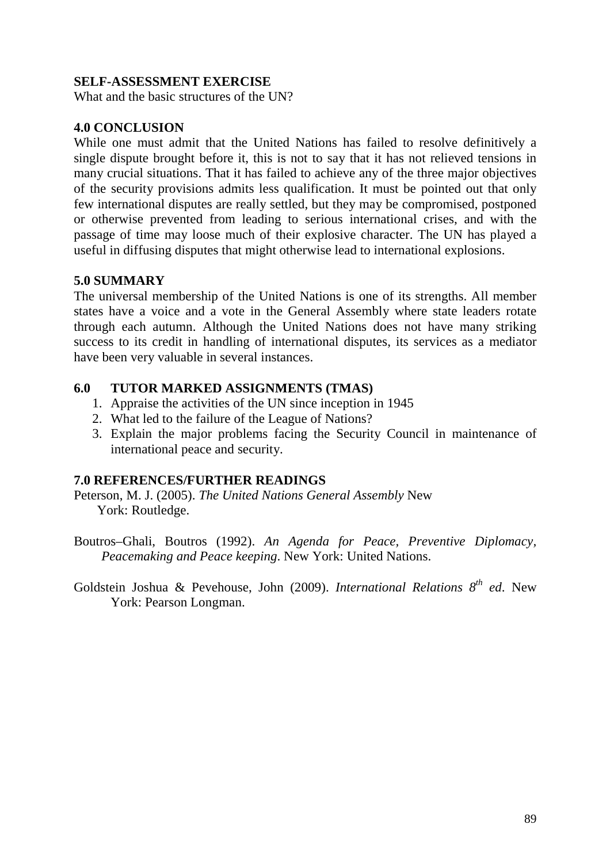#### **SELF-ASSESSMENT EXERCISE**

What and the basic structures of the UN?

#### **4.0 CONCLUSION**

While one must admit that the United Nations has failed to resolve definitively a single dispute brought before it, this is not to say that it has not relieved tensions in many crucial situations. That it has failed to achieve any of the three major objectives of the security provisions admits less qualification. It must be pointed out that only few international disputes are really settled, but they may be compromised, postponed or otherwise prevented from leading to serious international crises, and with the passage of time may loose much of their explosive character. The UN has played a useful in diffusing disputes that might otherwise lead to international explosions.

#### **5.0 SUMMARY**

The universal membership of the United Nations is one of its strengths. All member states have a voice and a vote in the General Assembly where state leaders rotate through each autumn. Although the United Nations does not have many striking success to its credit in handling of international disputes, its services as a mediator have been very valuable in several instances.

#### **6.0 TUTOR MARKED ASSIGNMENTS (TMAS)**

- 1. Appraise the activities of the UN since inception in 1945
- 2. What led to the failure of the League of Nations?
- 3. Explain the major problems facing the Security Council in maintenance of international peace and security.

## **7.0 REFERENCES/FURTHER READINGS**

Peterson, M. J. (2005). *The United Nations General Assembly* New York: Routledge.

Boutros–Ghali, Boutros (1992). *An Agenda for Peace, Preventive Diplomacy, Peacemaking and Peace keeping*. New York: United Nations.

Goldstein Joshua & Pevehouse, John (2009). *International Relations 8th ed*. New York: Pearson Longman.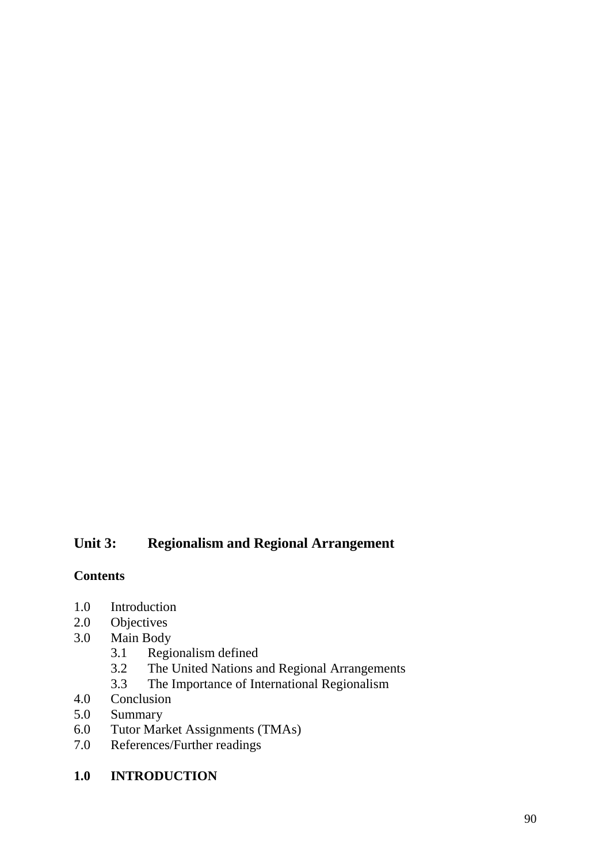# **Unit 3: Regionalism and Regional Arrangement**

## **Contents**

- 1.0 Introduction
- 2.0 Objectives
- 3.0 Main Body
	- 3.1 Regionalism defined<br>3.2 The United Nations a
	- 3.2 The United Nations and Regional Arrangements<br>3.3 The Importance of International Regionalism
- 3.3 The Importance of International Regionalism<br>4.0 Conclusion
- 4.0 Conclusion<br>5.0 Summary
- Summary
- 6.0 Tutor Market Assignments (TMAs)
- 7.0 References/Further readings
- **1.0 INTRODUCTION**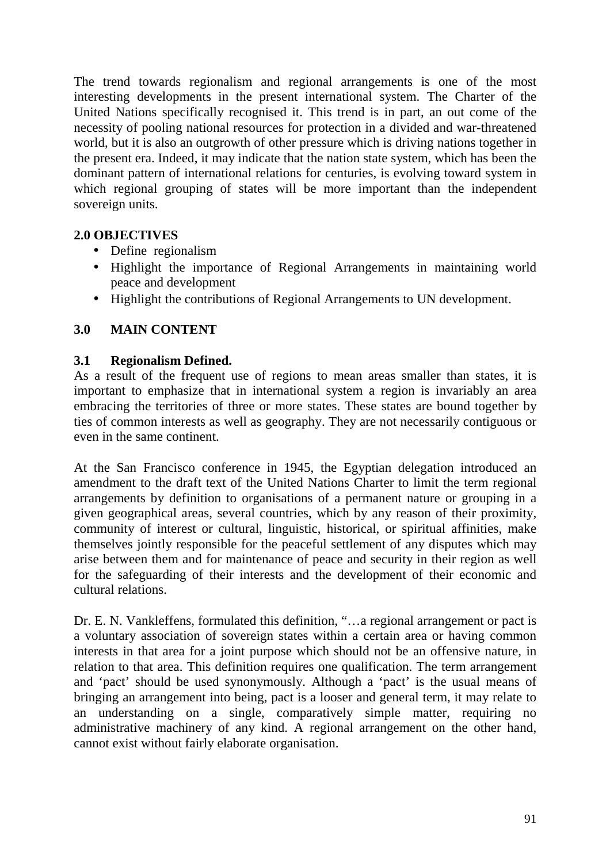The trend towards regionalism and regional arrangements is one of the most interesting developments in the present international system. The Charter of the United Nations specifically recognised it. This trend is in part, an out come of the necessity of pooling national resources for protection in a divided and war-threatened world, but it is also an outgrowth of other pressure which is driving nations together in the present era. Indeed, it may indicate that the nation state system, which has been the dominant pattern of international relations for centuries, is evolving toward system in which regional grouping of states will be more important than the independent sovereign units.

## **2.0 OBJECTIVES**

- Define regionalism
- Highlight the importance of Regional Arrangements in maintaining world peace and development
- Highlight the contributions of Regional Arrangements to UN development.

## **3.0 MAIN CONTENT**

#### **3.1 Regionalism Defined.**

As a result of the frequent use of regions to mean areas smaller than states, it is important to emphasize that in international system a region is invariably an area embracing the territories of three or more states. These states are bound together by ties of common interests as well as geography. They are not necessarily contiguous or even in the same continent.

At the San Francisco conference in 1945, the Egyptian delegation introduced an amendment to the draft text of the United Nations Charter to limit the term regional arrangements by definition to organisations of a permanent nature or grouping in a given geographical areas, several countries, which by any reason of their proximity, community of interest or cultural, linguistic, historical, or spiritual affinities, make themselves jointly responsible for the peaceful settlement of any disputes which may arise between them and for maintenance of peace and security in their region as well for the safeguarding of their interests and the development of their economic and cultural relations.

Dr. E. N. Vankleffens, formulated this definition, "…a regional arrangement or pact is a voluntary association of sovereign states within a certain area or having common interests in that area for a joint purpose which should not be an offensive nature, in relation to that area. This definition requires one qualification. The term arrangement and 'pact' should be used synonymously. Although a 'pact' is the usual means of bringing an arrangement into being, pact is a looser and general term, it may relate to an understanding on a single, comparatively simple matter, requiring no administrative machinery of any kind. A regional arrangement on the other hand, cannot exist without fairly elaborate organisation.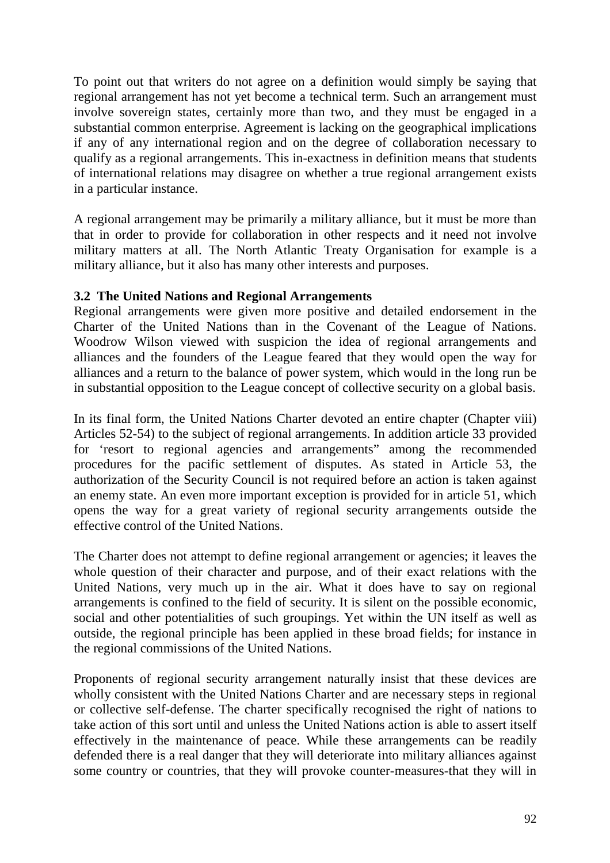To point out that writers do not agree on a definition would simply be saying that regional arrangement has not yet become a technical term. Such an arrangement must involve sovereign states, certainly more than two, and they must be engaged in a substantial common enterprise. Agreement is lacking on the geographical implications if any of any international region and on the degree of collaboration necessary to qualify as a regional arrangements. This in-exactness in definition means that students of international relations may disagree on whether a true regional arrangement exists in a particular instance.

A regional arrangement may be primarily a military alliance, but it must be more than that in order to provide for collaboration in other respects and it need not involve military matters at all. The North Atlantic Treaty Organisation for example is a military alliance, but it also has many other interests and purposes.

## **3.2 The United Nations and Regional Arrangements**

Regional arrangements were given more positive and detailed endorsement in the Charter of the United Nations than in the Covenant of the League of Nations. Woodrow Wilson viewed with suspicion the idea of regional arrangements and alliances and the founders of the League feared that they would open the way for alliances and a return to the balance of power system, which would in the long run be in substantial opposition to the League concept of collective security on a global basis.

In its final form, the United Nations Charter devoted an entire chapter (Chapter viii) Articles 52-54) to the subject of regional arrangements. In addition article 33 provided for 'resort to regional agencies and arrangements" among the recommended procedures for the pacific settlement of disputes. As stated in Article 53, the authorization of the Security Council is not required before an action is taken against an enemy state. An even more important exception is provided for in article 51, which opens the way for a great variety of regional security arrangements outside the effective control of the United Nations.

The Charter does not attempt to define regional arrangement or agencies; it leaves the whole question of their character and purpose, and of their exact relations with the United Nations, very much up in the air. What it does have to say on regional arrangements is confined to the field of security. It is silent on the possible economic, social and other potentialities of such groupings. Yet within the UN itself as well as outside, the regional principle has been applied in these broad fields; for instance in the regional commissions of the United Nations.

Proponents of regional security arrangement naturally insist that these devices are wholly consistent with the United Nations Charter and are necessary steps in regional or collective self-defense. The charter specifically recognised the right of nations to take action of this sort until and unless the United Nations action is able to assert itself effectively in the maintenance of peace. While these arrangements can be readily defended there is a real danger that they will deteriorate into military alliances against some country or countries, that they will provoke counter-measures-that they will in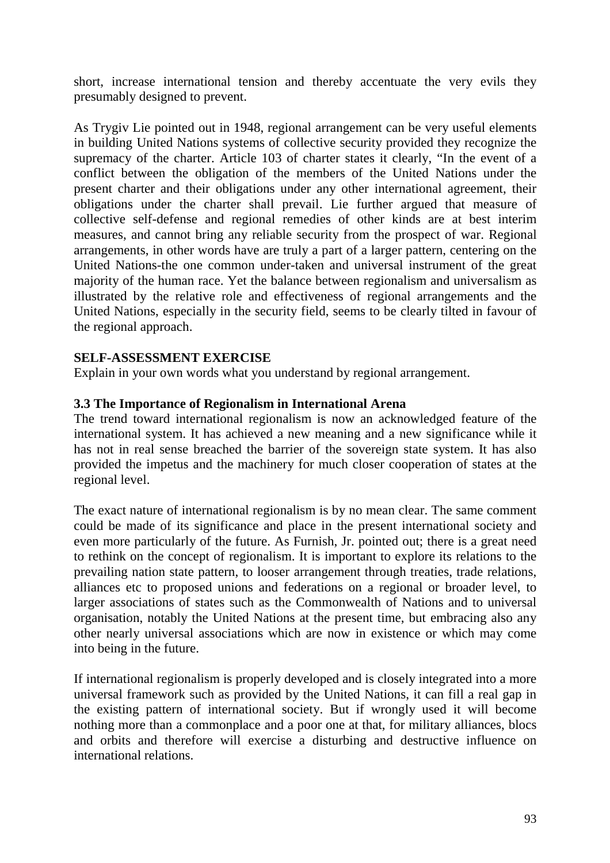short, increase international tension and thereby accentuate the very evils they presumably designed to prevent.

As Trygiv Lie pointed out in 1948, regional arrangement can be very useful elements in building United Nations systems of collective security provided they recognize the supremacy of the charter. Article 103 of charter states it clearly, "In the event of a conflict between the obligation of the members of the United Nations under the present charter and their obligations under any other international agreement, their obligations under the charter shall prevail. Lie further argued that measure of collective self-defense and regional remedies of other kinds are at best interim measures, and cannot bring any reliable security from the prospect of war. Regional arrangements, in other words have are truly a part of a larger pattern, centering on the United Nations-the one common under-taken and universal instrument of the great majority of the human race. Yet the balance between regionalism and universalism as illustrated by the relative role and effectiveness of regional arrangements and the United Nations, especially in the security field, seems to be clearly tilted in favour of the regional approach.

#### **SELF-ASSESSMENT EXERCISE**

Explain in your own words what you understand by regional arrangement.

#### **3.3 The Importance of Regionalism in International Arena**

The trend toward international regionalism is now an acknowledged feature of the international system. It has achieved a new meaning and a new significance while it has not in real sense breached the barrier of the sovereign state system. It has also provided the impetus and the machinery for much closer cooperation of states at the regional level.

The exact nature of international regionalism is by no mean clear. The same comment could be made of its significance and place in the present international society and even more particularly of the future. As Furnish, Jr. pointed out; there is a great need to rethink on the concept of regionalism. It is important to explore its relations to the prevailing nation state pattern, to looser arrangement through treaties, trade relations, alliances etc to proposed unions and federations on a regional or broader level, to larger associations of states such as the Commonwealth of Nations and to universal organisation, notably the United Nations at the present time, but embracing also any other nearly universal associations which are now in existence or which may come into being in the future.

If international regionalism is properly developed and is closely integrated into a more universal framework such as provided by the United Nations, it can fill a real gap in the existing pattern of international society. But if wrongly used it will become nothing more than a commonplace and a poor one at that, for military alliances, blocs and orbits and therefore will exercise a disturbing and destructive influence on international relations.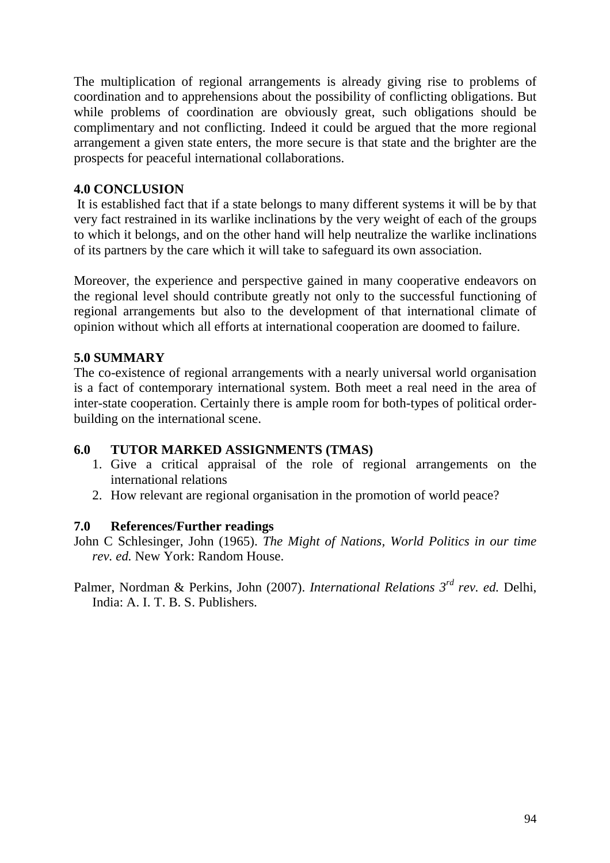The multiplication of regional arrangements is already giving rise to problems of coordination and to apprehensions about the possibility of conflicting obligations. But while problems of coordination are obviously great, such obligations should be complimentary and not conflicting. Indeed it could be argued that the more regional arrangement a given state enters, the more secure is that state and the brighter are the prospects for peaceful international collaborations.

#### **4.0 CONCLUSION**

 It is established fact that if a state belongs to many different systems it will be by that very fact restrained in its warlike inclinations by the very weight of each of the groups to which it belongs, and on the other hand will help neutralize the warlike inclinations of its partners by the care which it will take to safeguard its own association.

Moreover, the experience and perspective gained in many cooperative endeavors on the regional level should contribute greatly not only to the successful functioning of regional arrangements but also to the development of that international climate of opinion without which all efforts at international cooperation are doomed to failure.

#### **5.0 SUMMARY**

The co-existence of regional arrangements with a nearly universal world organisation is a fact of contemporary international system. Both meet a real need in the area of inter-state cooperation. Certainly there is ample room for both-types of political orderbuilding on the international scene.

#### **6.0 TUTOR MARKED ASSIGNMENTS (TMAS)**

- 1. Give a critical appraisal of the role of regional arrangements on the international relations
- 2. How relevant are regional organisation in the promotion of world peace?

#### **7.0 References/Further readings**

- John C Schlesinger, John (1965). *The Might of Nations, World Politics in our time rev. ed.* New York: Random House.
- Palmer, Nordman & Perkins, John (2007). *International Relations 3rd rev. ed.* Delhi, India: A. I. T. B. S. Publishers.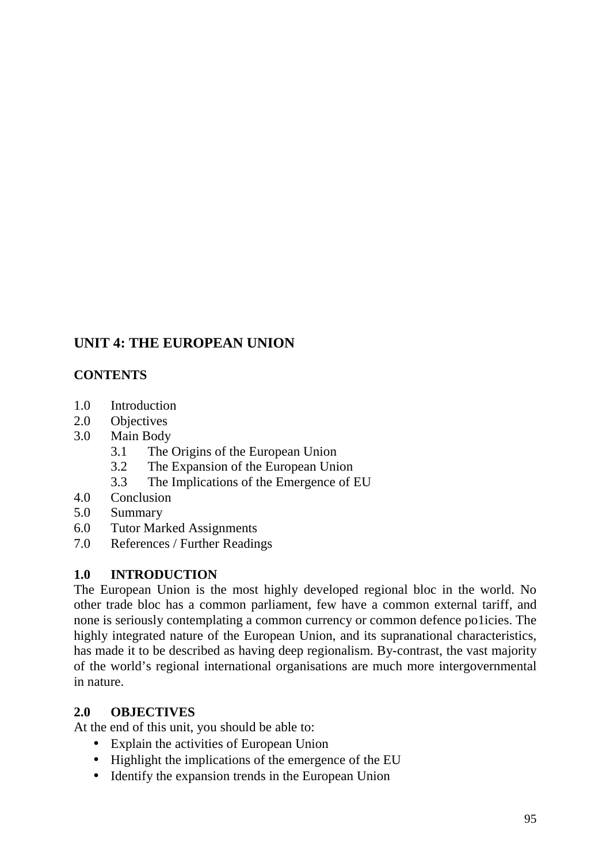# **UNIT 4: THE EUROPEAN UNION**

# **CONTENTS**

- 1.0 Introduction
- 2.0 Objectives
- 3.0 Main Body
	- 3.1 The Origins of the European Union
	- 3.2 The Expansion of the European Union
	- 3.3 The Implications of the Emergence of EU
- 4.0 Conclusion
- 5.0 Summary
- 6.0 Tutor Marked Assignments
- 7.0 References / Further Readings

## **1.0 INTRODUCTION**

The European Union is the most highly developed regional bloc in the world. No other trade bloc has a common parliament, few have a common external tariff, and none is seriously contemplating a common currency or common defence po1icies. The highly integrated nature of the European Union, and its supranational characteristics, has made it to be described as having deep regionalism. By-contrast, the vast majority of the world's regional international organisations are much more intergovernmental in nature.

#### **2.0 OBJECTIVES**

At the end of this unit, you should be able to:

- Explain the activities of European Union
- Highlight the implications of the emergence of the EU
- Identify the expansion trends in the European Union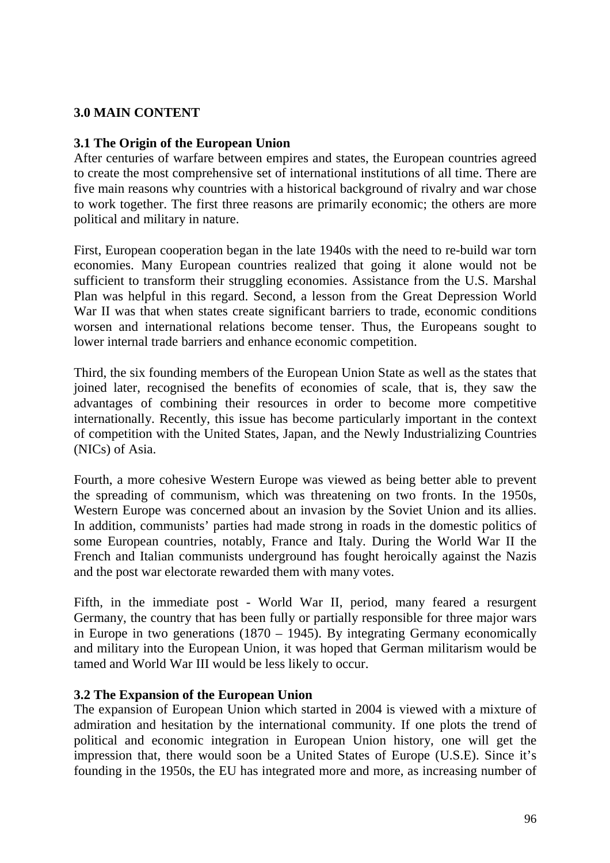## **3.0 MAIN CONTENT**

#### **3.1 The Origin of the European Union**

After centuries of warfare between empires and states, the European countries agreed to create the most comprehensive set of international institutions of all time. There are five main reasons why countries with a historical background of rivalry and war chose to work together. The first three reasons are primarily economic; the others are more political and military in nature.

First, European cooperation began in the late 1940s with the need to re-build war torn economies. Many European countries realized that going it alone would not be sufficient to transform their struggling economies. Assistance from the U.S. Marshal Plan was helpful in this regard. Second, a lesson from the Great Depression World War II was that when states create significant barriers to trade, economic conditions worsen and international relations become tenser. Thus, the Europeans sought to lower internal trade barriers and enhance economic competition.

Third, the six founding members of the European Union State as well as the states that joined later, recognised the benefits of economies of scale, that is, they saw the advantages of combining their resources in order to become more competitive internationally. Recently, this issue has become particularly important in the context of competition with the United States, Japan, and the Newly Industrializing Countries (NICs) of Asia.

Fourth, a more cohesive Western Europe was viewed as being better able to prevent the spreading of communism, which was threatening on two fronts. In the 1950s, Western Europe was concerned about an invasion by the Soviet Union and its allies. In addition, communists' parties had made strong in roads in the domestic politics of some European countries, notably, France and Italy. During the World War II the French and Italian communists underground has fought heroically against the Nazis and the post war electorate rewarded them with many votes.

Fifth, in the immediate post - World War II, period, many feared a resurgent Germany, the country that has been fully or partially responsible for three major wars in Europe in two generations (1870 – 1945). By integrating Germany economically and military into the European Union, it was hoped that German militarism would be tamed and World War III would be less likely to occur.

#### **3.2 The Expansion of the European Union**

The expansion of European Union which started in 2004 is viewed with a mixture of admiration and hesitation by the international community. If one plots the trend of political and economic integration in European Union history, one will get the impression that, there would soon be a United States of Europe (U.S.E). Since it's founding in the 1950s, the EU has integrated more and more, as increasing number of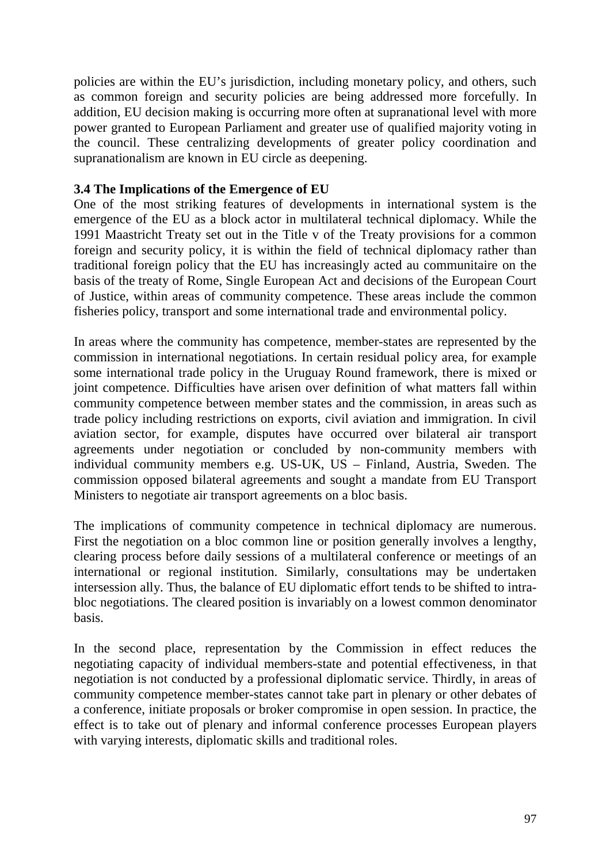policies are within the EU's jurisdiction, including monetary policy, and others, such as common foreign and security policies are being addressed more forcefully. In addition, EU decision making is occurring more often at supranational level with more power granted to European Parliament and greater use of qualified majority voting in the council. These centralizing developments of greater policy coordination and supranationalism are known in EU circle as deepening.

#### **3.4 The Implications of the Emergence of EU**

One of the most striking features of developments in international system is the emergence of the EU as a block actor in multilateral technical diplomacy. While the 1991 Maastricht Treaty set out in the Title v of the Treaty provisions for a common foreign and security policy, it is within the field of technical diplomacy rather than traditional foreign policy that the EU has increasingly acted au communitaire on the basis of the treaty of Rome, Single European Act and decisions of the European Court of Justice, within areas of community competence. These areas include the common fisheries policy, transport and some international trade and environmental policy.

In areas where the community has competence, member-states are represented by the commission in international negotiations. In certain residual policy area, for example some international trade policy in the Uruguay Round framework, there is mixed or joint competence. Difficulties have arisen over definition of what matters fall within community competence between member states and the commission, in areas such as trade policy including restrictions on exports, civil aviation and immigration. In civil aviation sector, for example, disputes have occurred over bilateral air transport agreements under negotiation or concluded by non-community members with individual community members e.g. US-UK, US – Finland, Austria, Sweden. The commission opposed bilateral agreements and sought a mandate from EU Transport Ministers to negotiate air transport agreements on a bloc basis.

The implications of community competence in technical diplomacy are numerous. First the negotiation on a bloc common line or position generally involves a lengthy, clearing process before daily sessions of a multilateral conference or meetings of an international or regional institution. Similarly, consultations may be undertaken intersession ally. Thus, the balance of EU diplomatic effort tends to be shifted to intrabloc negotiations. The cleared position is invariably on a lowest common denominator basis.

In the second place, representation by the Commission in effect reduces the negotiating capacity of individual members-state and potential effectiveness, in that negotiation is not conducted by a professional diplomatic service. Thirdly, in areas of community competence member-states cannot take part in plenary or other debates of a conference, initiate proposals or broker compromise in open session. In practice, the effect is to take out of plenary and informal conference processes European players with varying interests, diplomatic skills and traditional roles.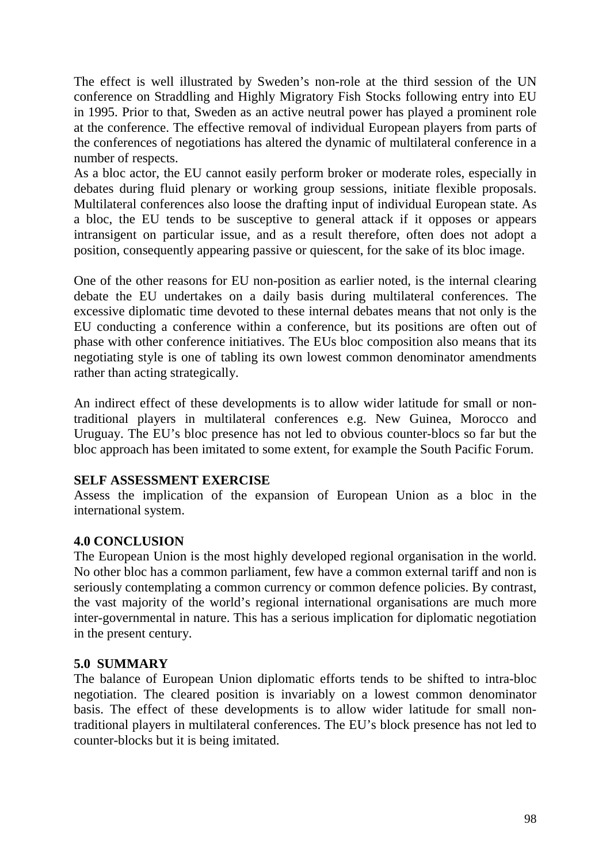The effect is well illustrated by Sweden's non-role at the third session of the UN conference on Straddling and Highly Migratory Fish Stocks following entry into EU in 1995. Prior to that, Sweden as an active neutral power has played a prominent role at the conference. The effective removal of individual European players from parts of the conferences of negotiations has altered the dynamic of multilateral conference in a number of respects.

As a bloc actor, the EU cannot easily perform broker or moderate roles, especially in debates during fluid plenary or working group sessions, initiate flexible proposals. Multilateral conferences also loose the drafting input of individual European state. As a bloc, the EU tends to be susceptive to general attack if it opposes or appears intransigent on particular issue, and as a result therefore, often does not adopt a position, consequently appearing passive or quiescent, for the sake of its bloc image.

One of the other reasons for EU non-position as earlier noted, is the internal clearing debate the EU undertakes on a daily basis during multilateral conferences. The excessive diplomatic time devoted to these internal debates means that not only is the EU conducting a conference within a conference, but its positions are often out of phase with other conference initiatives. The EUs bloc composition also means that its negotiating style is one of tabling its own lowest common denominator amendments rather than acting strategically.

An indirect effect of these developments is to allow wider latitude for small or nontraditional players in multilateral conferences e.g. New Guinea, Morocco and Uruguay. The EU's bloc presence has not led to obvious counter-blocs so far but the bloc approach has been imitated to some extent, for example the South Pacific Forum.

## **SELF ASSESSMENT EXERCISE**

Assess the implication of the expansion of European Union as a bloc in the international system.

# **4.0 CONCLUSION**

The European Union is the most highly developed regional organisation in the world. No other bloc has a common parliament, few have a common external tariff and non is seriously contemplating a common currency or common defence policies. By contrast, the vast majority of the world's regional international organisations are much more inter-governmental in nature. This has a serious implication for diplomatic negotiation in the present century.

## **5.0 SUMMARY**

The balance of European Union diplomatic efforts tends to be shifted to intra-bloc negotiation. The cleared position is invariably on a lowest common denominator basis. The effect of these developments is to allow wider latitude for small nontraditional players in multilateral conferences. The EU's block presence has not led to counter-blocks but it is being imitated.